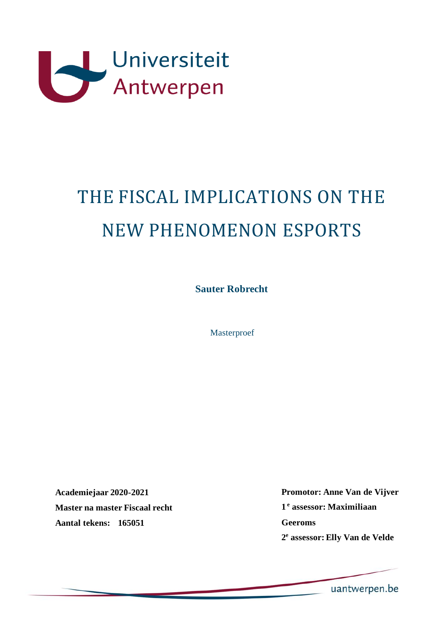

# THE FISCAL IMPLICATIONS ON THE NEW PHENOMENON ESPORTS

**Sauter Robrecht**

Masterproef

**Academiejaar 2020-2021 Master na master Fiscaal recht Aantal tekens: 165051** 

**Promotor: Anne Van de Vijver 1 e assessor: Maximiliaan Geeroms 2 e assessor: Elly Van de Velde**

uantwerpen.be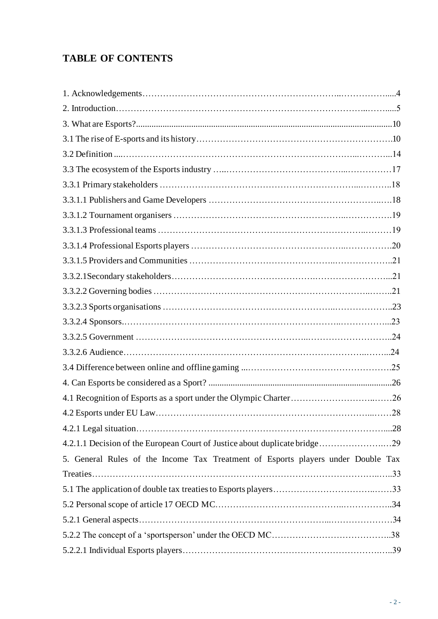# **TABLE OF CONTENTS**

| 5. General Rules of the Income Tax Treatment of Esports players under Double Tax |  |
|----------------------------------------------------------------------------------|--|
|                                                                                  |  |
|                                                                                  |  |
|                                                                                  |  |
|                                                                                  |  |
|                                                                                  |  |
|                                                                                  |  |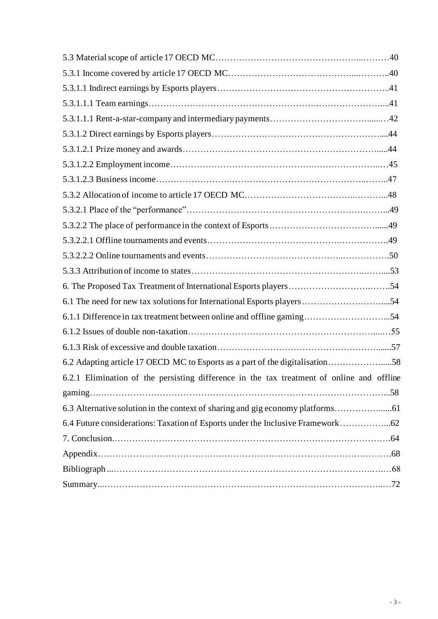| 6.1 The need for new tax solutions for International Esports players54                    |  |
|-------------------------------------------------------------------------------------------|--|
| 6.1.1 Difference in tax treatment between online and offline gaming54                     |  |
|                                                                                           |  |
|                                                                                           |  |
| 6.2 Adapting article 17 OECD MC to Esports as a part of the digitalisation58              |  |
| 6.2.1 Elimination of the persisting difference in the tax treatment of online and offline |  |
|                                                                                           |  |
|                                                                                           |  |
| 6.4 Future considerations: Taxation of Esports under the Inclusive Framework62            |  |
|                                                                                           |  |
|                                                                                           |  |
|                                                                                           |  |
|                                                                                           |  |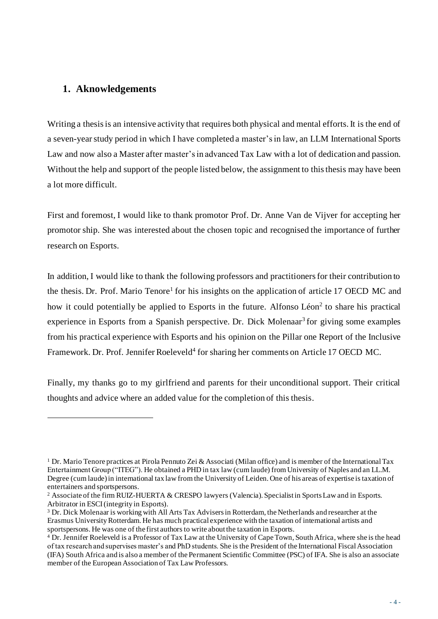# **1. Aknowledgements**

Writing a thesis is an intensive activity that requires both physical and mental efforts. It is the end of a seven-yearstudy period in which I have completed a master's in law, an LLM International Sports Law and now also a Master after master's in advanced Tax Law with a lot of dedication and passion. Without the help and support of the people listed below, the assignment to this thesis may have been a lot more difficult.

First and foremost, I would like to thank promotor Prof. Dr. Anne Van de Vijver for accepting her promotor ship. She was interested about the chosen topic and recognised the importance of further research on Esports.

In addition, I would like to thank the following professors and practitioners for their contribution to the thesis. Dr. Prof. Mario Tenore<sup>1</sup> for his insights on the application of article 17 OECD MC and how it could potentially be applied to Esports in the future. Alfonso  $Léon<sup>2</sup>$  to share his practical experience in Esports from a Spanish perspective. Dr. Dick Molenaar<sup>3</sup> for giving some examples from his practical experience with Esports and his opinion on the Pillar one Report of the Inclusive Framework. Dr. Prof. Jennifer Roeleveld<sup>4</sup> for sharing her comments on Article 17 OECD MC.

Finally, my thanks go to my girlfriend and parents for their unconditional support. Their critical thoughts and advice where an added value for the completion of this thesis.

<sup>1</sup> Dr. Mario Tenore practices at Pirola Pennuto Zei & Associati (Milan office) and is member of the International Tax Entertainment Group ("ITEG"). He obtained a PHD in tax law (cum laude) from University of Naples and an LL.M. Degree (cum laude) in international tax law from the University of Leiden. One of his areas of expertise is taxation of entertainers and sportspersons.

<sup>&</sup>lt;sup>2</sup> Associate of the firm RUIZ-HUERTA & CRESPO lawyers (Valencia). Specialist in Sports Law and in Esports. Arbitrator in ESCI (integrity in Esports).

<sup>3</sup> Dr. Dick Molenaar is working with All Arts Tax Advisers in Rotterdam, the Netherlands and researcher at the Erasmus University Rotterdam. He has much practical experience with the taxation of international artists and sportspersons. He was one of the first authors to write about the taxation in Esports.

<sup>&</sup>lt;sup>4</sup> Dr. Jennifer Roeleveld is a Professor of Tax Law at the University of Cape Town, South Africa, where she is the head of tax research and supervises master's and PhD students. She is the President of the International Fiscal Association (IFA) South Africa and is also a member of the Permanent Scientific Committee (PSC) of IFA. She is also an associate member of the European Association of Tax Law Professors.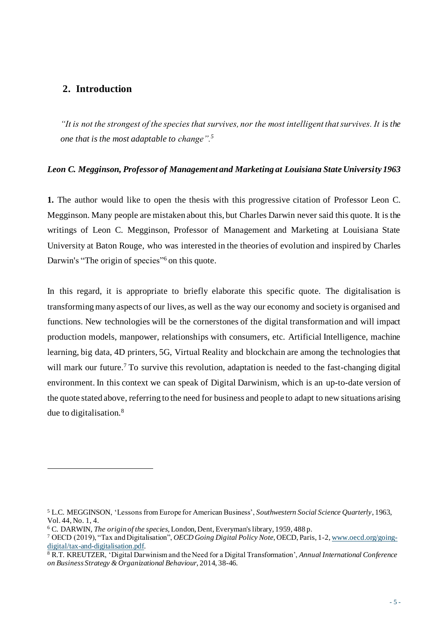# **2. Introduction**

*"It is not the strongest of the species that survives, nor the most intelligent that survives. It is the one that is the most adaptable to change".<sup>5</sup>*

# *Leon C. Megginson, Professor of Management and Marketing at Louisiana State University 1963*

**1.** The author would like to open the thesis with this progressive citation of Professor Leon C. Megginson. Many people are mistaken about this, but Charles Darwin never said this quote. It is the writings of Leon C. Megginson, Professor of Management and Marketing at Louisiana State University at Baton Rouge, who was interested in the theories of evolution and inspired by Charles Darwin's "The origin of species"<sup>6</sup> on this quote.

In this regard, it is appropriate to briefly elaborate this specific quote. The digitalisation is transforming many aspects of our lives, as well as the way our economy and society is organised and functions. New technologies will be the cornerstones of the digital transformation and will impact production models, manpower, relationships with consumers, etc. Artificial Intelligence, machine learning, big data, 4D printers, 5G, Virtual Reality and blockchain are among the technologies that will mark our future.<sup>7</sup> To survive this revolution, adaptation is needed to the fast-changing digital environment. In this context we can speak of Digital Darwinism, which is an up-to-date version of the quote stated above, referring to the need for business and people to adapt to new situations arising due to digitalisation.<sup>8</sup>

<sup>5</sup> L.C. MEGGINSON, 'Lessons from Europe for American Business', *Southwestern Social Science Quarterly*, 1963, Vol. 44, No. 1, 4.

<sup>6</sup> C. DARWIN, *The origin of the species*, London, Dent, Everyman's library, 1959, 488 p.

<sup>7</sup> OECD (2019), "Tax and Digitalisation", *OECD Going Digital Policy Note*, OECD, Paris, 1-2[, www.oecd.org/going](http://www.oecd.org/going-digital/tax-and-digitalisation.pdf)[digital/tax-and-digitalisation.pdf.](http://www.oecd.org/going-digital/tax-and-digitalisation.pdf)

<sup>8</sup> R.T. KREUTZER, 'Digital Darwinism and the Need for a Digital Transformation', *Annual International Conference on Business Strategy & Organizational Behaviour*, 2014, 38-46.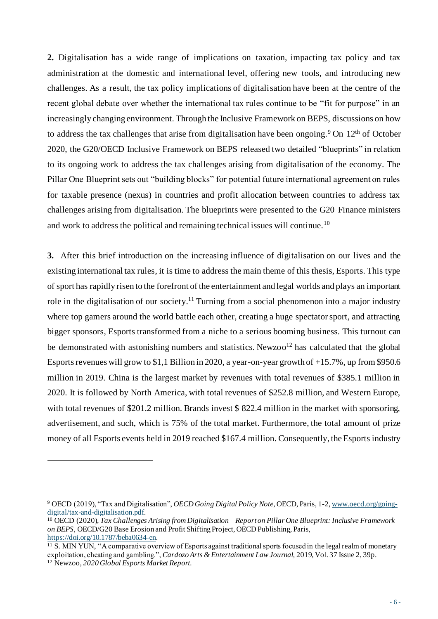**2.** Digitalisation has a wide range of implications on taxation, impacting tax policy and tax administration at the domestic and international level, offering new tools, and introducing new challenges. As a result, the tax policy implications of digitalisation have been at the centre of the recent global debate over whether the international tax rules continue to be "fit for purpose" in an increasingly changing environment. Through the Inclusive Framework on BEPS, discussions on how to address the tax challenges that arise from digitalisation have been ongoing.<sup>9</sup> On  $12<sup>th</sup>$  of October 2020, the G20/OECD Inclusive Framework on BEPS released two detailed "blueprints" in relation to its ongoing work to address the tax challenges arising from digitalisation of the economy. The Pillar One Blueprint sets out "building blocks" for potential future international agreement on rules for taxable presence (nexus) in countries and profit allocation between countries to address tax challenges arising from digitalisation. The blueprints were presented to the G20 Finance ministers and work to address the political and remaining technical issues will continue.<sup>10</sup>

**3.** After this brief introduction on the increasing influence of digitalisation on our lives and the existing international tax rules, it is time to address the main theme of this thesis, Esports. This type of sport has rapidly risen to the forefront of the entertainment and legal worlds and plays an important role in the digitalisation of our society.<sup>11</sup> Turning from a social phenomenon into a major industry where top gamers around the world battle each other, creating a huge spectator sport, and attracting bigger sponsors, Esports transformed from a niche to a serious booming business. This turnout can be demonstrated with astonishing numbers and statistics. Newzoo<sup>12</sup> has calculated that the global Esports revenues will grow to \$1,1 Billion in 2020, a year-on-year growth of +15.7%, up from \$950.6 million in 2019. China is the largest market by revenues with total revenues of \$385.1 million in 2020. It is followed by North America, with total revenues of \$252.8 million, and Western Europe, with total revenues of \$201.2 million. Brands invest \$ 822.4 million in the market with sponsoring, advertisement, and such, which is 75% of the total market. Furthermore, the total amount of prize money of all Esports events held in 2019 reached \$167.4 million. Consequently, the Esports industry

<sup>9</sup> OECD (2019), "Tax and Digitalisation", *OECD Going Digital Policy Note*, OECD, Paris, 1-2[, www.oecd.org/going](http://www.oecd.org/going-digital/tax-and-digitalisation.pdf)[digital/tax-and-digitalisation.pdf.](http://www.oecd.org/going-digital/tax-and-digitalisation.pdf)

<sup>10</sup> OECD (2020), *Tax Challenges Arising from Digitalisation – Report on Pillar One Blueprint: Inclusive Framework on BEPS*, OECD/G20 Base Erosion and Profit Shifting Project, OECD Publishing, Paris, <https://doi.org/10.1787/beba0634-en>.

<sup>11</sup> S. MIN YUN, "A comparative overview of Esports against traditional sports focused in the legal realm of monetary exploitation, cheating and gambling.", *Cardozo Arts & Entertainment Law Journal,* 2019, Vol. 37 Issue 2, 39p.

<sup>12</sup> Newzoo, *2020 Global Esports Market Report.*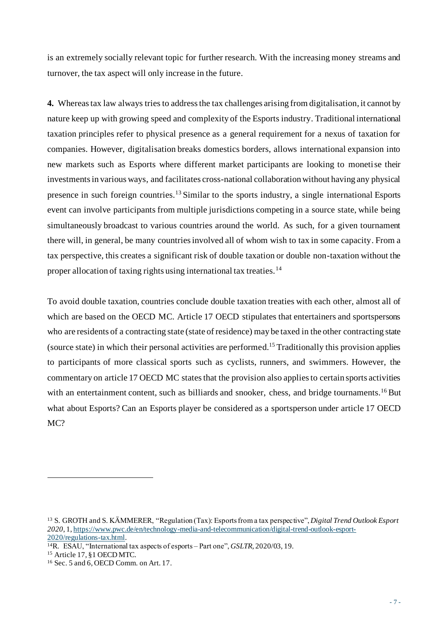is an extremely socially relevant topic for further research. With the increasing money streams and turnover, the tax aspect will only increase in the future.

**4.** Whereas tax law always tries to address the tax challenges arising from digitalisation, it cannot by nature keep up with growing speed and complexity of the Esports industry. Traditional international taxation principles refer to physical presence as a general requirement for a nexus of taxation for companies. However, digitalisation breaks domestics borders, allows international expansion into new markets such as Esports where different market participants are looking to monetise their investments in various ways, and facilitates cross-national collaboration without having any physical presence in such foreign countries.<sup>13</sup> Similar to the sports industry, a single international Esports event can involve participants from multiple jurisdictions competing in a source state, while being simultaneously broadcast to various countries around the world. As such, for a given tournament there will, in general, be many countries involved all of whom wish to tax in some capacity. From a tax perspective, this creates a significant risk of double taxation or double non-taxation without the proper allocation of taxing rights using international tax treaties.<sup>14</sup>

To avoid double taxation, countries conclude double taxation treaties with each other, almost all of which are based on the OECD MC. Article 17 OECD stipulates that entertainers and sportspersons who are residents of a contracting state (state of residence) may be taxed in the other contracting state (source state) in which their personal activities are performed. <sup>15</sup> Traditionally this provision applies to participants of more classical sports such as cyclists, runners, and swimmers. However, the commentary on article 17 OECD MC states that the provision also applies to certain sports activities with an entertainment content, such as billiards and snooker, chess, and bridge tournaments.<sup>16</sup> But what about Esports? Can an Esports player be considered as a sportsperson under article 17 OECD MC?

<sup>13</sup> S. GROTH and S. KÄMMERER, "Regulation (Tax): Esports from a tax perspective", *Digital Trend Outlook Esport 2020*, 1, [https://www.pwc.de/en/technology-media-and-telecommunication/digital-trend-outlook-esport-](https://www.pwc.de/en/technology-media-and-telecommunication/digital-trend-outlook-esport-2020/regulations-tax.html)[2020/regulations-tax.html.](https://www.pwc.de/en/technology-media-and-telecommunication/digital-trend-outlook-esport-2020/regulations-tax.html)

<sup>14</sup>R. ESAU, "International tax aspects of esports – Part one", *GSLTR,* 2020/03, 19.

<sup>15</sup> Article 17, §1 OECD MTC.

<sup>16</sup> Sec. 5 and 6, OECD Comm. on Art. 17.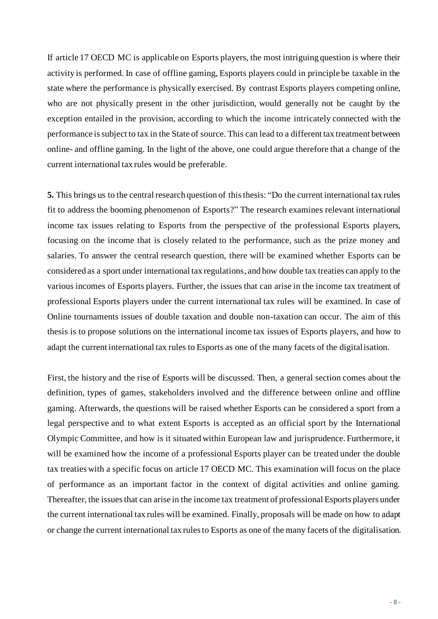If article 17 OECD MC is applicable on Esports players, the most intriguing question is where their activity is performed. In case of offline gaming, Esports players could in principle be taxable in the state where the performance is physically exercised. By contrast Esports players competing online, who are not physically present in the other jurisdiction, would generally not be caught by the exception entailed in the provision, according to which the income intricately connected with the performance is subject to tax in the State of source. This can lead to a different tax treatment between online- and offline gaming. In the light of the above, one could argue therefore that a change of the current international tax rules would be preferable.

**5.** This brings us to the central research question of this thesis: "Do the current international tax rules fit to address the booming phenomenon of Esports?" The research examines relevant international income tax issues relating to Esports from the perspective of the professional Esports players, focusing on the income that is closely related to the performance, such as the prize money and salaries. To answer the central research question, there will be examined whether Esports can be considered as a sport under international tax regulations, and how double tax treaties can apply to the various incomes of Esports players. Further, the issues that can arise in the income tax treatment of professional Esports players under the current international tax rules will be examined. In case of Online tournaments issues of double taxation and double non-taxation can occur. The aim of this thesis is to propose solutions on the international income tax issues of Esports players, and how to adapt the current international tax rules to Esports as one of the many facets of the digitalisation.

First, the history and the rise of Esports will be discussed. Then, a general section comes about the definition, types of games, stakeholders involved and the difference between online and offline gaming. Afterwards, the questions will be raised whether Esports can be considered a sport from a legal perspective and to what extent Esports is accepted as an official sport by the International Olympic Committee, and how is it situated within European law and jurisprudence. Furthermore, it will be examined how the income of a professional Esports player can be treated under the double tax treaties with a specific focus on article 17 OECD MC. This examination will focus on the place of performance as an important factor in the context of digital activities and online gaming. Thereafter, the issues that can arise in the income tax treatment of professional Esports players under the current international tax rules will be examined. Finally, proposals will be made on how to adapt or change the current international tax rules to Esports as one of the many facets of the digitalisation.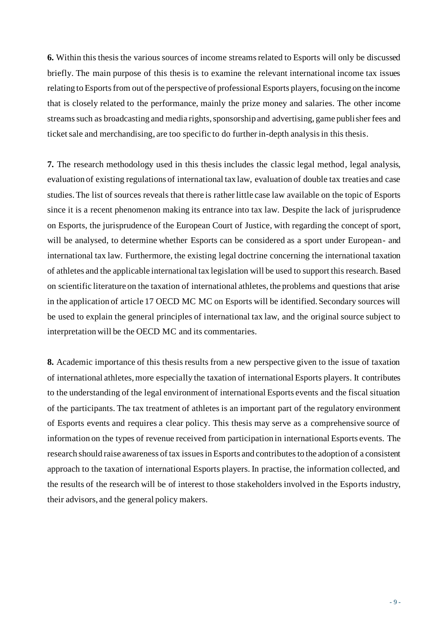**6.** Within this thesis the various sources of income streams related to Esports will only be discussed briefly. The main purpose of this thesis is to examine the relevant international income tax issues relating to Esports from out of the perspective of professional Esports players, focusing on the income that is closely related to the performance, mainly the prize money and salaries. The other income streams such as broadcasting and media rights, sponsorship and advertising, game publisher fees and ticket sale and merchandising, are too specific to do further in-depth analysis in this thesis.

**7.** The research methodology used in this thesis includes the classic legal method, legal analysis, evaluation of existing regulations of international tax law, evaluation of double tax treaties and case studies. The list of sources reveals that there is rather little case law available on the topic of Esports since it is a recent phenomenon making its entrance into tax law. Despite the lack of jurisprudence on Esports, the jurisprudence of the European Court of Justice, with regarding the concept of sport, will be analysed, to determine whether Esports can be considered as a sport under European- and international tax law. Furthermore, the existing legal doctrine concerning the international taxation of athletes and the applicable international tax legislation will be used to support this research.Based on scientific literature on the taxation of international athletes, the problems and questions that arise in the application of article 17 OECD MC MC on Esports will be identified. Secondary sources will be used to explain the general principles of international tax law, and the original source subject to interpretation will be the OECD MC and its commentaries.

**8.** Academic importance of this thesis results from a new perspective given to the issue of taxation of international athletes, more especially the taxation of international Esports players. It contributes to the understanding of the legal environment of international Esports events and the fiscal situation of the participants. The tax treatment of athletes is an important part of the regulatory environment of Esports events and requires a clear policy. This thesis may serve as a comprehensive source of information on the types of revenue received from participation in international Esports events. The research should raise awareness of tax issues in Esports and contributesto the adoption of a consistent approach to the taxation of international Esports players. In practise, the information collected, and the results of the research will be of interest to those stakeholders involved in the Esports industry, their advisors, and the general policy makers.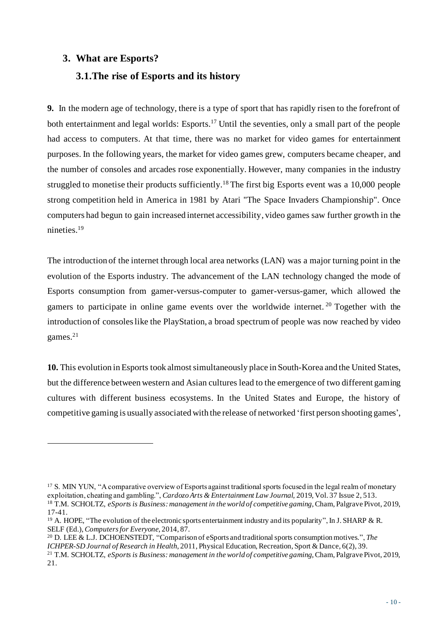# **3. What are Esports?**

# **3.1.The rise of Esports and its history**

**9.** In the modern age of technology, there is a type of sport that has rapidly risen to the forefront of both entertainment and legal worlds: Esports.<sup>17</sup> Until the seventies, only a small part of the people had access to computers. At that time, there was no market for video games for entertainment purposes. In the following years, the market for video games grew, computers became cheaper, and the number of consoles and arcades rose exponentially. However, many companies in the industry struggled to monetise their products sufficiently.<sup>18</sup> The first big Esports event was a 10,000 people strong competition held in America in 1981 by Atari "The Space Invaders Championship". Once computers had begun to gain increased internet accessibility, video games saw further growth in the nineties.<sup>19</sup>

The introduction of the internet through local area networks (LAN) was a major turning point in the evolution of the Esports industry. The advancement of the LAN technology changed the mode of Esports consumption from gamer-versus-computer to gamer-versus-gamer, which allowed the gamers to participate in online game events over the worldwide internet.<sup>20</sup> Together with the introduction of consoles like the PlayStation, a broad spectrum of people was now reached by video games.<sup>21</sup>

**10.** This evolution inEsports took almost simultaneously place in South-Korea and the United States, but the difference between western and Asian cultures lead to the emergence of two different gaming cultures with different business ecosystems. In the United States and Europe, the history of competitive gaming is usually associated with the release of networked 'first person shooting games',

<sup>&</sup>lt;sup>17</sup> S. MIN YUN, "A comparative overview of Esports against traditional sports focused in the legal realm of monetary exploitation, cheating and gambling.", *Cardozo Arts & Entertainment Law Journal,* 2019, Vol. 37 Issue 2, 513. <sup>18</sup> T.M. SCHOLTZ, *eSports is Business:management in the world of competitive gaming*, Cham, Palgrave Pivot, 2019, 17-41.

<sup>&</sup>lt;sup>19</sup> A. HOPE, "The evolution of the electronic sports entertainment industry and its popularity", In J. SHARP & R. SELF (Ed.), *Computers for Everyone*, 2014, 87.

<sup>20</sup> D. LEE & L.J. DCHOENSTEDT, "Comparison of eSports and traditional sports consumption motives.", *The ICHPER-SD Journal of Research in Health*, 2011, Physical Education, Recreation, Sport & Dance, 6(2), 39. <sup>21</sup> T.M. SCHOLTZ, *eSports is Business: management in the world of competitive gaming*, Cham, Palgrave Pivot, 2019, 21.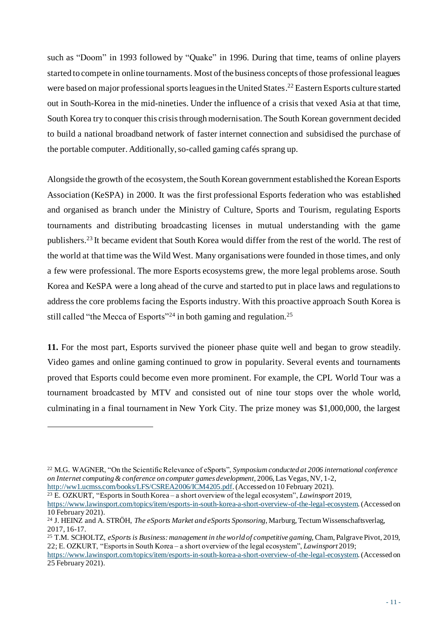such as "Doom" in 1993 followed by "Quake" in 1996. During that time, teams of online players started to compete in online tournaments. Most of the business concepts of those professional leagues were based on major professional sports leagues in the United States.<sup>22</sup> Eastern Esports culture started out in South-Korea in the mid-nineties. Under the influence of a crisis that vexed Asia at that time, South Korea try to conquer this crisis through modernisation. The South Korean government decided to build a national broadband network of faster internet connection and subsidised the purchase of the portable computer. Additionally, so-called gaming cafés sprang up.

Alongside the growth of the ecosystem, the South Korean government established the Korean Esports Association (KeSPA) in 2000. It was the first professional Esports federation who was established and organised as branch under the Ministry of Culture, Sports and Tourism, regulating Esports tournaments and distributing broadcasting licenses in mutual understanding with the game publishers.<sup>23</sup> It became evident that South Korea would differ from the rest of the world. The rest of the world at that time was the Wild West. Many organisations were founded in those times, and only a few were professional. The more Esports ecosystems grew, the more legal problems arose. South Korea and KeSPA were a long ahead of the curve and started to put in place laws and regulations to address the core problems facing the Esports industry. With this proactive approach South Korea is still called "the Mecca of Esports"<sup>24</sup> in both gaming and regulation.<sup>25</sup>

**11.** For the most part, Esports survived the pioneer phase quite well and began to grow steadily. Video games and online gaming continued to grow in popularity. Several events and tournaments proved that Esports could become even more prominent. For example, the CPL World Tour was a tournament broadcasted by MTV and consisted out of nine tour stops over the whole world, culminating in a final tournament in New York City. The prize money was \$1,000,000, the largest

<sup>23</sup> E. OZKURT, "Esports in South Korea – a short overview of the legal ecosystem", *Lawinsport* 2019,

<sup>22</sup> M.G. WAGNER, "On the Scientific Relevance of eSports", *Symposium conducted at 2006 international conference on Internet computing & conference on computer games development*, 2006, Las Vegas, NV, 1-2, [http://ww1.ucmss.com/books/LFS/CSREA2006/ICM4205.pdf.](http://ww1.ucmss.com/books/LFS/CSREA2006/ICM4205.pdf)(Accessed on 10 February 2021).

<https://www.lawinsport.com/topics/item/esports-in-south-korea-a-short-overview-of-the-legal-ecosystem>. (Accessed on 10 February 2021).

<sup>24</sup> J. HEINZ and A. STRÖH, *The eSports Market and eSports Sponsoring*, Marburg, Tectum Wissenschaftsverlag, 2017, 16-17.

<sup>25</sup> T.M. SCHOLTZ, *eSports is Business: management in the world of competitive gaming,* Cham, Palgrave Pivot, 2019, 22; E. OZKURT, "Esports in South Korea – a short overview of the legal ecosystem", *Lawinsport* 2019;

<https://www.lawinsport.com/topics/item/esports-in-south-korea-a-short-overview-of-the-legal-ecosystem>. (Accessed on 25 February 2021).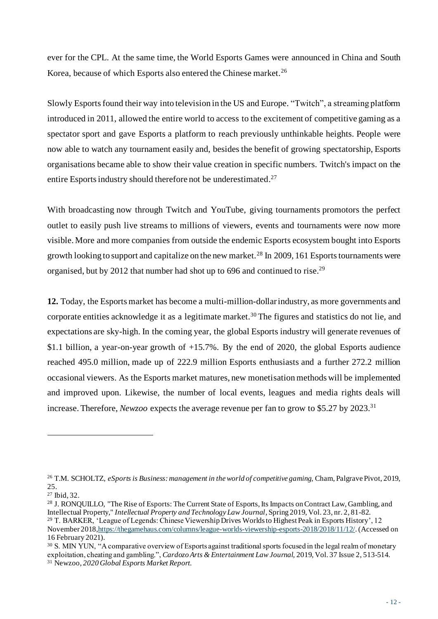ever for the CPL. At the same time, the World Esports Games were announced in China and South Korea, because of which Esports also entered the Chinese market.<sup>26</sup>

Slowly Esports found their way into television in the US and Europe. "Twitch", a streaming platform introduced in 2011, allowed the entire world to access to the excitement of competitive gaming as a spectator sport and gave Esports a platform to reach previously unthinkable heights. People were now able to watch any tournament easily and, besides the benefit of growing spectatorship, Esports organisations became able to show their value creation in specific numbers. Twitch's impact on the entire Esports industry should therefore not be underestimated.<sup>27</sup>

With broadcasting now through Twitch and YouTube, giving tournaments promotors the perfect outlet to easily push live streams to millions of viewers, events and tournaments were now more visible. More and more companies from outside the endemic Esports ecosystem bought into Esports growth looking to support and capitalize on the new market.<sup>28</sup> In 2009, 161 Esports tournaments were organised, but by 2012 that number had shot up to 696 and continued to rise.<sup>29</sup>

**12.** Today, the Esports market has become a multi-million-dollarindustry, as more governments and corporate entities acknowledge it as a legitimate market.<sup>30</sup> The figures and statistics do not lie, and expectations are sky-high. In the coming year, the global Esports industry will generate revenues of \$1.1 billion, a year-on-year growth of +15.7%. By the end of 2020, the global Esports audience reached 495.0 million, made up of 222.9 million Esports enthusiasts and a further 272.2 million occasional viewers. As the Esports market matures, new monetisationmethods will be implemented and improved upon. Likewise, the number of local events, leagues and media rights deals will increase. Therefore, *Newzoo* expects the average revenue per fan to grow to \$5.27 by 2023.<sup>31</sup>

<sup>26</sup> T.M. SCHOLTZ, *eSports is Business: management in the world of competitive gaming,* Cham, Palgrave Pivot, 2019, 25.

<sup>27</sup> Ibid, 32.

<sup>&</sup>lt;sup>28</sup> J. RONQUILLO, "The Rise of Esports: The Current State of Esports, Its Impacts on Contract Law, Gambling, and Intellectual Property," *Intellectual Property and Technology Law Journal*, Spring 2019, Vol. 23, nr. 2, 81-82. <sup>29</sup> T. BARKER, 'League of Legends: Chinese Viewership Drives Worlds to Highest Peak in Esports History', 12 November 201[8,https://thegamehaus.com/columns/league-worlds-viewership-esports-2018/2018/11/12/](https://thegamehaus.com/columns/league-worlds-viewership-esports-2018/2018/11/12/). (Accessed on 16 February 2021).

<sup>&</sup>lt;sup>30</sup> S. MIN YUN, "A comparative overview of Esports against traditional sports focused in the legal realm of monetary exploitation, cheating and gambling.", *Cardozo Arts & Entertainment Law Journal,* 2019, Vol. 37 Issue 2, 513-514.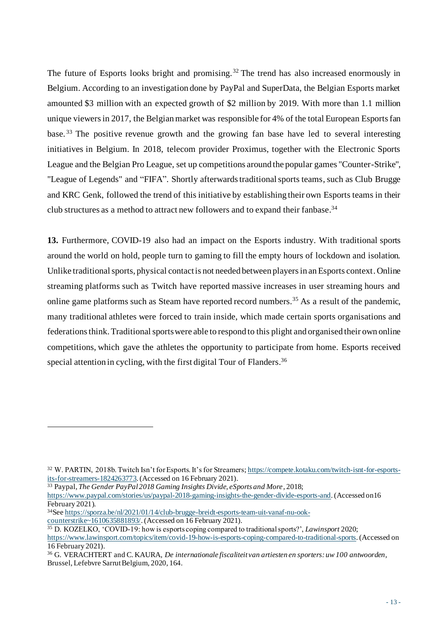The future of Esports looks bright and promising.<sup>32</sup> The trend has also increased enormously in Belgium. According to an investigation done by PayPal and SuperData, the Belgian Esports market amounted \$3 million with an expected growth of \$2 million by 2019. With more than 1.1 million unique viewers in 2017, the Belgian market was responsible for 4% of the total European Esports fan base. <sup>33</sup> The positive revenue growth and the growing fan base have led to several interesting initiatives in Belgium. In 2018, telecom provider Proximus, together with the Electronic Sports League and the Belgian Pro League, set up competitions around the popular games "Counter-Strike", "League of Legends" and "FIFA". Shortly afterwards traditional sports teams, such as Club Brugge and KRC Genk, followed the trend of this initiative by establishing their own Esports teams in their club structures as a method to attract new followers and to expand their fanbase.<sup>34</sup>

**13.** Furthermore, COVID-19 also had an impact on the Esports industry. With traditional sports around the world on hold, people turn to gaming to fill the empty hours of lockdown and isolation. Unlike traditional sports, physical contact is not needed between players in an Esports context. Online streaming platforms such as Twitch have reported massive increases in user streaming hours and online game platforms such as Steam have reported record numbers.<sup>35</sup> As a result of the pandemic, many traditional athletes were forced to train inside, which made certain sports organisations and federations think. Traditional sports were able to respond to this plight and organised their own online competitions, which gave the athletes the opportunity to participate from home. Esports received special attention in cycling, with the first digital Tour of Flanders.<sup>36</sup>

<sup>33</sup> Paypal, *The Gender PayPal 2018 Gaming Insights Divide, eSports and More,* 2018; <https://www.paypal.com/stories/us/paypal-2018-gaming-insights-the-gender-divide-esports-and>. (Accessed on16 February 2021).

<sup>32</sup> W. PARTIN, 2018b. Twitch Isn't for Esports. It's for Streamers; [https://compete.kotaku.com/twitch-isnt-for-esports](https://compete.kotaku.com/twitch-isnt-for-esports-its-for-streamers-1824263773)[its-for-streamers-1824263773](https://compete.kotaku.com/twitch-isnt-for-esports-its-for-streamers-1824263773). (Accessed on 16 February 2021).

<sup>34</sup>Se[e https://sporza.be/nl/2021/01/14/club-brugge-breidt-esports-team-uit-vanaf-nu-ook-](https://sporza.be/nl/2021/01/14/club-brugge-breidt-esports-team-uit-vanaf-nu-ook-counterstrike~1610635881893/)

[counterstrike~1610635881893/](https://sporza.be/nl/2021/01/14/club-brugge-breidt-esports-team-uit-vanaf-nu-ook-counterstrike~1610635881893/). (Accessed on 16 February 2021).

<sup>35</sup> D. KOZELKO, 'COVID-19: how is esports coping compared to traditional sports?', *Lawinsport* 2020;

<https://www.lawinsport.com/topics/item/covid-19-how-is-esports-coping-compared-to-traditional-sports>. (Accessed on 16 February 2021).

<sup>36</sup> G. VERACHTERT and C. KAURA, *De internationale fiscaliteit van artiesten en sporters: uw 100 antwoorden*, Brussel, Lefebvre Sarrut Belgium, 2020, 164.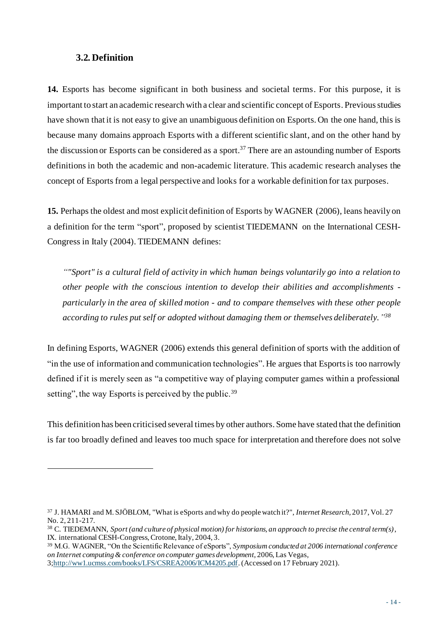#### **3.2. Definition**

**14.** Esports has become significant in both business and societal terms. For this purpose, it is important to start an academic research with a clear and scientific concept of Esports. Previous studies have shown that it is not easy to give an unambiguous definition on Esports. On the one hand, this is because many domains approach Esports with a different scientific slant, and on the other hand by the discussion or Esports can be considered as a sport.<sup>37</sup> There are an astounding number of Esports definitions in both the academic and non-academic literature. This academic research analyses the concept of Esports from a legal perspective and looks for a workable definition for tax purposes.

**15.** Perhaps the oldest and most explicit definition of Esports by WAGNER (2006), leans heavily on a definition for the term "sport", proposed by scientist TIEDEMANN on the International CESH-Congress in Italy (2004). TIEDEMANN defines:

*""Sport" is a cultural field of activity in which human beings voluntarily go into a relation to other people with the conscious intention to develop their abilities and accomplishments particularly in the area of skilled motion - and to compare themselves with these other people according to rules put self or adopted without damaging them or themselves deliberately." 38*

In defining Esports, WAGNER (2006) extends this general definition of sports with the addition of "in the use of information and communication technologies". He argues that Esports is too narrowly defined if it is merely seen as "a competitive way of playing computer games within a professional setting", the way Esports is perceived by the public.<sup>39</sup>

This definition has been criticised several times by other authors. Some have stated that the definition is far too broadly defined and leaves too much space for interpretation and therefore does not solve

<sup>37</sup> J. HAMARI and M. SJÖBLOM, "What is eSports and why do people watch it?", *Internet Research*, 2017, Vol. 27 No. 2, 211-217.

<sup>38</sup> C. TIEDEMANN, *Sport (and culture of physical motion) for historians, an approach to precise the central term(s)*, IX. international CESH-Congress, Crotone, Italy, 2004, 3.

<sup>39</sup> M.G. WAGNER, "On the Scientific Relevance of eSports", *Symposium conducted at 2006 international conference on Internet computing & conference on computer games development*, 2006, Las Vegas,

[<sup>3;</sup>http://ww1.ucmss.com/books/LFS/CSREA2006/ICM4205.pdf.](http://ww1.ucmss.com/books/LFS/CSREA2006/ICM4205.pdf)(Accessed on 17 February 2021).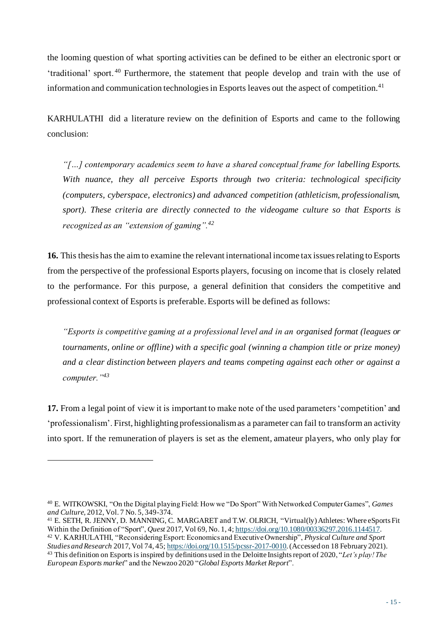the looming question of what sporting activities can be defined to be either an electronic sport or 'traditional' sport. <sup>40</sup> Furthermore, the statement that people develop and train with the use of information and communication technologies in Esports leaves out the aspect of competition.<sup>41</sup>

KARHULATHI did a literature review on the definition of Esports and came to the following conclusion:

*"[…] contemporary academics seem to have a shared conceptual frame for labelling Esports. With nuance, they all perceive Esports through two criteria: technological specificity (computers, cyberspace, electronics) and advanced competition (athleticism, professionalism, sport). These criteria are directly connected to the videogame culture so that Esports is recognized as an "extension of gaming".<sup>42</sup>*

**16.** This thesis has the aim to examine the relevant international income tax issues relating to Esports from the perspective of the professional Esports players, focusing on income that is closely related to the performance. For this purpose, a general definition that considers the competitive and professional context of Esports is preferable.Esports will be defined as follows:

*"Esports is competitive gaming at a professional level and in an organised format (leagues or tournaments, online or offline) with a specific goal (winning a champion title or prize money) and a clear distinction between players and teams competing against each other or against a computer."<sup>43</sup>*

**17.** From a legal point of view it is important to make note of the used parameters 'competition' and 'professionalism'. First, highlighting professionalism as a parameter can fail to transform an activity into sport. If the remuneration of players is set as the element, amateur players, who only play for

<sup>40</sup> E. WITKOWSKI, "On the Digital playing Field: How we "Do Sport" With Networked Computer Games", *Games and Culture,* 2012, Vol. 7 No. 5, 349-374.

<sup>41</sup> E. SETH, R. JENNY, D. MANNING, C. MARGARET and T.W. OLRICH, "Virtual(ly) Athletes: Where eSports Fit Within the Definition of "Sport", *Quest* 2017, Vol 69, No. 1, 4[; https://doi.org/10.1080/00336297.2016.1144517](https://doi.org/10.1080/00336297.2016.1144517).

<sup>42</sup> V. KARHULATHI, "Reconsidering Esport: Economics and Executive Ownership", *Physical Culture and Sport Studies and Research* 2017, Vol 74, 45[; https://doi.org/10.1515/pcssr-2017-0010](https://doi.org/10.1515/pcssr-2017-0010). (Accessed on 18 February 2021). <sup>43</sup> This definition on Esports is inspired by definitions used in the Deloitte Insights report of 2020, "*Let's play! The European Esports market*" and the Newzoo 2020 "*Global Esports Market Report*".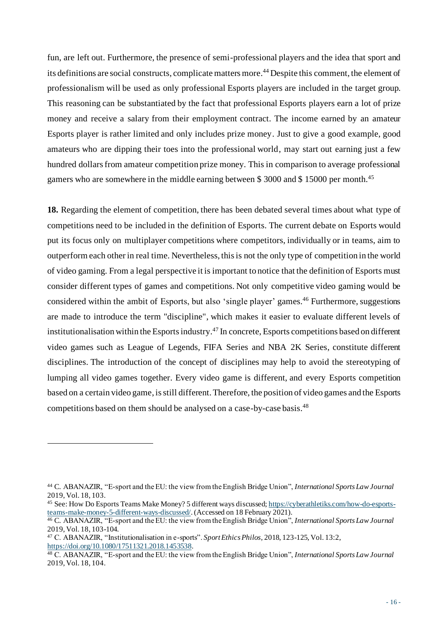fun, are left out. Furthermore, the presence of semi-professional players and the idea that sport and its definitions are social constructs, complicate matters more. <sup>44</sup> Despite this comment, the element of professionalism will be used as only professional Esports players are included in the target group. This reasoning can be substantiated by the fact that professional Esports players earn a lot of prize money and receive a salary from their employment contract. The income earned by an amateur Esports player is rather limited and only includes prize money. Just to give a good example, good amateurs who are dipping their toes into the professional world, may start out earning just a few hundred dollars from amateur competition prize money. This in comparison to average professional gamers who are somewhere in the middle earning between \$ 3000 and \$ 15000 per month.<sup>45</sup>

**18.** Regarding the element of competition, there has been debated several times about what type of competitions need to be included in the definition of Esports. The current debate on Esports would put its focus only on multiplayer competitions where competitors, individually or in teams, aim to outperform each other in real time. Nevertheless, this is not the only type of competition in the world of video gaming. From a legal perspective it is important to notice that the definition of Esports must consider different types of games and competitions. Not only competitive video gaming would be considered within the ambit of Esports, but also 'single player' games.<sup>46</sup> Furthermore, suggestions are made to introduce the term "discipline", which makes it easier to evaluate different levels of institutionalisation within the Esports industry. <sup>47</sup> In concrete, Esports competitions based on different video games such as League of Legends, FIFA Series and NBA 2K Series, constitute different disciplines. The introduction of the concept of disciplines may help to avoid the stereotyping of lumping all video games together. Every video game is different, and every Esports competition based on a certain video game, is still different. Therefore, the position of video games and the Esports competitions based on them should be analysed on a case-by-case basis.<sup>48</sup>

<sup>44</sup> C. ABANAZIR, "E-sport and the EU: the view from the English Bridge Union", *International Sports Law Journal*  2019, Vol. 18, 103.

<sup>45</sup> See: How Do Esports Teams Make Money? 5 different ways discusse[d; https://cyberathletiks.com/how-do-esports](https://cyberathletiks.com/how-do-esports-teams-make-money-5-different-ways-discussed/)[teams-make-money-5-different-ways-discussed/](https://cyberathletiks.com/how-do-esports-teams-make-money-5-different-ways-discussed/). (Accessed on 18 February 2021).

<sup>46</sup> C. ABANAZIR, "E-sport and the EU: the view from the English Bridge Union", *International Sports Law Journal*  2019, Vol. 18, 103-104.

<sup>47</sup> C. ABANAZIR, "Institutionalisation in e-sports". *Sport Ethics Philos,* 2018, 123-125, Vol. 13:2, <https://doi.org/10.1080/17511321.2018.1453538>.

<sup>48</sup> C. ABANAZIR, "E-sport and the EU: the view from the English Bridge Union", *International Sports Law Journal*  2019, Vol. 18, 104.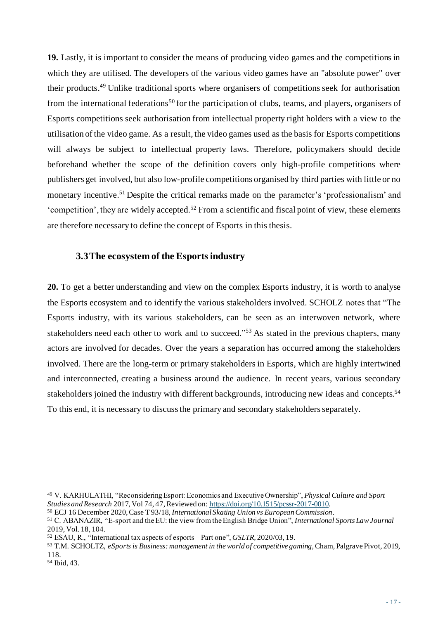**19.** Lastly, it is important to consider the means of producing video games and the competitions in which they are utilised. The developers of the various video games have an "absolute power" over their products. <sup>49</sup> Unlike traditional sports where organisers of competitions seek for authorisation from the international federations<sup>50</sup> for the participation of clubs, teams, and players, organisers of Esports competitions seek authorisation from intellectual property right holders with a view to the utilisation of the video game. As a result, the video games used as the basis for Esports competitions will always be subject to intellectual property laws. Therefore, policymakers should decide beforehand whether the scope of the definition covers only high-profile competitions where publishers get involved, but also low-profile competitions organised by third parties with little or no monetary incentive.<sup>51</sup> Despite the critical remarks made on the parameter's 'professionalism' and 'competition', they are widely accepted. <sup>52</sup> From a scientific and fiscal point of view, these elements are therefore necessary to define the concept of Esports in this thesis.

#### **3.3The ecosystem of the Esports industry**

**20.** To get a better understanding and view on the complex Esports industry, it is worth to analyse the Esports ecosystem and to identify the various stakeholders involved. SCHOLZ notes that "The Esports industry, with its various stakeholders, can be seen as an interwoven network, where stakeholders need each other to work and to succeed."<sup>53</sup> As stated in the previous chapters, many actors are involved for decades. Over the years a separation has occurred among the stakeholders involved. There are the long-term or primary stakeholders in Esports, which are highly intertwined and interconnected, creating a business around the audience. In recent years, various secondary stakeholders joined the industry with different backgrounds, introducing new ideas and concepts.<sup>54</sup> To this end, it is necessary to discuss the primary and secondary stakeholders separately.

<sup>49</sup> V. KARHULATHI, "Reconsidering Esport: Economics and Executive Ownership", *Physical Culture and Sport Studies and Research* 2017, Vol 74, 47, Reviewed on[: https://doi.org/10.1515/pcssr-2017-0010.](https://doi.org/10.1515/pcssr-2017-0010)

<sup>50</sup> ECJ 16 December 2020, Case T 93/18, *International Skating Union vs European Commission*. <sup>51</sup> C. ABANAZIR, "E-sport and the EU: the view from the English Bridge Union", *International Sports Law Journal*  2019, Vol. 18, 104.

<sup>52</sup> ESAU, R., "International tax aspects of esports – Part one", *GSLTR,* 2020/03, 19.

<sup>53</sup> T.M. SCHOLTZ, *eSports is Business: management in the world of competitive gaming*, Cham, Palgrave Pivot, 2019, 118.

<sup>54</sup> Ibid, 43.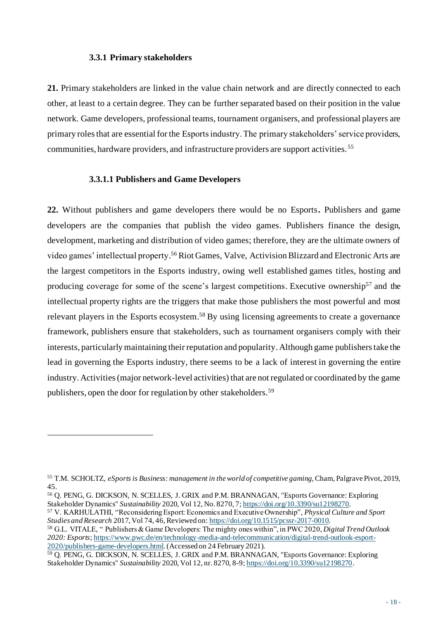#### **3.3.1 Primary stakeholders**

**21.** Primary stakeholders are linked in the value chain network and are directly connected to each other, at least to a certain degree. They can be further separated based on their position in the value network. Game developers, professional teams, tournament organisers, and professional players are primary roles that are essential for the Esports industry. The primary stakeholders' service providers, communities, hardware providers, and infrastructure providers are support activities. <sup>55</sup>

#### **3.3.1.1 Publishers and Game Developers**

**22.** Without publishers and game developers there would be no Esports**.** Publishers and game developers are the companies that publish the video games. Publishers finance the design, development, marketing and distribution of video games; therefore, they are the ultimate owners of video games' intellectual property.<sup>56</sup> Riot Games, Valve, Activision Blizzard and Electronic Arts are the largest competitors in the Esports industry, owing well established games titles, hosting and producing coverage for some of the scene's largest competitions. Executive ownership<sup>57</sup> and the intellectual property rights are the triggers that make those publishers the most powerful and most relevant players in the Esports ecosystem.<sup>58</sup> By using licensing agreements to create a governance framework, publishers ensure that stakeholders, such as tournament organisers comply with their interests, particularly maintaining their reputation and popularity. Although game publishers take the lead in governing the Esports industry, there seems to be a lack of interest in governing the entire industry. Activities (major network-level activities) that are not regulated or coordinated by the game publishers, open the door for regulation by other stakeholders.<sup>59</sup>

<sup>58</sup> G.L. VITALE, " Publishers & Game Developers: The mighty ones within", in PWC 2020, *Digital Trend Outlook 2020: Esports*[; https://www.pwc.de/en/technology-media-and-telecommunication/digital-trend-outlook-esport-](https://www.pwc.de/en/technology-media-and-telecommunication/digital-trend-outlook-esport-2020/publishers-game-developers.html)[2020/publishers-game-developers.html](https://www.pwc.de/en/technology-media-and-telecommunication/digital-trend-outlook-esport-2020/publishers-game-developers.html). (Accessed on 24 February 2021).

<sup>55</sup> T.M. SCHOLTZ, *eSports is Business: management in the world of competitive gaming*, Cham, Palgrave Pivot, 2019, 45.

<sup>56</sup> Q. PENG, G. DICKSON, N. SCELLES, J. GRIX and P.M. BRANNAGAN, "Esports Governance: Exploring Stakeholder Dynamics" *Sustainability* 2020, Vol 12, No. 8270, 7; <https://doi.org/10.3390/su12198270>.

<sup>57</sup> V. KARHULATHI, "Reconsidering Esport: Economics and Executive Ownership", *Physical Culture and Sport Studies and Research* 2017, Vol 74, 46, Reviewed on[: https://doi.org/10.1515/pcssr-2017-0010.](https://doi.org/10.1515/pcssr-2017-0010)

<sup>&</sup>lt;sup>59</sup> Q. PENG, G. DICKSON, N. SCELLES, J. GRIX and P.M. BRANNAGAN, "Esports Governance: Exploring Stakeholder Dynamics" *Sustainability* 2020, Vol 12, nr. 8270, 8-9; <https://doi.org/10.3390/su12198270>.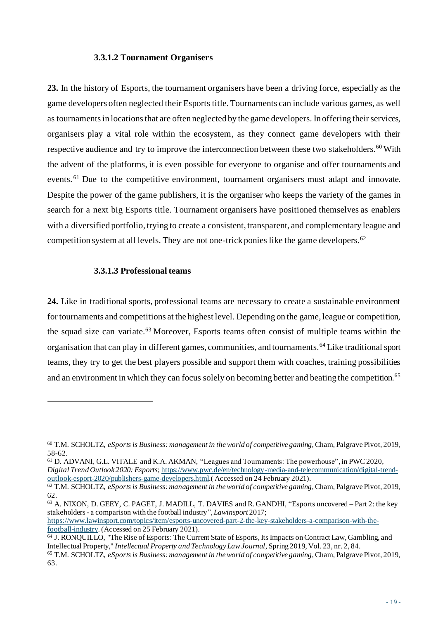#### **3.3.1.2 Tournament Organisers**

**23.** In the history of Esports, the tournament organisers have been a driving force, especially as the game developers often neglected their Esports title. Tournaments can include various games, as well as tournaments in locations that are often neglected by the game developers. In offering their services, organisers play a vital role within the ecosystem, as they connect game developers with their respective audience and try to improve the interconnection between these two stakeholders.<sup>60</sup> With the advent of the platforms, it is even possible for everyone to organise and offer tournaments and events.<sup>61</sup> Due to the competitive environment, tournament organisers must adapt and innovate. Despite the power of the game publishers, it is the organiser who keeps the variety of the games in search for a next big Esports title. Tournament organisers have positioned themselves as enablers with a diversified portfolio, trying to create a consistent, transparent, and complementary league and competition system at all levels. They are not one-trick ponies like the game developers.<sup>62</sup>

#### **3.3.1.3 Professional teams**

**24.** Like in traditional sports, professional teams are necessary to create a sustainable environment for tournaments and competitions at the highest level. Depending on the game, league or competition, the squad size can variate.<sup>63</sup> Moreover, Esports teams often consist of multiple teams within the organisation that can play in different games, communities, and tournaments.<sup>64</sup> Like traditional sport teams, they try to get the best players possible and support them with coaches, training possibilities and an environment in which they can focus solely on becoming better and beating the competition.<sup>65</sup>

<sup>63</sup> A. NIXON, D. GEEY, C. PAGET, J. MADILL, T. DAVIES and R. GANDHI, "Esports uncovered – Part 2: the key stakeholders - a comparison with the football industry", *Lawinsport* 2017; [https://www.lawinsport.com/topics/item/esports-uncovered-part-2-the-key-stakeholders-a-comparison-with-the-](https://www.lawinsport.com/topics/item/esports-uncovered-part-2-the-key-stakeholders-a-comparison-with-the-football-industry)

[football-industry](https://www.lawinsport.com/topics/item/esports-uncovered-part-2-the-key-stakeholders-a-comparison-with-the-football-industry). (Accessed on 25 February 2021).

<sup>60</sup> T.M. SCHOLTZ, *eSports is Business: management in the world of competitive gaming*, Cham, Palgrave Pivot, 2019, 58-62.

<sup>61</sup> D. ADVANI, G.L. VITALE and K.A. AKMAN, "Leagues and Tournaments: The powerhouse", in PWC 2020, *Digital Trend Outlook 2020: Esports*; [https://www.pwc.de/en/technology-media-and-telecommunication/digital-trend](https://www.pwc.de/en/technology-media-and-telecommunication/digital-trend-outlook-esport-2020/publishers-game-developers.html)[outlook-esport-2020/publishers-game-developers.html](https://www.pwc.de/en/technology-media-and-telecommunication/digital-trend-outlook-esport-2020/publishers-game-developers.html).( Accessed on 24 February 2021).

<sup>62</sup> T.M. SCHOLTZ, *eSports is Business: management in the world of competitive gaming*, Cham, Palgrave Pivot, 2019, 62.

<sup>64</sup> J. RONQUILLO, "The Rise of Esports: The Current State of Esports, Its Impacts on Contract Law, Gambling, and Intellectual Property," *Intellectual Property and Technology Law Journal*, Spring 2019, Vol. 23, nr. 2, 84. <sup>65</sup> T.M. SCHOLTZ, *eSports is Business: management in the world of competitive gaming*, Cham, Palgrave Pivot, 2019, 63.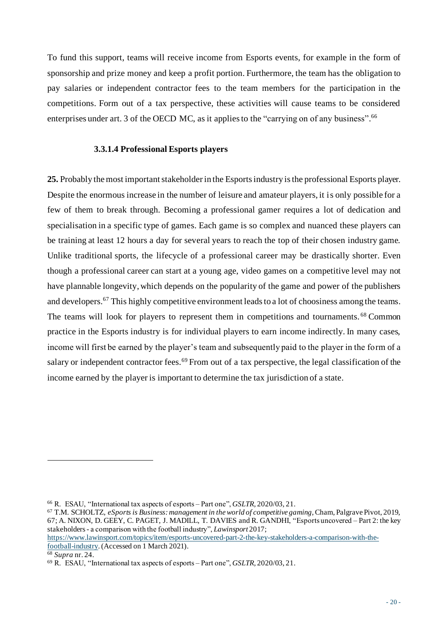To fund this support, teams will receive income from Esports events, for example in the form of sponsorship and prize money and keep a profit portion. Furthermore, the team has the obligation to pay salaries or independent contractor fees to the team members for the participation in the competitions. Form out of a tax perspective, these activities will cause teams to be considered enterprises under art. 3 of the OECD MC, as it applies to the "carrying on of any business".<sup>66</sup>

#### **3.3.1.4 Professional Esports players**

**25.** Probably the most important stakeholder in the Esports industry is the professional Esports player. Despite the enormous increase in the number of leisure and amateur players, it is only possible for a few of them to break through. Becoming a professional gamer requires a lot of dedication and specialisation in a specific type of games. Each game is so complex and nuanced these players can be training at least 12 hours a day for several years to reach the top of their chosen industry game. Unlike traditional sports, the lifecycle of a professional career may be drastically shorter. Even though a professional career can start at a young age, video games on a competitive level may not have plannable longevity, which depends on the popularity of the game and power of the publishers and developers.<sup>67</sup> This highly competitive environment leads to a lot of choosiness among the teams. The teams will look for players to represent them in competitions and tournaments. <sup>68</sup> Common practice in the Esports industry is for individual players to earn income indirectly. In many cases, income will first be earned by the player's team and subsequently paid to the player in the form of a salary or independent contractor fees.<sup>69</sup> From out of a tax perspective, the legal classification of the income earned by the player is important to determine the tax jurisdiction of a state.

[https://www.lawinsport.com/topics/item/esports-uncovered-part-2-the-key-stakeholders-a-comparison-with-the](https://www.lawinsport.com/topics/item/esports-uncovered-part-2-the-key-stakeholders-a-comparison-with-the-football-industry)[football-industry](https://www.lawinsport.com/topics/item/esports-uncovered-part-2-the-key-stakeholders-a-comparison-with-the-football-industry).(Accessed on 1 March 2021).

<sup>66</sup> R. ESAU, "International tax aspects of esports – Part one", *GSLTR,* 2020/03, 21.

<sup>67</sup> T.M. SCHOLTZ, *eSports is Business: management in the world of competitive gaming*, Cham, Palgrave Pivot, 2019, 67; A. NIXON, D. GEEY, C. PAGET, J. MADILL, T. DAVIES and R. GANDHI, "Esports uncovered – Part 2: the key stakeholders - a comparison with the football industry", *Lawinsport* 2017;

<sup>68</sup> *Supra* nr. 24.

<sup>69</sup> R. ESAU, "International tax aspects of esports – Part one", *GSLTR,* 2020/03, 21.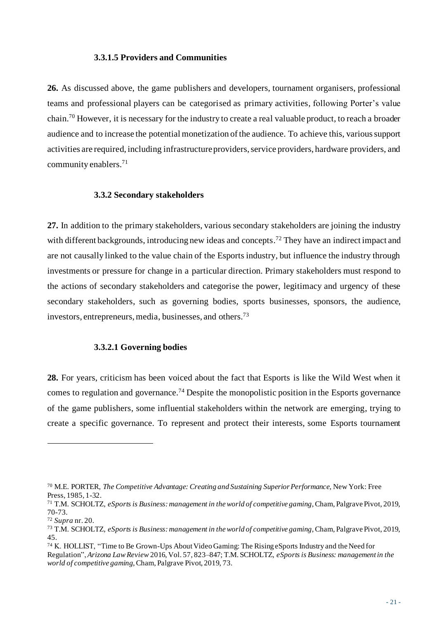#### **3.3.1.5 Providers and Communities**

**26.** As discussed above, the game publishers and developers, tournament organisers, professional teams and professional players can be categorised as primary activities, following Porter's value chain.<sup>70</sup> However, it is necessary for the industry to create a real valuable product, to reach a broader audience and to increase the potential monetization of the audience. To achieve this, various support activities are required, including infrastructure providers, service providers, hardware providers, and community enablers.<sup>71</sup>

#### **3.3.2 Secondary stakeholders**

**27.** In addition to the primary stakeholders, various secondary stakeholders are joining the industry with different backgrounds, introducing new ideas and concepts.<sup>72</sup> They have an indirect impact and are not causally linked to the value chain of the Esports industry, but influence the industry through investments or pressure for change in a particular direction. Primary stakeholders must respond to the actions of secondary stakeholders and categorise the power, legitimacy and urgency of these secondary stakeholders, such as governing bodies, sports businesses, sponsors, the audience, investors, entrepreneurs, media, businesses, and others.<sup>73</sup>

#### **3.3.2.1 Governing bodies**

**28.** For years, criticism has been voiced about the fact that Esports is like the Wild West when it comes to regulation and governance.<sup>74</sup> Despite the monopolistic position in the Esports governance of the game publishers, some influential stakeholders within the network are emerging, trying to create a specific governance. To represent and protect their interests, some Esports tournament

<sup>70</sup> M.E. PORTER, *The Competitive Advantage: Creating and Sustaining Superior Performance,* New York: Free Press, 1985, 1-32.

<sup>71</sup> T.M. SCHOLTZ, *eSports is Business: management in the world of competitive gaming*, Cham, Palgrave Pivot, 2019, 70-73.

<sup>72</sup> *Supra* nr. 20.

<sup>73</sup> T.M. SCHOLTZ, *eSports is Business: management in the world of competitive gaming*, Cham, Palgrave Pivot, 2019, 45.

<sup>74</sup> K. HOLLIST, "Time to Be Grown-Ups About Video Gaming: The Rising eSports Industry and the Need for Regulation", *Arizona Law Review* 2016, Vol. 57, 823–847; T.M. SCHOLTZ, *eSports is Business: management in the world of competitive gaming*, Cham, Palgrave Pivot, 2019, 73.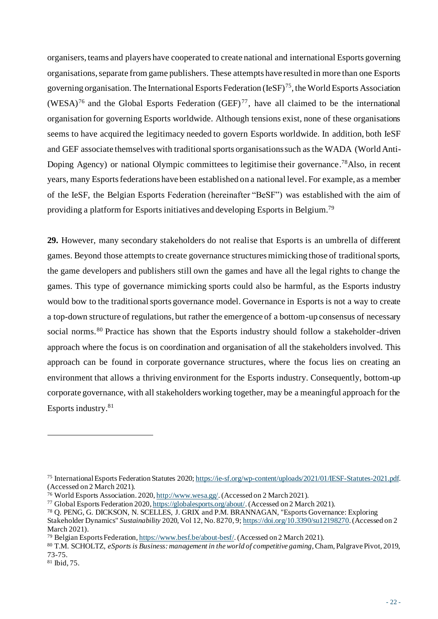organisers, teams and players have cooperated to create national and international Esports governing organisations, separate from game publishers. These attempts have resulted in more than one Esports governing organisation. The International Esports Federation (IeSF)<sup>75</sup>, the World Esports Association (WESA)<sup>76</sup> and the Global Esports Federation (GEF)<sup>77</sup>, have all claimed to be the international organisation for governing Esports worldwide. Although tensions exist, none of these organisations seems to have acquired the legitimacy needed to govern Esports worldwide. In addition, both IeSF and GEF associate themselves with traditional sports organisations such as the WADA (World Anti-Doping Agency) or national Olympic committees to legitimise their governance.<sup>78</sup>Also, in recent years, many Esports federations have been established on a national level. For example, as a member of the IeSF, the Belgian Esports Federation (hereinafter "BeSF") was established with the aim of providing a platform for Esports initiatives and developing Esports in Belgium.<sup>79</sup>

**29.** However, many secondary stakeholders do not realise that Esports is an umbrella of different games. Beyond those attempts to create governance structures mimicking those of traditional sports, the game developers and publishers still own the games and have all the legal rights to change the games. This type of governance mimicking sports could also be harmful, as the Esports industry would bow to the traditional sports governance model. Governance in Esports is not a way to create a top-down structure of regulations, but rather the emergence of a bottom-up consensus of necessary social norms.<sup>80</sup> Practice has shown that the Esports industry should follow a stakeholder-driven approach where the focus is on coordination and organisation of all the stakeholders involved. This approach can be found in corporate governance structures, where the focus lies on creating an environment that allows a thriving environment for the Esports industry. Consequently, bottom-up corporate governance, with all stakeholders working together, may be a meaningful approach for the Esports industry.<sup>81</sup>

<sup>75</sup> International Esports Federation Statutes 202[0; https://ie-sf.org/wp-content/uploads/2021/01/IESF-Statutes-2021.pdf](https://ie-sf.org/wp-content/uploads/2021/01/IESF-Statutes-2021.pdf). (Accessed on 2 March 2021).

<sup>&</sup>lt;sup>76</sup> World Esports Association. 2020, <http://www.wesa.gg/>. (Accessed on 2 March 2021).

<sup>&</sup>lt;sup>77</sup> Global Esports Federation 2020, <https://globalesports.org/about/>. (Accessed on 2 March 2021).

<sup>78</sup> Q. PENG, G. DICKSON, N. SCELLES, J. GRIX and P.M. BRANNAGAN, "Esports Governance: Exploring

Stakeholder Dynamics" *Sustainability* 2020, Vol 12, No. 8270, 9[; https://doi.org/10.3390/su12198270](https://doi.org/10.3390/su12198270).(Accessed on 2 March 2021).

<sup>79</sup> Belgian Esports Federation, <https://www.besf.be/about-besf/>. (Accessed on 2 March 2021).

<sup>80</sup> T.M. SCHOLTZ, *eSports is Business: management in the world of competitive gaming*, Cham, Palgrave Pivot, 2019, 73-75.

<sup>81</sup> Ibid, 75.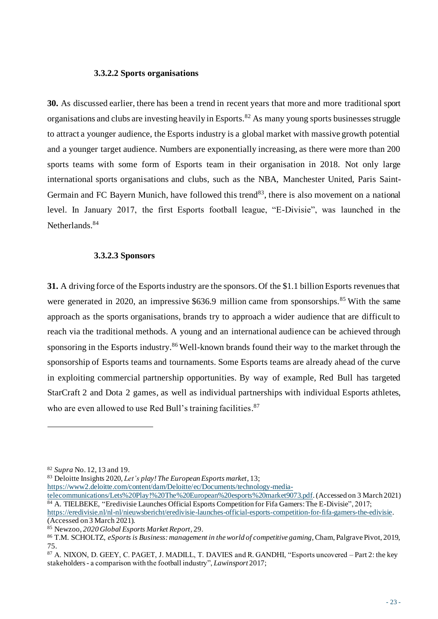#### **3.3.2.2 Sports organisations**

**30.** As discussed earlier, there has been a trend in recent years that more and more traditional sport organisations and clubs are investing heavily in Esports.<sup>82</sup> As many young sports businesses struggle to attract a younger audience, the Esports industry is a global market with massive growth potential and a younger target audience. Numbers are exponentially increasing, as there were more than 200 sports teams with some form of Esports team in their organisation in 2018. Not only large international sports organisations and clubs, such as the NBA, Manchester United, Paris Saint-Germain and FC Bayern Munich, have followed this trend<sup>83</sup>, there is also movement on a national level. In January 2017, the first Esports football league, "E-Divisie", was launched in the Netherlands.<sup>84</sup>

#### **3.3.2.3 Sponsors**

**31.** A driving force of the Esports industry are the sponsors. Of the \$1.1 billion Esports revenues that were generated in 2020, an impressive \$636.9 million came from sponsorships.<sup>85</sup> With the same approach as the sports organisations, brands try to approach a wider audience that are difficult to reach via the traditional methods. A young and an international audience can be achieved through sponsoring in the Esports industry.<sup>86</sup> Well-known brands found their way to the market through the sponsorship of Esports teams and tournaments. Some Esports teams are already ahead of the curve in exploiting commercial partnership opportunities. By way of example, Red Bull has targeted StarCraft 2 and Dota 2 games, as well as individual partnerships with individual Esports athletes, who are even allowed to use Red Bull's training facilities.<sup>87</sup>

[https://www2.deloitte.com/content/dam/Deloitte/ec/Documents/technology-media-](https://www2.deloitte.com/content/dam/Deloitte/ec/Documents/technology-media-telecommunications/Lets%20Play!%20The%20European%20esports%20market9073.pdf)

[telecommunications/Lets%20Play!%20The%20European%20esports%20market9073.pdf](https://www2.deloitte.com/content/dam/Deloitte/ec/Documents/technology-media-telecommunications/Lets%20Play!%20The%20European%20esports%20market9073.pdf).(Accessed on 3 March 2021) <sup>84</sup> A. TIELBEKE, "Eredivisie Launches Official Esports Competition for Fifa Gamers: The E-Divisie", 2017; <https://eredivisie.nl/nl-nl/nieuwsbericht/eredivisie-launches-official-esports-competition-for-fifa-gamers-the-edivisie>. (Accessed on 3 March 2021).

<sup>82</sup> *Supra* No. 12, 13 and 19.

<sup>83</sup> Deloitte Insights 2020, *Let's play! The European Esports market*, 13;

<sup>85</sup> Newzoo, *2020 Global Esports Market Report,* 29.

<sup>86</sup> T.M. SCHOLTZ, *eSports is Business: management in the world of competitive gaming*, Cham, Palgrave Pivot, 2019, 75.

<sup>87</sup> A. NIXON, D. GEEY, C. PAGET, J. MADILL, T. DAVIES and R. GANDHI, "Esports uncovered – Part 2: the key stakeholders - a comparison with the football industry", *Lawinsport* 2017;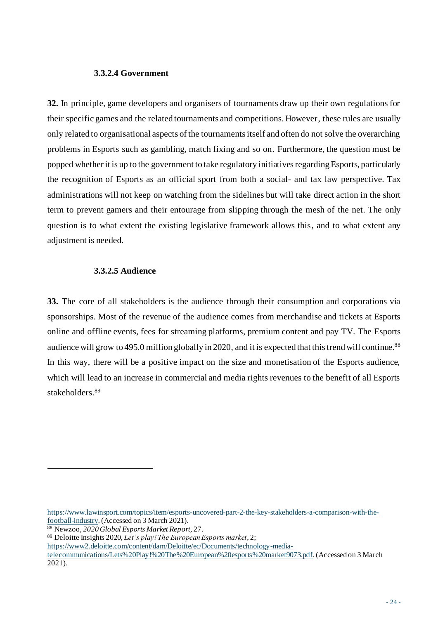#### **3.3.2.4 Government**

**32.** In principle, game developers and organisers of tournaments draw up their own regulations for their specific games and the related tournaments and competitions. However, these rules are usually only related to organisational aspects of the tournaments itself and often do not solve the overarching problems in Esports such as gambling, match fixing and so on. Furthermore, the question must be popped whether it is up to the government to take regulatory initiatives regarding Esports, particularly the recognition of Esports as an official sport from both a social- and tax law perspective. Tax administrations will not keep on watching from the sidelines but will take direct action in the short term to prevent gamers and their entourage from slipping through the mesh of the net. The only question is to what extent the existing legislative framework allows this, and to what extent any adjustment is needed.

#### **3.3.2.5 Audience**

**33.** The core of all stakeholders is the audience through their consumption and corporations via sponsorships. Most of the revenue of the audience comes from merchandise and tickets at Esports online and offline events, fees for streaming platforms, premium content and pay TV. The Esports audience will grow to 495.0 million globally in 2020, and it is expected that this trend will continue.<sup>88</sup> In this way, there will be a positive impact on the size and monetisation of the Esports audience, which will lead to an increase in commercial and media rights revenues to the benefit of all Esports stakeholders.<sup>89</sup>

[https://www.lawinsport.com/topics/item/esports-uncovered-part-2-the-key-stakeholders-a-comparison-with-the](https://www.lawinsport.com/topics/item/esports-uncovered-part-2-the-key-stakeholders-a-comparison-with-the-football-industry)[football-industry](https://www.lawinsport.com/topics/item/esports-uncovered-part-2-the-key-stakeholders-a-comparison-with-the-football-industry).(Accessed on 3 March 2021).

<sup>88</sup> Newzoo, *2020 Global Esports Market Report,* 27.

<sup>89</sup> Deloitte Insights 2020, *Let's play! The European Esports market*, 2;

[https://www2.deloitte.com/content/dam/Deloitte/ec/Documents/technology-media-](https://www2.deloitte.com/content/dam/Deloitte/ec/Documents/technology-media-telecommunications/Lets%20Play!%20The%20European%20esports%20market9073.pdf)

[telecommunications/Lets%20Play!%20The%20European%20esports%20market9073.pdf](https://www2.deloitte.com/content/dam/Deloitte/ec/Documents/technology-media-telecommunications/Lets%20Play!%20The%20European%20esports%20market9073.pdf).(Accessed on 3 March 2021).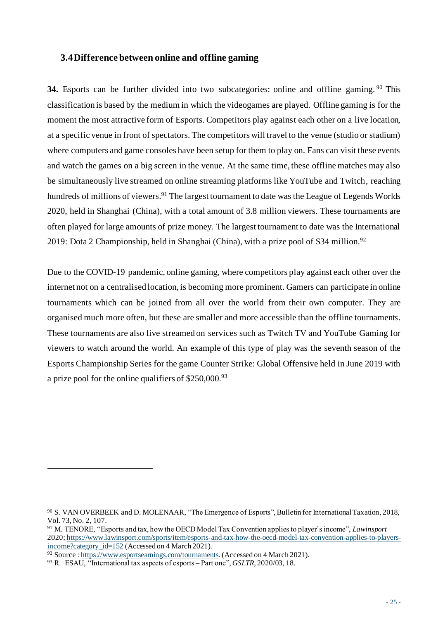### **3.4Difference between online and offline gaming**

**34.** Esports can be further divided into two subcategories: online and offline gaming. <sup>90</sup> This classification is based by the medium in which the videogames are played. Offline gaming is for the moment the most attractive form of Esports. Competitors play against each other on a live location, at a specific venue in front of spectators. The competitors will travel to the venue (studio or stadium) where computers and game consoles have been setup for them to play on. Fans can visit these events and watch the games on a big screen in the venue. At the same time, these offline matches may also be simultaneously live streamed on online streaming platforms like YouTube and Twitch, reaching hundreds of millions of viewers.<sup>91</sup> The largest tournament to date was the League of Legends Worlds 2020, held in Shanghai (China), with a total amount of 3.8 million viewers. These tournaments are often played for large amounts of prize money. The largest tournament to date was the International 2019: Dota 2 Championship, held in Shanghai (China), with a prize pool of \$34 million.<sup>92</sup>

Due to the COVID-19 pandemic, online gaming, where competitors play against each other over the internet not on a centralised location, is becoming more prominent. Gamers can participate in online tournaments which can be joined from all over the world from their own computer. They are organised much more often, but these are smaller and more accessible than the offline tournaments. These tournaments are also live streamed on services such as Twitch TV and YouTube Gaming for viewers to watch around the world. An example of this type of play was the seventh season of the Esports Championship Series for the game Counter Strike: Global Offensive held in June 2019 with a prize pool for the online qualifiers of  $$250,000.<sup>93</sup>$ 

<sup>90</sup> S. VAN OVERBEEK and D. MOLENAAR, "The Emergence of Esports", Bulletin for International Taxation, 2018, Vol. 73, No. 2, 107.

<sup>91</sup> M. TENORE, "Esports and tax, how the OECD Model Tax Convention applies to player's income", *Lawinsport* 2020; [https://www.lawinsport.com/sports/item/esports-and-tax-how-the-oecd-model-tax-convention-applies-to-players](https://www.lawinsport.com/sports/item/esports-and-tax-how-the-oecd-model-tax-convention-applies-to-players-income?category_id=152)[income?category\\_id=152](https://www.lawinsport.com/sports/item/esports-and-tax-how-the-oecd-model-tax-convention-applies-to-players-income?category_id=152) (Accessed on 4 March 2021).

<sup>92</sup> Source [: https://www.esportsearnings.com/tournaments](https://www.esportsearnings.com/tournaments). (Accessed on 4 March 2021).

<sup>93</sup> R. ESAU, "International tax aspects of esports – Part one", *GSLTR,* 2020/03, 18.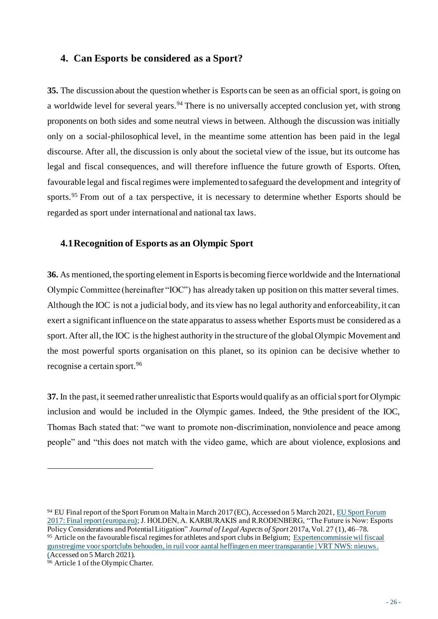# **4. Can Esports be considered as a Sport?**

**35.** The discussion about the question whether is Esports can be seen as an official sport, is going on a worldwide level for several years.<sup>94</sup> There is no universally accepted conclusion yet, with strong proponents on both sides and some neutral views in between. Although the discussion was initially only on a social-philosophical level, in the meantime some attention has been paid in the legal discourse. After all, the discussion is only about the societal view of the issue, but its outcome has legal and fiscal consequences, and will therefore influence the future growth of Esports. Often, favourable legal and fiscal regimes were implemented to safeguard the development and integrity of sports.<sup>95</sup> From out of a tax perspective, it is necessary to determine whether Esports should be regarded as sport under international and national tax laws.

# **4.1Recognition of Esports as an Olympic Sport**

**36.** As mentioned, the sporting element in Esports is becoming fierce worldwide and the International Olympic Committee (hereinafter "IOC") has already taken up position on this matter several times. Although the IOC is not a judicial body, and its view has no legal authority and enforceability, it can exert a significant influence on the state apparatus to assess whether Esports must be considered as a sport. After all, the IOC is the highest authority in the structure of the global Olympic Movement and the most powerful sports organisation on this planet, so its opinion can be decisive whether to recognise a certain sport.<sup>96</sup>

**37.** In the past, it seemed rather unrealistic that Esports would qualify as an official sport for Olympic inclusion and would be included in the Olympic games. Indeed, the 9the president of the IOC, Thomas Bach stated that: "we want to promote non-discrimination, nonviolence and peace among people" and "this does not match with the video game, which are about violence, explosions and

<sup>94</sup> EU Final report of the Sport Forum on Malta in March 2017 (EC), Accessed on 5 March 2021[, EU Sport Forum](https://ec.europa.eu/sport/sites/default/files/eu-sport-forum-report_en.pdf)  [2017: Final report \(europa.eu\);](https://ec.europa.eu/sport/sites/default/files/eu-sport-forum-report_en.pdf) J. HOLDEN, A. KARBURAKIS and R.RODENBERG, "The Future is Now: Esports Policy Considerations and Potential Litigation" *Journal of Legal Aspects of Sport* 2017a, Vol. 27 (1), 46–78. <sup>95</sup> Article on the favourable fiscal regimes for athletes and sport clubs in Belgium[; Expertencommissie wil fiscaal](https://www.vrt.be/vrtnws/nl/2020/02/10/expertencommissie-voetbal/#:~:text=Het%20fiscale%20gunstregime%20van%20het,vuur%20na%20de%20verschillende%20fraudezaken.&text=Net%20als%20in%20veel%20andere,procent%20vrijgesteld%20van%20de%20bedrijfsvoorheffing.)  [gunstregime voor sportclubs behouden, in ruil voor aantal heffingen en meer transparantie | VRT NWS: nieuws](https://www.vrt.be/vrtnws/nl/2020/02/10/expertencommissie-voetbal/#:~:text=Het%20fiscale%20gunstregime%20van%20het,vuur%20na%20de%20verschillende%20fraudezaken.&text=Net%20als%20in%20veel%20andere,procent%20vrijgesteld%20van%20de%20bedrijfsvoorheffing.). (Accessed on 5 March 2021).

 $\frac{96}{96}$  Article 1 of the Olympic Charter.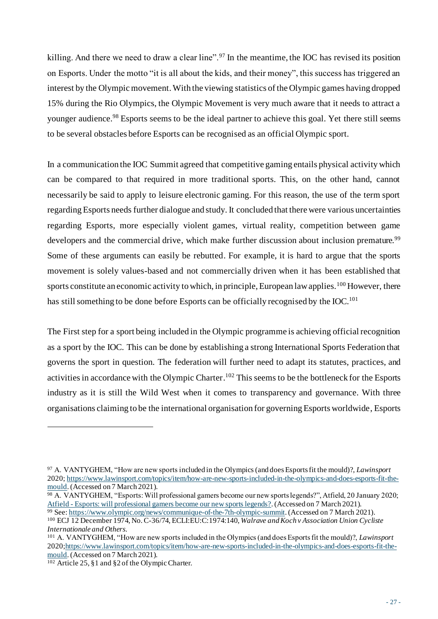killing. And there we need to draw a clear line".<sup>97</sup> In the meantime, the IOC has revised its position on Esports. Under the motto "it is all about the kids, and their money", this success has triggered an interest by the Olympic movement.With the viewing statistics of the Olympic games having dropped 15% during the Rio Olympics, the Olympic Movement is very much aware that it needs to attract a younger audience.<sup>98</sup> Esports seems to be the ideal partner to achieve this goal. Yet there still seems to be several obstacles before Esports can be recognised as an official Olympic sport.

In a communication the IOC Summit agreed that competitive gaming entails physical activity which can be compared to that required in more traditional sports. This, on the other hand, cannot necessarily be said to apply to leisure electronic gaming. For this reason, the use of the term sport regarding Esports needs further dialogue and study. It concluded that there were various uncertainties regarding Esports, more especially violent games, virtual reality, competition between game developers and the commercial drive, which make further discussion about inclusion premature.<sup>99</sup> Some of these arguments can easily be rebutted. For example, it is hard to argue that the sports movement is solely values-based and not commercially driven when it has been established that sports constitute an economic activity to which, in principle, European law applies.<sup>100</sup> However, there has still something to be done before Esports can be officially recognised by the IOC.<sup>101</sup>

The First step for a sport being included in the Olympic programme is achieving official recognition as a sport by the IOC. This can be done by establishing a strong International Sports Federation that governs the sport in question. The federation will further need to adapt its statutes, practices, and activities in accordance with the Olympic Charter.<sup>102</sup> This seems to be the bottleneck for the Esports industry as it is still the Wild West when it comes to transparency and governance. With three organisations claiming to be the international organisation for governing Esports worldwide, Esports

<sup>97</sup> A. VANTYGHEM, "How are new sports included in the Olympics (and does Esports fit the mould)?, *Lawinsport*  2020[; https://www.lawinsport.com/topics/item/how-are-new-sports-included-in-the-olympics-and-does-esports-fit-the](https://www.lawinsport.com/topics/item/how-are-new-sports-included-in-the-olympics-and-does-esports-fit-the-mould)[mould.](https://www.lawinsport.com/topics/item/how-are-new-sports-included-in-the-olympics-and-does-esports-fit-the-mould) (Accessed on 7 March 2021).

<sup>98</sup> A. VANTYGHEM, "Esports: Will professional gamers become our new sports legends?", Atfield, 20 January 2020; Atfield - [Esports: will professional gamers become our new sports legends?.](https://www.atfield.be/latest/press/esports-will-professional-gamers-become-our-new-sports-legends) (Accessed on 7 March 2021).

<sup>99</sup> See[: https://www.olympic.org/news/communique-of-the-7th-olympic-summit](https://www.olympic.org/news/communique-of-the-7th-olympic-summit). (Accessed on 7 March 2021). <sup>100</sup> ECJ 12 December 1974, No. C-36/74, ECLI:EU:C:1974:140, *Walrave and Koch v Association Union Cycliste Internationale and Others*.

<sup>101</sup> A. VANTYGHEM, "How are new sports included in the Olympics (and does Esports fit the mould)?, *Lawinsport*  202[0;https://www.lawinsport.com/topics/item/how-are-new-sports-included-in-the-olympics-and-does-esports-fit-the](https://www.lawinsport.com/topics/item/how-are-new-sports-included-in-the-olympics-and-does-esports-fit-the-mould)[mould.](https://www.lawinsport.com/topics/item/how-are-new-sports-included-in-the-olympics-and-does-esports-fit-the-mould)(Accessed on 7 March 2021).

 $\frac{102}{102}$  Article 25, §1 and §2 of the Olympic Charter.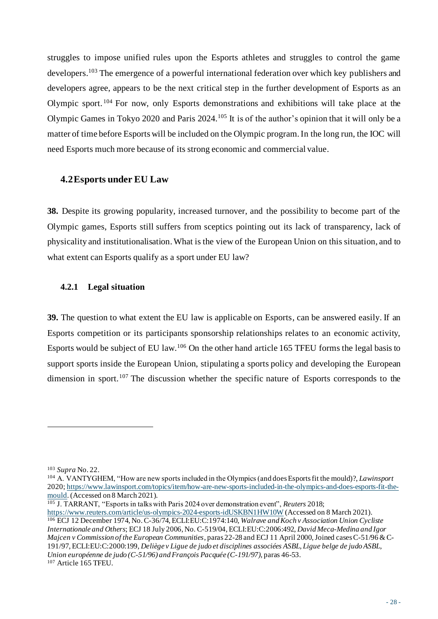struggles to impose unified rules upon the Esports athletes and struggles to control the game developers.<sup>103</sup> The emergence of a powerful international federation over which key publishers and developers agree, appears to be the next critical step in the further development of Esports as an Olympic sport.<sup>104</sup> For now, only Esports demonstrations and exhibitions will take place at the Olympic Games in Tokyo 2020 and Paris 2024.<sup>105</sup> It is of the author's opinion that it will only be a matter of time before Esports will be included on the Olympic program. In the long run, the IOC will need Esports much more because of its strong economic and commercial value.

#### **4.2Esports under EU Law**

**38.** Despite its growing popularity, increased turnover, and the possibility to become part of the Olympic games, Esports still suffers from sceptics pointing out its lack of transparency, lack of physicality and institutionalisation. What is the view of the European Union on this situation, and to what extent can Esports qualify as a sport under EU law?

# **4.2.1 Legal situation**

**39.** The question to what extent the EU law is applicable on Esports, can be answered easily. If an Esports competition or its participants sponsorship relationships relates to an economic activity, Esports would be subject of EU law.<sup>106</sup> On the other hand article 165 TFEU forms the legal basis to support sports inside the European Union, stipulating a sports policy and developing the European dimension in sport.<sup>107</sup> The discussion whether the specific nature of Esports corresponds to the

<sup>103</sup> *Supra* No. 22.

<sup>104</sup> A. VANTYGHEM, "How are new sports included in the Olympics (and does Esports fit the mould)?, *Lawinsport*  2020; [https://www.lawinsport.com/topics/item/how-are-new-sports-included-in-the-olympics-and-does-esports-fit-the](https://www.lawinsport.com/topics/item/how-are-new-sports-included-in-the-olympics-and-does-esports-fit-the-mould)[mould.](https://www.lawinsport.com/topics/item/how-are-new-sports-included-in-the-olympics-and-does-esports-fit-the-mould)(Accessed on 8 March 2021).

<sup>105</sup> J. TARRANT, "Esports in talks with Paris 2024 over demonstration event", *Reuters* 2018; <https://www.reuters.com/article/us-olympics-2024-esports-idUSKBN1HW10W> (Accessed on 8 March 2021). <sup>106</sup> ECJ 12 December 1974, No. C-36/74, ECLI:EU:C:1974:140, *Walrave and Koch v Association Union Cycliste Internationale and Others*; ECJ 18 July 2006, No. C-519/04, ECLI:EU:C:2006:492, *David Meca-Medina and Igor Majcen v Commission of the European Communities*, paras 22-28 and ECJ 11 April 2000, Joined cases C-51/96 & C-191/97, ECLI:EU:C:2000:199, *Deliège v Ligue de judo et disciplines associées ASBL, Ligue belge de judo ASBL, Union européenne de judo (C-51/96) and François Pacquée (C-191/97)*, paras 46-53. <sup>107</sup> Article 165 TFEU.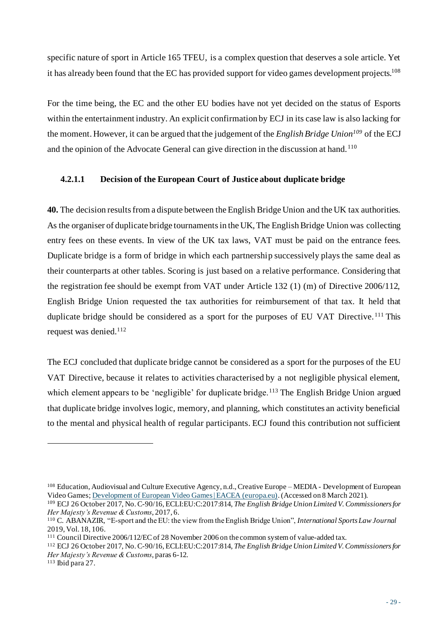specific nature of sport in Article 165 TFEU, is a complex question that deserves a sole article. Yet it has already been found that the EC has provided support for video games development projects.<sup>108</sup>

For the time being, the EC and the other EU bodies have not yet decided on the status of Esports within the entertainment industry. An explicit confirmation by ECJ in its case law is also lacking for the moment. However, it can be argued that the judgement of the *English Bridge Union<sup>109</sup>* of the ECJ and the opinion of the Advocate General can give direction in the discussion at hand.<sup>110</sup>

# **4.2.1.1 Decision of the European Court of Justice about duplicate bridge**

**40.** The decision results from a dispute between the English Bridge Union and the UK tax authorities. As the organiser of duplicate bridge tournaments in the UK, The English Bridge Union was collecting entry fees on these events. In view of the UK tax laws, VAT must be paid on the entrance fees. Duplicate bridge is a form of bridge in which each partnership successively plays the same deal as their counterparts at other tables. Scoring is just based on a relative performance. Considering that the registration fee should be exempt from VAT under Article 132 (1) (m) of Directive 2006/112, English Bridge Union requested the tax authorities for reimbursement of that tax. It held that duplicate bridge should be considered as a sport for the purposes of EU VAT Directive.<sup>111</sup> This request was denied.<sup>112</sup>

The ECJ concluded that duplicate bridge cannot be considered as a sport for the purposes of the EU VAT Directive, because it relates to activities characterised by a not negligible physical element, which element appears to be 'negligible' for duplicate bridge.<sup>113</sup> The English Bridge Union argued that duplicate bridge involves logic, memory, and planning, which constitutes an activity beneficial to the mental and physical health of regular participants. ECJ found this contribution not sufficient

<sup>108</sup> Education, Audiovisual and Culture Executive Agency, n.d., Creative Europe – MEDIA - Development of European Video Games[; Development of European Video Games | EACEA \(europa.eu\)](https://eacea.ec.europa.eu/creative-europe/actions/media/development-video-games_en). (Accessed on 8 March 2021).

<sup>109</sup> ECJ 26 October 2017, No. C-90/16, ECLI:EU:C:2017:814, *The English Bridge Union Limited V. Commissioners for Her Majesty's Revenue & Customs*, 2017, 6.

<sup>110</sup> C. ABANAZIR, "E-sport and the EU: the view from the English Bridge Union", *International Sports Law Journal*  2019, Vol. 18, 106.

<sup>111</sup> Council Directive 2006/112/EC of 28 November 2006 on the common system of value-added tax.

<sup>112</sup> ECJ 26 October 2017, No. C-90/16, ECLI:EU:C:2017:814, *The English Bridge Union Limited V. Commissioners for Her Majesty's Revenue & Customs*, paras 6-12.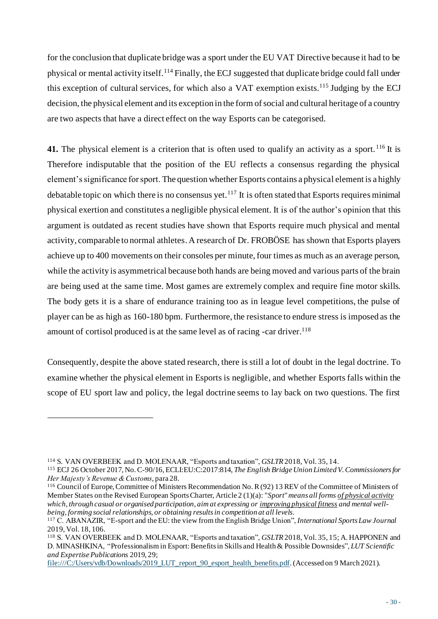for the conclusion that duplicate bridge was a sport under the EU VAT Directive because it had to be physical or mental activity itself.<sup>114</sup> Finally, the ECJ suggested that duplicate bridge could fall under this exception of cultural services, for which also a VAT exemption exists.<sup>115</sup> Judging by the ECJ decision, the physical element and its exception in the form of social and cultural heritage of a country are two aspects that have a direct effect on the way Esports can be categorised.

**41.** The physical element is a criterion that is often used to qualify an activity as a sport.<sup>116</sup> It is Therefore indisputable that the position of the EU reflects a consensus regarding the physical element's significance for sport. The question whether Esports contains a physical element is a highly debatable topic on which there is no consensus yet.<sup>117</sup> It is often stated that Esports requires minimal physical exertion and constitutes a negligible physical element. It is of the author's opinion that this argument is outdated as recent studies have shown that Esports require much physical and mental activity, comparable to normal athletes. A research of Dr. FROBÖSE has shown that Esports players achieve up to 400 movements on their consoles per minute, four times as much as an average person, while the activity is asymmetrical because both hands are being moved and various parts of the brain are being used at the same time. Most games are extremely complex and require fine motor skills. The body gets it is a share of endurance training too as in league level competitions, the pulse of player can be as high as 160-180 bpm. Furthermore, the resistance to endure stress is imposed as the amount of cortisol produced is at the same level as of racing -car driver.<sup>118</sup>

Consequently, despite the above stated research, there is still a lot of doubt in the legal doctrine. To examine whether the physical element in Esports is negligible, and whether Esports falls within the scope of EU sport law and policy, the legal doctrine seems to lay back on two questions. The first

<sup>114</sup> S. VAN OVERBEEK and D. MOLENAAR, "Esports and taxation", *GSLTR* 2018, Vol. 35, 14.

<sup>115</sup> ECJ 26 October 2017, No. C-90/16, ECLI:EU:C:2017:814, *The English Bridge Union Limited V. Commissioners for Her Majesty's Revenue & Customs*, para 28.

<sup>116</sup> Council of Europe, Committee of Ministers Recommendation No. R (92) 13 REV of the Committee of Ministers of Member States on the Revised European Sports Charter, Article 2 (1)(a): "*Sport" means all forms of physical activity which, through casual or organised participation, aim at expressing or improving physical fitness and mental wellbeing, forming social relationships, or obtaining results in competition at all levels.*

<sup>117</sup> C. ABANAZIR, "E-sport and the EU: the view from the English Bridge Union", *International Sports Law Journal*  2019, Vol. 18, 106.

<sup>118</sup> S. VAN OVERBEEK and D. MOLENAAR, "Esports and taxation", *GSLTR* 2018, Vol. 35, 15; A. HAPPONEN and D. MINASHKINA, "Professionalism in Esport: Benefits in Skills and Health & Possible Downsides", *LUT Scientific and Expertise Publications* 2019, 29;

[file:///C:/Users/vdb/Downloads/2019\\_LUT\\_report\\_90\\_esport\\_health\\_benefits.pdf](file:///C:/Users/vdb/Downloads/2019_LUT_report_90_esport_health_benefits.pdf). (Accessed on 9 March 2021).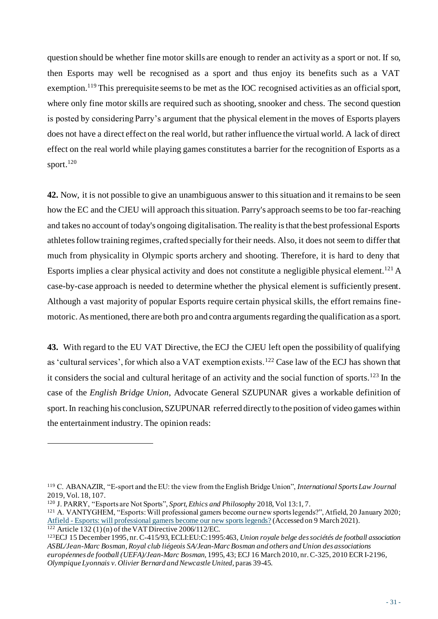question should be whether fine motor skills are enough to render an activity as a sport or not. If so, then Esports may well be recognised as a sport and thus enjoy its benefits such as a VAT exemption.<sup>119</sup> This prerequisite seems to be met as the IOC recognised activities as an official sport, where only fine motor skills are required such as shooting, snooker and chess. The second question is posted by considering Parry's argument that the physical element in the moves of Esports players does not have a direct effect on the real world, but rather influence the virtual world. A lack of direct effect on the real world while playing games constitutes a barrier for the recognition of Esports as a sport.<sup>120</sup>

**42.** Now, it is not possible to give an unambiguous answer to this situation and it remains to be seen how the EC and the CJEU will approach this situation. Parry's approach seems to be too far-reaching and takes no account of today's ongoing digitalisation. The reality is that the best professional Esports athletes follow training regimes, crafted specially for their needs. Also, it does not seem to differ that much from physicality in Olympic sports archery and shooting. Therefore, it is hard to deny that Esports implies a clear physical activity and does not constitute a negligible physical element.<sup>121</sup> A case-by-case approach is needed to determine whether the physical element is sufficiently present. Although a vast majority of popular Esports require certain physical skills, the effort remains finemotoric. As mentioned, there are both pro and contra arguments regarding the qualification as a sport.

**43.** With regard to the EU VAT Directive, the ECJ the CJEU left open the possibility of qualifying as 'cultural services', for which also a VAT exemption exists.<sup>122</sup> Case law of the ECJ has shown that it considers the social and cultural heritage of an activity and the social function of sports.<sup>123</sup> In the case of the *English Bridge Union,* Advocate General SZUPUNAR gives a workable definition of sport. In reaching his conclusion, SZUPUNAR referred directly to the position of video games within the entertainment industry. The opinion reads:

<sup>119</sup> C. ABANAZIR, "E-sport and the EU: the view from the English Bridge Union", *International Sports Law Journal*  2019, Vol. 18, 107.

<sup>120</sup> J. PARRY, "Esports are Not Sports", *Sport, Ethics and Philosophy* 2018, Vol 13:1, 7.

<sup>121</sup> A. VANTYGHEM, "Esports: Will professional gamers become our new sports legends?", Atfield, 20 January 2020; Atfield - [Esports: will professional gamers become our new sports legends?](https://www.atfield.be/latest/press/esports-will-professional-gamers-become-our-new-sports-legends) (Accessed on 9 March 2021).  $122$  Article 132 (1) (n) of the VAT Directive 2006/112/EC.

<sup>123</sup>ECJ 15 December 1995, nr. C-415/93, ECLI:EU:C:1995:463, *Union royale belge des sociétés de football association ASBL/Jean-Marc Bosman, Royal club liégeois SA/Jean-Marc Bosman and others and Union des associations européennes de football (UEFA)/Jean-Marc Bosman*, 1995, 43; ECJ 16 March 2010, nr. C-325, 2010 ECR I-2196, *Olympique Lyonnais v. Olivier Bernard and Newcastle United*, paras 39-45.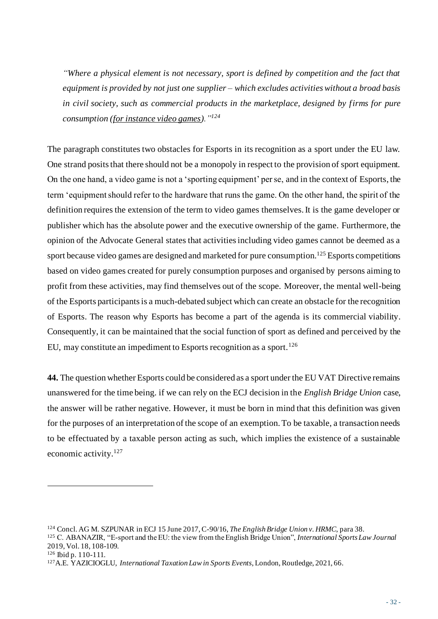*"Where a physical element is not necessary, sport is defined by competition and the fact that equipment is provided by not just one supplier – which excludes activities without a broad basis in civil society, such as commercial products in the marketplace, designed by firms for pure consumption (for instance video games)."<sup>124</sup>*

The paragraph constitutes two obstacles for Esports in its recognition as a sport under the EU law. One strand posits that there should not be a monopoly in respect to the provision of sport equipment. On the one hand, a video game is not a 'sporting equipment' per se, and in the context of Esports, the term 'equipment should refer to the hardware that runs the game. On the other hand, the spirit of the definition requires the extension of the term to video games themselves. It is the game developer or publisher which has the absolute power and the executive ownership of the game. Furthermore, the opinion of the Advocate General states that activities including video games cannot be deemed as a sport because video games are designed and marketed for pure consumption.<sup>125</sup> Esports competitions based on video games created for purely consumption purposes and organised by persons aiming to profit from these activities, may find themselves out of the scope. Moreover, the mental well-being of the Esports participants is a much-debated subject which can create an obstacle for the recognition of Esports. The reason why Esports has become a part of the agenda is its commercial viability. Consequently, it can be maintained that the social function of sport as defined and perceived by the EU, may constitute an impediment to Esports recognition as a sport.<sup>126</sup>

**44.** The question whether Esports could be considered as a sport under the EU VAT Directive remains unanswered for the time being. if we can rely on the ECJ decision in the *English Bridge Union* case, the answer will be rather negative. However, it must be born in mind that this definition was given for the purposes of an interpretation of the scope of an exemption. To be taxable, a transaction needs to be effectuated by a taxable person acting as such, which implies the existence of a sustainable economic activity.<sup>127</sup>

<sup>124</sup> Concl. AG M. SZPUNAR in ECJ 15 June 2017, C-90/16, *The English Bridge Union v. HRMC*, para 38.

<sup>125</sup> C. ABANAZIR, "E-sport and the EU: the view from the English Bridge Union", *International Sports Law Journal*  2019, Vol. 18, 108-109.

<sup>126</sup> Ibid p. 110-111.

<sup>127</sup>A.E. YAZICIOGLU, *International Taxation Law in Sports Events*, London, Routledge, 2021, 66.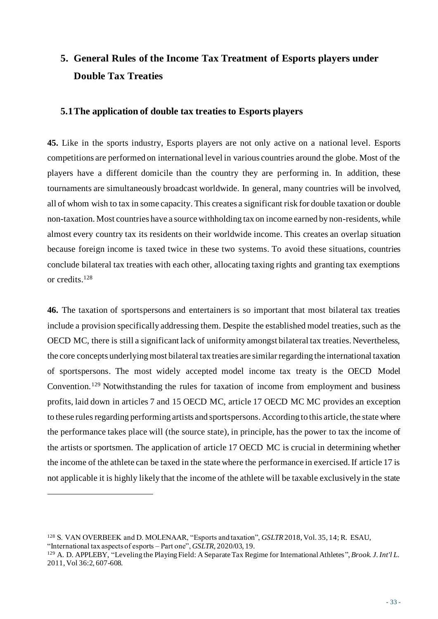# **5. General Rules of the Income Tax Treatment of Esports players under Double Tax Treaties**

# **5.1The application of double tax treaties to Esports players**

**45.** Like in the sports industry, Esports players are not only active on a national level. Esports competitions are performed on international level in various countries around the globe. Most of the players have a different domicile than the country they are performing in. In addition, these tournaments are simultaneously broadcast worldwide. In general, many countries will be involved, all of whom wish to tax in some capacity. This creates a significant risk for double taxation or double non-taxation. Most countries have a source withholding tax on income earned by non-residents, while almost every country tax its residents on their worldwide income. This creates an overlap situation because foreign income is taxed twice in these two systems. To avoid these situations, countries conclude bilateral tax treaties with each other, allocating taxing rights and granting tax exemptions or credits. 128

**46.** The taxation of sportspersons and entertainers is so important that most bilateral tax treaties include a provision specifically addressing them. Despite the established model treaties, such as the OECD MC, there is still a significant lack of uniformity amongst bilateral tax treaties. Nevertheless, the core concepts underlying most bilateral tax treaties are similar regarding the international taxation of sportspersons. The most widely accepted model income tax treaty is the OECD Model Convention.<sup>129</sup> Notwithstanding the rules for taxation of income from employment and business profits, laid down in articles 7 and 15 OECD MC, article 17 OECD MC MC provides an exception to these rules regarding performing artists and sportspersons. According to this article, the state where the performance takes place will (the source state), in principle, has the power to tax the income of the artists or sportsmen. The application of article 17 OECD MC is crucial in determining whether the income of the athlete can be taxed in the state where the performance in exercised. If article 17 is not applicable it is highly likely that the income of the athlete will be taxable exclusively in the state

<sup>128</sup> S. VAN OVERBEEK and D. MOLENAAR, "Esports and taxation", *GSLTR* 2018, Vol. 35, 14; R. ESAU, "International tax aspects of esports – Part one", *GSLTR,* 2020/03, 19.

<sup>129</sup> A. D. APPLEBY, "Leveling the Playing Field: A Separate Tax Regime for International Athletes", *Brook. J. Int'l L*. 2011, Vol 36:2, 607-608.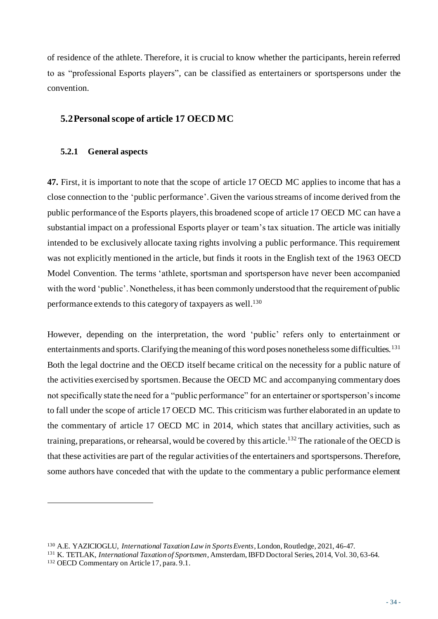of residence of the athlete. Therefore, it is crucial to know whether the participants, herein referred to as "professional Esports players", can be classified as entertainers or sportspersons under the convention.

# **5.2Personal scope of article 17 OECD MC**

#### **5.2.1 General aspects**

**47.** First, it is important to note that the scope of article 17 OECD MC applies to income that has a close connection to the 'public performance'. Given the various streams of income derived from the public performance of the Esports players, this broadened scope of article 17 OECD MC can have a substantial impact on a professional Esports player or team's tax situation. The article was initially intended to be exclusively allocate taxing rights involving a public performance. This requirement was not explicitly mentioned in the article, but finds it roots in the English text of the 1963 OECD Model Convention. The terms 'athlete, sportsman and sportsperson have never been accompanied with the word 'public'. Nonetheless, it has been commonly understood that the requirement of public performance extends to this category of taxpayers as well.<sup>130</sup>

However, depending on the interpretation, the word 'public' refers only to entertainment or entertainments and sports. Clarifying the meaning of this word poses nonetheless some difficulties.<sup>131</sup> Both the legal doctrine and the OECD itself became critical on the necessity for a public nature of the activities exercised by sportsmen. Because the OECD MC and accompanying commentary does not specifically state the need for a "public performance" for an entertainer or sportsperson's income to fall under the scope of article 17 OECD MC. This criticism was further elaborated in an update to the commentary of article 17 OECD MC in 2014, which states that ancillary activities, such as training, preparations, or rehearsal, would be covered by this article.<sup>132</sup> The rationale of the OECD is that these activities are part of the regular activities of the entertainers and sportspersons.Therefore, some authors have conceded that with the update to the commentary a public performance element

<sup>130</sup> A.E. YAZICIOGLU, *International Taxation Law in Sports Events*, London, Routledge, 2021, 46-47.

<sup>131</sup> K. TETLAK, *International Taxation of Sportsmen*, Amsterdam, IBFD Doctoral Series, 2014, Vol. 30, 63-64. <sup>132</sup> OECD Commentary on Article 17, para. 9.1.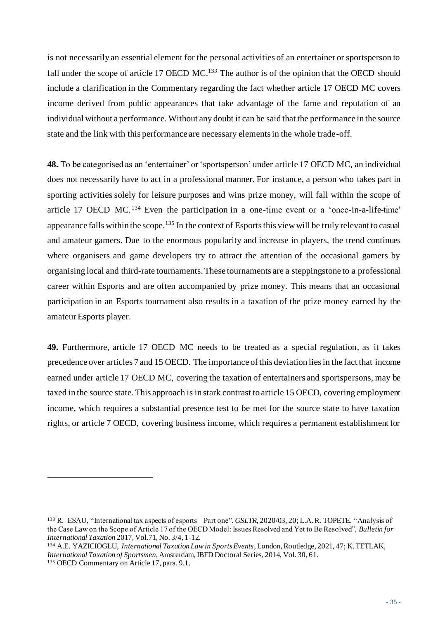is not necessarily an essential element for the personal activities of an entertainer or sportsperson to fall under the scope of article 17 OECD MC.<sup>133</sup> The author is of the opinion that the OECD should include a clarification in the Commentary regarding the fact whether article 17 OECD MC covers income derived from public appearances that take advantage of the fame and reputation of an individual without a performance. Without any doubt it can be said that the performance in the source state and the link with this performance are necessary elements in the whole trade-off.

**48.** To be categorised as an 'entertainer' or 'sportsperson' under article 17 OECD MC, an individual does not necessarily have to act in a professional manner. For instance, a person who takes part in sporting activities solely for leisure purposes and wins prize money, will fall within the scope of article 17 OECD MC.<sup>134</sup> Even the participation in a one-time event or a 'once-in-a-life-time' appearance falls within the scope.<sup>135</sup> In the context of Esports this view will be truly relevant to casual and amateur gamers. Due to the enormous popularity and increase in players, the trend continues where organisers and game developers try to attract the attention of the occasional gamers by organising local and third-rate tournaments. These tournaments are a steppingstone to a professional career within Esports and are often accompanied by prize money. This means that an occasional participation in an Esports tournament also results in a taxation of the prize money earned by the amateur Esports player.

**49.** Furthermore, article 17 OECD MC needs to be treated as a special regulation, as it takes precedence over articles 7 and 15 OECD. The importance of this deviation lies in the fact that income earned under article 17 OECD MC, covering the taxation of entertainers and sportspersons, may be taxed in the source state. This approach is in stark contrast to article 15 OECD, covering employment income, which requires a substantial presence test to be met for the source state to have taxation rights, or article 7 OECD, covering business income, which requires a permanent establishment for

<sup>134</sup> A.E. YAZICIOGLU, *International Taxation Law in Sports Events*, London, Routledge, 2021, 47; K. TETLAK, *International Taxation of Sportsmen*, Amsterdam, IBFD Doctoral Series, 2014, Vol. 30, 61. <sup>135</sup> OECD Commentary on Article 17, para. 9.1.

<sup>133</sup> R. ESAU, "International tax aspects of esports – Part one", *GSLTR,* 2020/03, 20; L.A. R. TOPETE, "Analysis of the Case Law on the Scope of Article 17 of the OECD Model: Issues Resolved and Yet to Be Resolved", *Bulletin for International Taxation* 2017, Vol.71, No. 3/4, 1-12.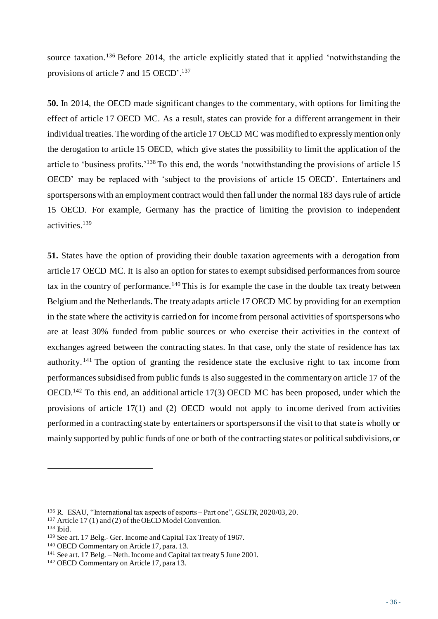source taxation.<sup>136</sup> Before 2014, the article explicitly stated that it applied 'notwithstanding the provisions of article 7 and 15 OECD'.<sup>137</sup>

**50.** In 2014, the OECD made significant changes to the commentary, with options for limiting the effect of article 17 OECD MC. As a result, states can provide for a different arrangement in their individual treaties. The wording of the article 17 OECD MC was modified to expressly mention only the derogation to article 15 OECD, which give states the possibility to limit the application of the article to 'business profits.'<sup>138</sup> To this end, the words 'notwithstanding the provisions of article 15 OECD' may be replaced with 'subject to the provisions of article 15 OECD'. Entertainers and sportspersons with an employment contract would then fall under the normal 183 days rule of article 15 OECD. For example, Germany has the practice of limiting the provision to independent activities.<sup>139</sup>

**51.** States have the option of providing their double taxation agreements with a derogation from article 17 OECD MC. It is also an option for states to exempt subsidised performances from source tax in the country of performance.<sup>140</sup> This is for example the case in the double tax treaty between Belgium and the Netherlands. The treaty adapts article 17 OECD MC by providing for an exemption in the state where the activity is carried on for income from personal activities of sportspersons who are at least 30% funded from public sources or who exercise their activities in the context of exchanges agreed between the contracting states. In that case, only the state of residence has tax authority.<sup>141</sup> The option of granting the residence state the exclusive right to tax income from performances subsidised from public funds is also suggested in the commentary on article 17 of the OECD.<sup>142</sup> To this end, an additional article 17(3) OECD MC has been proposed, under which the provisions of article 17(1) and (2) OECD would not apply to income derived from activities performed in a contracting state by entertainers or sportspersons if the visit to that state is wholly or mainly supported by public funds of one or both of the contracting states or political subdivisions, or

<sup>136</sup> R. ESAU, "International tax aspects of esports – Part one", *GSLTR,* 2020/03, 20.

<sup>&</sup>lt;sup>137</sup> Article 17(1) and (2) of the OECD Model Convention.

<sup>138</sup> Ibid.

<sup>139</sup> See art. 17 Belg.- Ger. Income and Capital Tax Treaty of 1967.

<sup>140</sup> OECD Commentary on Article 17, para. 13.

<sup>141</sup> See art. 17 Belg. – Neth. Income and Capital tax treaty 5 June 2001.

<sup>142</sup> OECD Commentary on Article 17, para 13.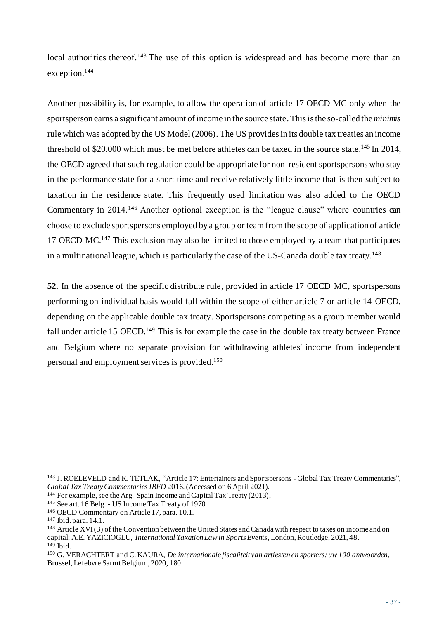local authorities thereof.<sup>143</sup> The use of this option is widespread and has become more than an exception.<sup>144</sup>

Another possibility is, for example, to allow the operation of article 17 OECD MC only when the sportsperson earns a significant amount of income in the source state.This is the so-called the *minimis* rule which was adopted by the US Model (2006). The US provides in its double tax treaties an income threshold of \$20.000 which must be met before athletes can be taxed in the source state.<sup>145</sup> In 2014, the OECD agreed that such regulation could be appropriate for non-resident sportspersons who stay in the performance state for a short time and receive relatively little income that is then subject to taxation in the residence state. This frequently used limitation was also added to the OECD Commentary in 2014.<sup>146</sup> Another optional exception is the "league clause" where countries can choose to exclude sportspersons employed by a group or team from the scope of application of article 17 OECD MC.<sup>147</sup> This exclusion may also be limited to those employed by a team that participates in a multinational league, which is particularly the case of the US-Canada double tax treaty.<sup>148</sup>

**52.** In the absence of the specific distribute rule, provided in article 17 OECD MC, sportspersons performing on individual basis would fall within the scope of either article 7 or article 14 OECD, depending on the applicable double tax treaty. Sportspersons competing as a group member would fall under article 15 OECD.<sup>149</sup> This is for example the case in the double tax treaty between France and Belgium where no separate provision for withdrawing athletes' income from independent personal and employment services is provided.<sup>150</sup>

<sup>143</sup> J. ROELEVELD and K. TETLAK, "Article 17: Entertainers and Sportspersons - Global Tax Treaty Commentaries", *Global Tax Treaty Commentaries IBFD* 2016. (Accessed on 6 April 2021).

<sup>144</sup> For example, see the Arg.-Spain Income and Capital Tax Treaty (2013),

<sup>145</sup> See art. 16 Belg. - US Income Tax Treaty of 1970.

<sup>146</sup> OECD Commentary on Article 17, para. 10.1.

<sup>147</sup> Ibid. para. 14.1.

<sup>148</sup> Article XVI (3) of the Convention between the United States and Canada with respect to taxes on income and on capital; A.E. YAZICIOGLU, *International Taxation Law in Sports Events*, London, Routledge, 2021, 48. <sup>149</sup> Ibid.

<sup>150</sup> G. VERACHTERT and C. KAURA, *De internationale fiscaliteit van artiesten en sporters: uw 100 antwoorden*, Brussel, Lefebvre Sarrut Belgium, 2020, 180.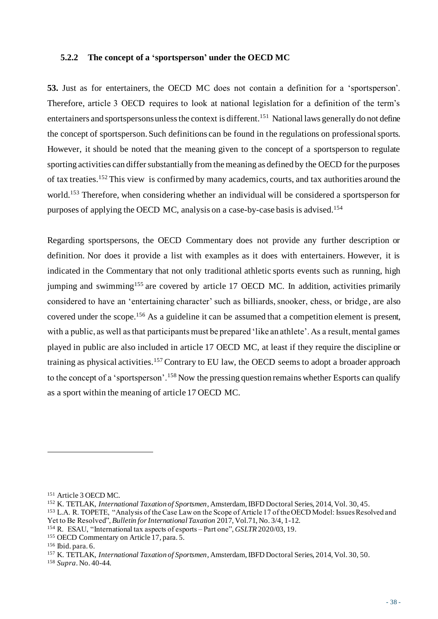#### **5.2.2 The concept of a 'sportsperson' under the OECD MC**

**53.** Just as for entertainers, the OECD MC does not contain a definition for a 'sportsperson'. Therefore, article 3 OECD requires to look at national legislation for a definition of the term's entertainers and sportspersons unless the context is different. 151 National laws generally do not define the concept of sportsperson. Such definitions can be found in the regulations on professional sports. However, it should be noted that the meaning given to the concept of a sportsperson to regulate sporting activities can differ substantially from the meaning as defined by the OECD for the purposes of tax treaties.<sup>152</sup> This view is confirmed by many academics, courts, and tax authorities around the world.<sup>153</sup> Therefore, when considering whether an individual will be considered a sportsperson for purposes of applying the OECD MC, analysis on a case-by-case basis is advised. 154

Regarding sportspersons, the OECD Commentary does not provide any further description or definition. Nor does it provide a list with examples as it does with entertainers. However, it is indicated in the Commentary that not only traditional athletic sports events such as running, high jumping and swimming<sup>155</sup> are covered by article 17 OECD MC. In addition, activities primarily considered to have an 'entertaining character' such as billiards, snooker, chess, or bridge, are also covered under the scope.<sup>156</sup> As a guideline it can be assumed that a competition element is present, with a public, as well as that participants must be prepared 'like an athlete'. As a result, mental games played in public are also included in article 17 OECD MC, at least if they require the discipline or training as physical activities.<sup>157</sup> Contrary to EU law, the OECD seems to adopt a broader approach to the concept of a 'sportsperson'.<sup>158</sup> Now the pressing question remains whether Esports can qualify as a sport within the meaning of article 17 OECD MC.

<sup>151</sup> Article 3 OECD MC.

<sup>152</sup> K. TETLAK, *International Taxation of Sportsmen*, Amsterdam, IBFD Doctoral Series, 2014, Vol. 30, 45.

<sup>153</sup> L.A. R. TOPETE, "Analysis of the Case Law on the Scope of Article 17 of the OECD Model: Issues Resolved and Yet to Be Resolved", *Bulletin for International Taxation* 2017, Vol.71, No. 3/4, 1-12.

<sup>154</sup> R. ESAU, "International tax aspects of esports – Part one", *GSLTR* 2020/03, 19.

<sup>155</sup> OECD Commentary on Article 17, para. 5.

<sup>156</sup> Ibid. para. 6.

<sup>157</sup> K. TETLAK, *International Taxation of Sportsmen*, Amsterdam, IBFD Doctoral Series, 2014, Vol. 30, 50.

<sup>158</sup> *Supra*. No. 40-44.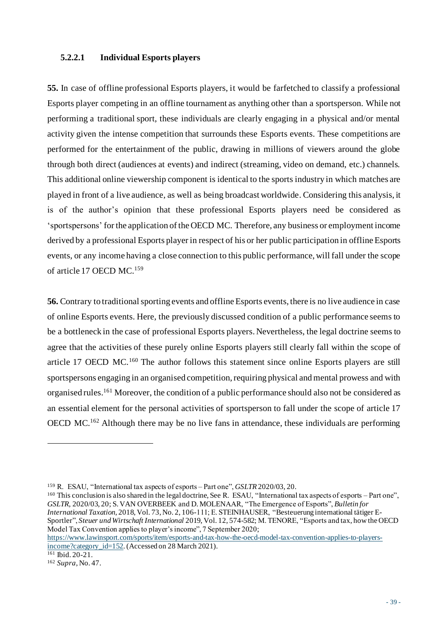#### **5.2.2.1 Individual Esports players**

**55.** In case of offline professional Esports players, it would be farfetched to classify a professional Esports player competing in an offline tournament as anything other than a sportsperson. While not performing a traditional sport, these individuals are clearly engaging in a physical and/or mental activity given the intense competition that surrounds these Esports events. These competitions are performed for the entertainment of the public, drawing in millions of viewers around the globe through both direct (audiences at events) and indirect (streaming, video on demand, etc.) channels. This additional online viewership component is identical to the sports industry in which matches are played in front of a live audience, as well as being broadcast worldwide. Considering this analysis, it is of the author's opinion that these professional Esports players need be considered as 'sportspersons' for the application of the OECD MC. Therefore, any business or employment income derived by a professional Esports player in respect of his or her public participation in offline Esports events, or any income having a close connection to this public performance, will fall under the scope of article 17 OECD MC. 159

**56.** Contrary to traditional sporting events and offline Esports events, there is no live audience in case of online Esports events. Here, the previously discussed condition of a public performance seems to be a bottleneck in the case of professional Esports players. Nevertheless, the legal doctrine seems to agree that the activities of these purely online Esports players still clearly fall within the scope of article 17 OECD MC.<sup>160</sup> The author follows this statement since online Esports players are still sportspersons engaging in an organised competition, requiring physical and mental prowess and with organised rules.<sup>161</sup> Moreover, the condition of a public performance should also not be considered as an essential element for the personal activities of sportsperson to fall under the scope of article 17 OECD MC.<sup>162</sup> Although there may be no live fans in attendance, these individuals are performing

[https://www.lawinsport.com/sports/item/esports-and-tax-how-the-oecd-model-tax-convention-applies-to-players](https://www.lawinsport.com/sports/item/esports-and-tax-how-the-oecd-model-tax-convention-applies-to-players-income?category_id=152)[income?category\\_id=152.](https://www.lawinsport.com/sports/item/esports-and-tax-how-the-oecd-model-tax-convention-applies-to-players-income?category_id=152) (Accessed on 28 March 2021).

<sup>159</sup> R. ESAU, "International tax aspects of esports – Part one", *GSLTR* 2020/03, 20.

<sup>160</sup> This conclusion is also shared in the legal doctrine, See R. ESAU, "International tax aspects of esports – Part one", *GSLTR,* 2020/03, 20; S. VAN OVERBEEK and D. MOLENAAR, "The Emergence of Esports", *Bulletin for International Taxation*, 2018, Vol. 73, No. 2, 106-111; E. STEINHAUSER, "Besteuerung international tätiger E-Sportler", *Steuer und Wirtschaft International* 2019, Vol. 12, 574-582; M. TENORE, "Esports and tax, how the OECD Model Tax Convention applies to player's income", 7 September 2020;

<sup>161</sup> Ibid. 20-21.

<sup>162</sup> *Supra*, No. 47.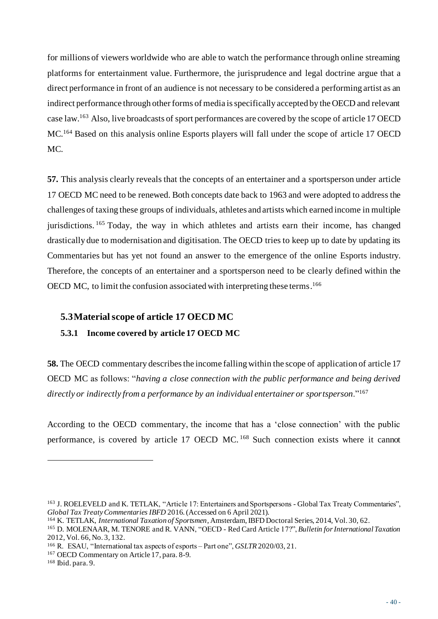for millions of viewers worldwide who are able to watch the performance through online streaming platforms for entertainment value. Furthermore, the jurisprudence and legal doctrine argue that a direct performance in front of an audience is not necessary to be considered a performing artist as an indirect performance through other forms of media is specifically accepted by the OECD and relevant case law.<sup>163</sup> Also, live broadcasts of sport performances are covered by the scope of article 17 OECD MC.<sup>164</sup> Based on this analysis online Esports players will fall under the scope of article 17 OECD MC.

**57.** This analysis clearly reveals that the concepts of an entertainer and a sportsperson under article 17 OECD MC need to be renewed. Both concepts date back to 1963 and were adopted to address the challenges of taxing these groups of individuals, athletes and artists which earned income in multiple jurisdictions. <sup>165</sup> Today, the way in which athletes and artists earn their income, has changed drastically due to modernisation and digitisation. The OECD tries to keep up to date by updating its Commentaries but has yet not found an answer to the emergence of the online Esports industry. Therefore, the concepts of an entertainer and a sportsperson need to be clearly defined within the OECD MC, to limit the confusion associated with interpreting these terms. 166

## **5.3Material scope of article 17 OECD MC**

## **5.3.1 Income covered by article 17 OECD MC**

**58.** The OECD commentary describes the income falling within the scope of application of article 17 OECD MC as follows: "*having a close connection with the public performance and being derived directly or indirectly from a performance by an individual entertainer or sportsperson*."<sup>167</sup>

According to the OECD commentary, the income that has a 'close connection' with the public performance, is covered by article 17 OECD MC.<sup>168</sup> Such connection exists where it cannot

<sup>163</sup> J. ROELEVELD and K. TETLAK, "Article 17: Entertainers and Sportspersons - Global Tax Treaty Commentaries", *Global Tax Treaty Commentaries IBFD* 2016.(Accessed on 6 April 2021).

<sup>164</sup> K. TETLAK, *International Taxation of Sportsmen*, Amsterdam, IBFD Doctoral Series, 2014, Vol. 30, 62.

<sup>165</sup> D. MOLENAAR, M. TENORE and R. VANN, "OECD - Red Card Article 17?", *Bulletin for International Taxation* 2012, Vol. 66, No. 3, 132.

<sup>166</sup> R. ESAU, "International tax aspects of esports – Part one", *GSLTR* 2020/03, 21.

<sup>167</sup> OECD Commentary on Article 17, para. 8-9.

<sup>168</sup> Ibid. para. 9.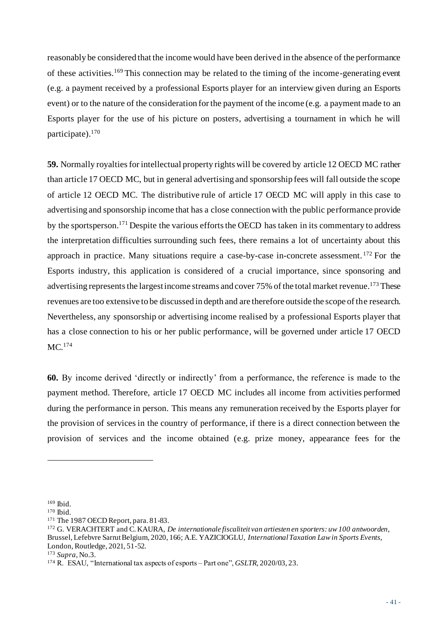reasonably be considered that the income would have been derived in the absence of the performance of these activities.<sup>169</sup> This connection may be related to the timing of the income-generating event (e.g. a payment received by a professional Esports player for an interview given during an Esports event) or to the nature of the consideration for the payment of the income (e.g. a payment made to an Esports player for the use of his picture on posters, advertising a tournament in which he will participate).<sup>170</sup>

**59.** Normally royalties for intellectual property rights will be covered by article 12 OECD MC rather than article 17 OECD MC, but in general advertising and sponsorship fees will fall outside the scope of article 12 OECD MC. The distributive rule of article 17 OECD MC will apply in this case to advertising and sponsorship income that has a close connection with the public performance provide by the sportsperson.<sup>171</sup> Despite the various efforts the OECD has taken in its commentary to address the interpretation difficulties surrounding such fees, there remains a lot of uncertainty about this approach in practice. Many situations require a case-by-case in-concrete assessment. <sup>172</sup> For the Esports industry, this application is considered of a crucial importance, since sponsoring and advertising represents the largest income streams and cover 75% of the total market revenue.<sup>173</sup> These revenues are too extensive to be discussed in depth and are therefore outside the scope of the research. Nevertheless, any sponsorship or advertising income realised by a professional Esports player that has a close connection to his or her public performance, will be governed under article 17 OECD MC. 174

**60.** By income derived 'directly or indirectly' from a performance, the reference is made to the payment method. Therefore, article 17 OECD MC includes all income from activities performed during the performance in person. This means any remuneration received by the Esports player for the provision of services in the country of performance, if there is a direct connection between the provision of services and the income obtained (e.g. prize money, appearance fees for the

<sup>169</sup> Ibid.

<sup>170</sup> Ibid.

<sup>171</sup> The 1987 OECD Report, para. 81-83.

<sup>172</sup> G. VERACHTERT and C. KAURA, *De internationale fiscaliteit van artiesten en sporters: uw 100 antwoorden*, Brussel, Lefebvre Sarrut Belgium, 2020, 166; A.E. YAZICIOGLU, *International Taxation Law in Sports Events*, London, Routledge, 2021, 51-52.

<sup>173</sup> *Supra*, No.3.

<sup>174</sup> R. ESAU, "International tax aspects of esports – Part one", *GSLTR,* 2020/03, 23.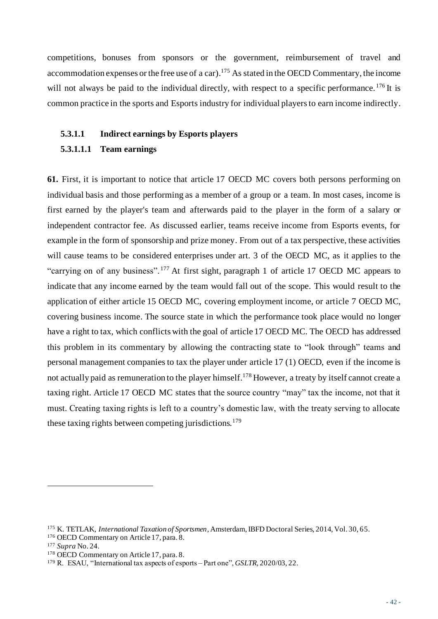competitions, bonuses from sponsors or the government, reimbursement of travel and accommodation expenses or the free use of a car).<sup>175</sup> As stated in the OECD Commentary, the income will not always be paid to the individual directly, with respect to a specific performance.<sup>176</sup>It is common practice in the sports and Esports industry for individual players to earn income indirectly.

#### **5.3.1.1 Indirect earnings by Esports players**

#### **5.3.1.1.1 Team earnings**

**61.** First, it is important to notice that article 17 OECD MC covers both persons performing on individual basis and those performing as a member of a group or a team. In most cases, income is first earned by the player's team and afterwards paid to the player in the form of a salary or independent contractor fee. As discussed earlier, teams receive income from Esports events, for example in the form of sponsorship and prize money. From out of a tax perspective, these activities will cause teams to be considered enterprises under art. 3 of the OECD MC, as it applies to the "carrying on of any business".<sup>177</sup> At first sight, paragraph 1 of article 17 OECD MC appears to indicate that any income earned by the team would fall out of the scope. This would result to the application of either article 15 OECD MC, covering employment income, or article 7 OECD MC, covering business income. The source state in which the performance took place would no longer have a right to tax, which conflicts with the goal of article 17 OECD MC. The OECD has addressed this problem in its commentary by allowing the contracting state to "look through" teams and personal management companies to tax the player under article 17 (1) OECD, even if the income is not actually paid as remuneration to the player himself.<sup>178</sup> However, a treaty by itself cannot create a taxing right. Article 17 OECD MC states that the source country "may" tax the income, not that it must. Creating taxing rights is left to a country's domestic law, with the treaty serving to allocate these taxing rights between competing jurisdictions.<sup>179</sup>

<sup>175</sup> K. TETLAK, *International Taxation of Sportsmen*, Amsterdam, IBFD Doctoral Series, 2014, Vol. 30, 65.

<sup>176</sup> OECD Commentary on Article 17, para. 8.

<sup>177</sup> *Supra* No. 24.

<sup>178</sup> OECD Commentary on Article 17, para. 8.

<sup>179</sup> R. ESAU, "International tax aspects of esports – Part one", *GSLTR,* 2020/03, 22.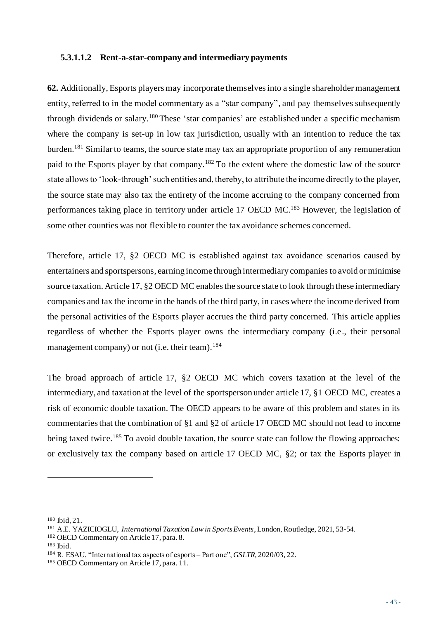#### **5.3.1.1.2 Rent-a-star-company and intermediary payments**

**62.** Additionally, Esports players may incorporate themselves into a single shareholder management entity, referred to in the model commentary as a "star company", and pay themselves subsequently through dividends or salary.<sup>180</sup> These 'star companies' are established under a specific mechanism where the company is set-up in low tax jurisdiction, usually with an intention to reduce the tax burden.<sup>181</sup> Similar to teams, the source state may tax an appropriate proportion of any remuneration paid to the Esports player by that company.<sup>182</sup> To the extent where the domestic law of the source state allows to 'look-through' such entities and, thereby, to attribute the income directly to the player, the source state may also tax the entirety of the income accruing to the company concerned from performances taking place in territory under article 17 OECD MC.<sup>183</sup> However, the legislation of some other counties was not flexible to counter the tax avoidance schemes concerned.

Therefore, article 17, §2 OECD MC is established against tax avoidance scenarios caused by entertainers and sportspersons, earning income through intermediary companies to avoid or minimise source taxation. Article 17, §2 OECD MC enables the source state to look through these intermediary companies and tax the income in the hands of the third party, in cases where the income derived from the personal activities of the Esports player accrues the third party concerned. This article applies regardless of whether the Esports player owns the intermediary company (i.e., their personal management company) or not (i.e. their team).  $184$ 

The broad approach of article 17, §2 OECD MC which covers taxation at the level of the intermediary, and taxation at the level of the sportsperson under article 17, §1 OECD MC, creates a risk of economic double taxation. The OECD appears to be aware of this problem and states in its commentaries that the combination of §1 and §2 of article 17 OECD MC should not lead to income being taxed twice.<sup>185</sup> To avoid double taxation, the source state can follow the flowing approaches: or exclusively tax the company based on article 17 OECD MC, §2; or tax the Esports player in

<sup>180</sup> Ibid, 21.

<sup>181</sup> A.E. YAZICIOGLU, *International Taxation Law in Sports Events*, London, Routledge, 2021, 53-54.

<sup>182</sup> OECD Commentary on Article 17, para. 8.

<sup>183</sup> Ibid.

<sup>184</sup> R. ESAU, "International tax aspects of esports – Part one", *GSLTR,* 2020/03, 22.

<sup>185</sup> OECD Commentary on Article 17, para. 11.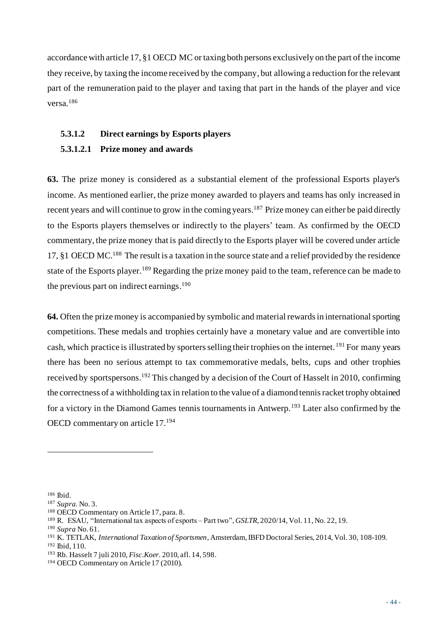accordance with article 17, §1 OECD MC or taxing both persons exclusively on the part of the income they receive, by taxing the income received by the company, but allowing a reduction for the relevant part of the remuneration paid to the player and taxing that part in the hands of the player and vice versa.<sup>186</sup>

## **5.3.1.2 Direct earnings by Esports players**

## **5.3.1.2.1 Prize money and awards**

**63.** The prize money is considered as a substantial element of the professional Esports player's income. As mentioned earlier, the prize money awarded to players and teams has only increased in recent years and will continue to grow in the coming years.<sup>187</sup> Prize money can either be paid directly to the Esports players themselves or indirectly to the players' team. As confirmed by the OECD commentary, the prize money that is paid directly to the Esports player will be covered under article 17, §1 OECD MC.<sup>188</sup> The result is a taxation in the source state and a relief provided by the residence state of the Esports player.<sup>189</sup> Regarding the prize money paid to the team, reference can be made to the previous part on indirect earnings.<sup>190</sup>

**64.** Often the prize money is accompanied by symbolic and material rewards in international sporting competitions. These medals and trophies certainly have a monetary value and are convertible into cash, which practice is illustrated by sporters selling their trophies on the internet. <sup>191</sup> For many years there has been no serious attempt to tax commemorative medals, belts, cups and other trophies received by sportspersons.<sup>192</sup> This changed by a decision of the Court of Hasselt in 2010, confirming the correctness of a withholding tax in relation to the value of a diamond tennis racket trophy obtained for a victory in the Diamond Games tennis tournaments in Antwerp.<sup>193</sup> Later also confirmed by the OECD commentary on article 17.<sup>194</sup>

<sup>186</sup> Ibid.

<sup>187</sup> *Supra.* No. 3.

<sup>188</sup> OECD Commentary on Article 17, para. 8.

<sup>189</sup> R. ESAU, "International tax aspects of esports – Part two", *GSLTR,* 2020/14, Vol. 11, No. 22, 19.

<sup>190</sup> *Supra* No. 61.

<sup>191</sup> K. TETLAK, *International Taxation of Sportsmen*, Amsterdam, IBFD Doctoral Series, 2014, Vol. 30, 108-109.

<sup>192</sup> Ibid, 110.

<sup>193</sup> Rb. Hasselt 7 juli 2010, *Fisc.Koer.* 2010, afl. 14, 598.

<sup>194</sup> OECD Commentary on Article 17 (2010).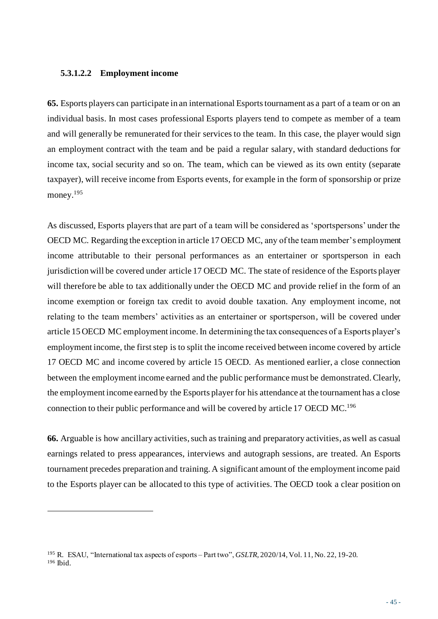#### **5.3.1.2.2 Employment income**

**65.** Esports players can participate in an international Esports tournament as a part of a team or on an individual basis. In most cases professional Esports players tend to compete as member of a team and will generally be remunerated for their services to the team. In this case, the player would sign an employment contract with the team and be paid a regular salary, with standard deductions for income tax, social security and so on. The team, which can be viewed as its own entity (separate taxpayer), will receive income from Esports events, for example in the form of sponsorship or prize money. 195

As discussed, Esports players that are part of a team will be considered as 'sportspersons' under the OECD MC. Regarding the exception in article 17 OECD MC, any of the team member's employment income attributable to their personal performances as an entertainer or sportsperson in each jurisdiction will be covered under article 17 OECD MC. The state of residence of the Esports player will therefore be able to tax additionally under the OECD MC and provide relief in the form of an income exemption or foreign tax credit to avoid double taxation. Any employment income, not relating to the team members' activities as an entertainer or sportsperson, will be covered under article 15 OECD MC employment income. In determining the tax consequences of a Esports player's employment income, the first step is to split the income received between income covered by article 17 OECD MC and income covered by article 15 OECD. As mentioned earlier, a close connection between the employment income earned and the public performance must be demonstrated. Clearly, the employment income earned by the Esports player for his attendance at the tournament has a close connection to their public performance and will be covered by article 17 OECD MC. 196

**66.** Arguable is how ancillary activities, such as training and preparatory activities, as well as casual earnings related to press appearances, interviews and autograph sessions, are treated. An Esports tournament precedes preparation and training. A significant amount of the employment income paid to the Esports player can be allocated to this type of activities. The OECD took a clear position on

<sup>195</sup> R. ESAU, "International tax aspects of esports – Part two", *GSLTR,* 2020/14, Vol. 11, No. 22, 19-20. <sup>196</sup> Ibid.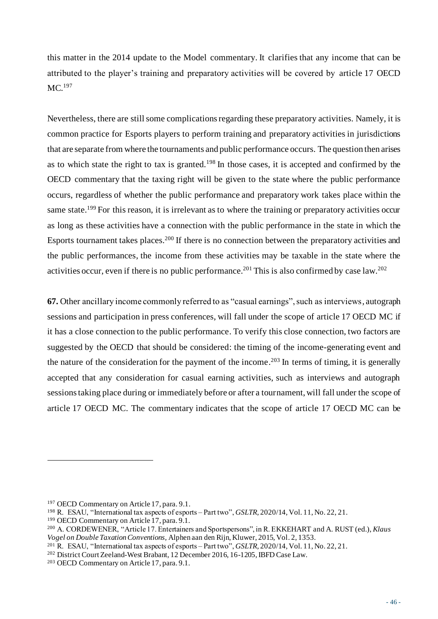this matter in the 2014 update to the Model commentary. It clarifies that any income that can be attributed to the player's training and preparatory activities will be covered by article 17 OECD MC. 197

Nevertheless, there are still some complications regarding these preparatory activities. Namely, it is common practice for Esports players to perform training and preparatory activities in jurisdictions that are separate from where the tournaments and public performance occurs. The question then arises as to which state the right to tax is granted.<sup>198</sup> In those cases, it is accepted and confirmed by the OECD commentary that the taxing right will be given to the state where the public performance occurs, regardless of whether the public performance and preparatory work takes place within the same state.<sup>199</sup> For this reason, it is irrelevant as to where the training or preparatory activities occur as long as these activities have a connection with the public performance in the state in which the Esports tournament takes places.<sup>200</sup> If there is no connection between the preparatory activities and the public performances, the income from these activities may be taxable in the state where the activities occur, even if there is no public performance.<sup>201</sup> This is also confirmed by case law.<sup>202</sup>

**67.** Other ancillary income commonly referred to as "casual earnings", such as interviews, autograph sessions and participation in press conferences, will fall under the scope of article 17 OECD MC if it has a close connection to the public performance. To verify this close connection, two factors are suggested by the OECD that should be considered: the timing of the income-generating event and the nature of the consideration for the payment of the income. <sup>203</sup> In terms of timing, it is generally accepted that any consideration for casual earning activities, such as interviews and autograph sessions taking place during or immediately before or after a tournament, will fall under the scope of article 17 OECD MC. The commentary indicates that the scope of article 17 OECD MC can be

<sup>197</sup> OECD Commentary on Article 17, para. 9.1.

<sup>198</sup> R. ESAU, "International tax aspects of esports – Part two", *GSLTR,* 2020/14, Vol. 11, No. 22, 21.

<sup>199</sup> OECD Commentary on Article 17, para. 9.1.

<sup>200</sup> A. CORDEWENER, "Article 17. Entertainers and Sportspersons", in R. EKKEHART and A. RUST (ed.), *Klaus Vogel on Double Taxation Conventions,* Alphen aan den Rijn, Kluwer, 2015, Vol. 2, 1353.

<sup>201</sup> R. ESAU, "International tax aspects of esports – Part two", *GSLTR,* 2020/14, Vol. 11, No. 22, 21.

<sup>202</sup> District CourtZeeland-West Brabant, 12 December 2016, 16-1205, IBFD Case Law.

<sup>203</sup> OECD Commentary on Article 17, para. 9.1.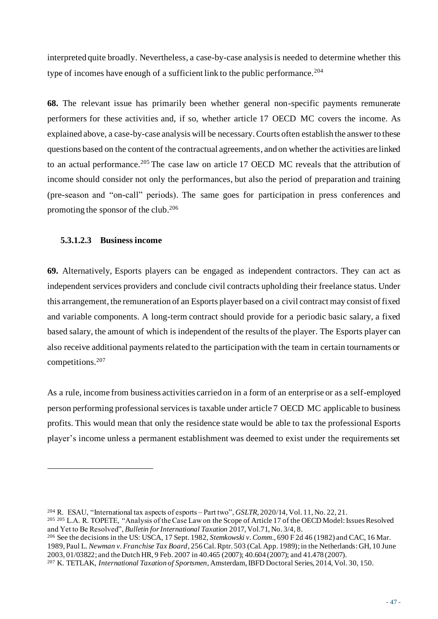interpreted quite broadly. Nevertheless, a case-by-case analysis is needed to determine whether this type of incomes have enough of a sufficient link to the public performance.<sup>204</sup>

**68.** The relevant issue has primarily been whether general non-specific payments remunerate performers for these activities and, if so, whether article 17 OECD MC covers the income. As explained above, a case-by-case analysis will be necessary. Courts often establish the answer to these questions based on the content of the contractual agreements, and on whether the activities are linked to an actual performance.<sup>205</sup> The case law on article 17 OECD MC reveals that the attribution of income should consider not only the performances, but also the period of preparation and training (pre-season and "on-call" periods). The same goes for participation in press conferences and promoting the sponsor of the club. 206

### **5.3.1.2.3 Business income**

**69.** Alternatively, Esports players can be engaged as independent contractors. They can act as independent services providers and conclude civil contracts upholding their freelance status. Under this arrangement, the remuneration of an Esports player based on a civil contract may consist of fixed and variable components. A long-term contract should provide for a periodic basic salary, a fixed based salary, the amount of which is independent of the results of the player. The Esports player can also receive additional payments related to the participation with the team in certain tournaments or competitions.<sup>207</sup>

As a rule, income from business activities carried on in a form of an enterprise or as a self-employed person performing professional services is taxable under article 7 OECD MC applicable to business profits. This would mean that only the residence state would be able to tax the professional Esports player's income unless a permanent establishment was deemed to exist under the requirements set

<sup>206</sup> See the decisions in the US: USCA, 17 Sept. 1982, *Stemkowski v. Comm*., 690 F 2d 46 (1982) and CAC, 16 Mar. 1989, Paul L. *Newman v. Franchise Tax Board*, 256 Cal. Rptr. 503 (Cal. App. 1989); in the Netherlands: GH, 10 June 2003, 01/03822; and the Dutch HR, 9 Feb. 2007 in 40.465 (2007); 40.604 (2007); and 41.478 (2007).

<sup>204</sup> R. ESAU, "International tax aspects of esports – Part two", *GSLTR,* 2020/14, Vol. 11, No. 22, 21.

<sup>205</sup> <sup>205</sup> L.A. R. TOPETE, "Analysis of the Case Law on the Scope of Article 17 of the OECD Model: Issues Resolved and Yet to Be Resolved", *Bulletin for International Taxation* 2017, Vol.71, No. 3/4, 8.

<sup>207</sup> K. TETLAK, *International Taxation of Sportsmen*, Amsterdam, IBFD Doctoral Series, 2014, Vol. 30, 150.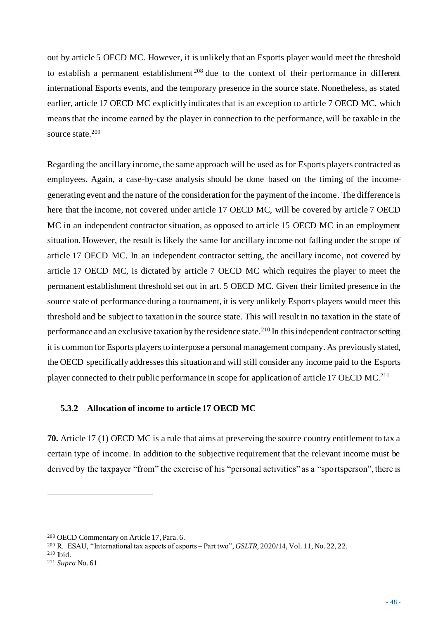out by article 5 OECD MC. However, it is unlikely that an Esports player would meet the threshold to establish a permanent establishment <sup>208</sup> due to the context of their performance in different international Esports events, and the temporary presence in the source state. Nonetheless, as stated earlier, article 17 OECD MC explicitly indicates that is an exception to article 7 OECD MC, which means that the income earned by the player in connection to the performance, will be taxable in the source state.<sup>209</sup>

Regarding the ancillary income, the same approach will be used as for Esports players contracted as employees. Again, a case-by-case analysis should be done based on the timing of the incomegenerating event and the nature of the consideration for the payment of the income. The difference is here that the income, not covered under article 17 OECD MC, will be covered by article 7 OECD MC in an independent contractor situation, as opposed to article 15 OECD MC in an employment situation. However, the result is likely the same for ancillary income not falling under the scope of article 17 OECD MC. In an independent contractor setting, the ancillary income, not covered by article 17 OECD MC, is dictated by article 7 OECD MC which requires the player to meet the permanent establishment threshold set out in art. 5 OECD MC. Given their limited presence in the source state of performance during a tournament, it is very unlikely Esports players would meet this threshold and be subject to taxation in the source state. This will result in no taxation in the state of performance and an exclusive taxation by the residence state.<sup>210</sup> In this independent contractor setting it is common for Esports players to interpose a personal management company. As previously stated, the OECD specifically addresses this situation and will still consider any income paid to the Esports player connected to their public performance in scope for application of article 17 OECD MC.<sup>211</sup>

#### **5.3.2 Allocation of income to article 17 OECD MC**

**70.** Article 17 (1) OECD MC is a rule that aims at preserving the source country entitlement to tax a certain type of income. In addition to the subjective requirement that the relevant income must be derived by the taxpayer "from" the exercise of his "personal activities" as a "sportsperson", there is

<sup>208</sup> OECD Commentary on Article 17, Para. 6.

<sup>209</sup> R. ESAU, "International tax aspects of esports – Part two", *GSLTR,* 2020/14, Vol. 11, No. 22, 22.

<sup>210</sup> Ibid.

<sup>211</sup> *Supra* No. 61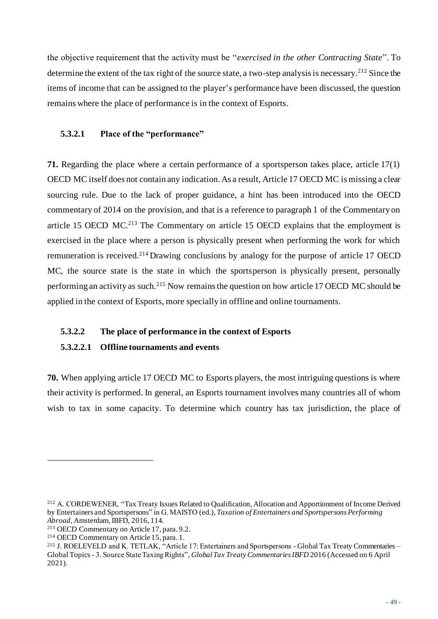the objective requirement that the activity must be "*exercised in the other Contracting State*". To determine the extent of the tax right of the source state, a two-step analysis is necessary.<sup>212</sup> Since the items of income that can be assigned to the player's performance have been discussed, the question remains where the place of performance is in the context of Esports.

### **5.3.2.1 Place of the "performance"**

**71.** Regarding the place where a certain performance of a sportsperson takes place, article 17(1) OECD MC itself does not contain any indication. As a result, Article 17 OECD MC is missing a clear sourcing rule. Due to the lack of proper guidance, a hint has been introduced into the OECD commentary of 2014 on the provision, and that is a reference to paragraph 1 of the Commentary on article 15 OECD MC.<sup>213</sup> The Commentary on article 15 OECD explains that the employment is exercised in the place where a person is physically present when performing the work for which remuneration is received.<sup>214</sup> Drawing conclusions by analogy for the purpose of article 17 OECD MC, the source state is the state in which the sportsperson is physically present, personally performing an activity as such.<sup>215</sup> Now remains the question on how article 17 OECD MC should be applied in the context of Esports, more specially in offline and online tournaments.

#### **5.3.2.2 The place of performance in the context of Esports**

## **5.3.2.2.1 Offline tournaments and events**

**70.** When applying article 17 OECD MC to Esports players, the most intriguing questions is where their activity is performed. In general, an Esports tournament involves many countries all of whom wish to tax in some capacity. To determine which country has tax jurisdiction, the place of

<sup>212</sup> A. CORDEWENER, "Tax Treaty Issues Related to Qualification, Allocation and Apportionment of Income Derived by Entertainers and Sportspersons" in G. MAISTO (ed.), *Taxation of Entertainers and Sportspersons Performing Abroad*, Amsterdam, IBFD, 2016, 114.

<sup>213</sup> OECD Commentary on Article 17, para. 9.2.

<sup>214</sup> OECD Commentary on Article 15, para. 1.

<sup>215</sup> J. ROELEVELD and K. TETLAK, "Article 17: Entertainers and Sportspersons - Global Tax Treaty Commentaries – Global Topics - 3. Source State Taxing Rights", *Global Tax Treaty Commentaries IBFD* 2016 (Accessed on 6 April 2021).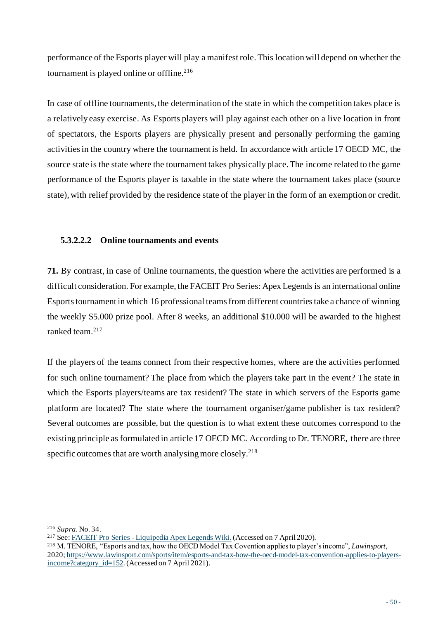performance of the Esports player will play a manifest role.This location will depend on whether the tournament is played online or offline.<sup>216</sup>

In case of offline tournaments, the determination of the state in which the competition takes place is a relatively easy exercise. As Esports players will play against each other on a live location in front of spectators, the Esports players are physically present and personally performing the gaming activities in the country where the tournament is held. In accordance with article 17 OECD MC, the source state is the state where the tournament takes physically place. The income related to the game performance of the Esports player is taxable in the state where the tournament takes place (source state), with relief provided by the residence state of the player in the form of an exemption or credit.

## **5.3.2.2.2 Online tournaments and events**

**71.** By contrast, in case of Online tournaments, the question where the activities are performed is a difficult consideration. For example, the FACEIT Pro Series: Apex Legends is an international online Esports tournament in which 16 professional teams from different countries take a chance of winning the weekly \$5.000 prize pool. After 8 weeks, an additional \$10.000 will be awarded to the highest ranked team.<sup>217</sup>

If the players of the teams connect from their respective homes, where are the activities performed for such online tournament? The place from which the players take part in the event? The state in which the Esports players/teams are tax resident? The state in which servers of the Esports game platform are located? The state where the tournament organiser/game publisher is tax resident? Several outcomes are possible, but the question is to what extent these outcomes correspond to the existing principle as formulated in article 17 OECD MC. According to Dr. TENORE, there are three specific outcomes that are worth analysing more closely.<sup>218</sup>

<sup>216</sup> *Supra.* No. 34.

<sup>217</sup> See: FACEIT Pro Series - [Liquipedia Apex Legends Wiki](https://liquipedia.net/apexlegends/FACEIT/Pro_Series).(Accessed on 7 April 2020).

<sup>218</sup> M. TENORE, "Esports and tax, how the OECD Model Tax Covention applies to player's income", *Lawinsport*, 2020; [https://www.lawinsport.com/sports/item/esports-and-tax-how-the-oecd-model-tax-convention-applies-to-players](https://www.lawinsport.com/sports/item/esports-and-tax-how-the-oecd-model-tax-convention-applies-to-players-income?category_id=152)[income?category\\_id=152.](https://www.lawinsport.com/sports/item/esports-and-tax-how-the-oecd-model-tax-convention-applies-to-players-income?category_id=152) (Accessed on 7 April 2021).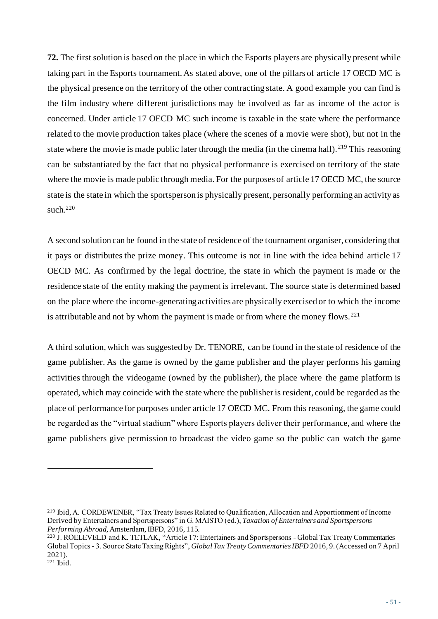**72.** The first solution is based on the place in which the Esports players are physically present while taking part in the Esports tournament. As stated above, one of the pillars of article 17 OECD MC is the physical presence on the territory of the other contracting state. A good example you can find is the film industry where different jurisdictions may be involved as far as income of the actor is concerned. Under article 17 OECD MC such income is taxable in the state where the performance related to the movie production takes place (where the scenes of a movie were shot), but not in the state where the movie is made public later through the media (in the cinema hall).<sup>219</sup> This reasoning can be substantiated by the fact that no physical performance is exercised on territory of the state where the movie is made public through media. For the purposes of article 17 OECD MC, the source state is the state in which the sportsperson is physically present, personally performing an activity as such. $220$ 

A second solution can be found in the state of residence of the tournament organiser, considering that it pays or distributes the prize money. This outcome is not in line with the idea behind article 17 OECD MC. As confirmed by the legal doctrine, the state in which the payment is made or the residence state of the entity making the payment is irrelevant. The source state is determined based on the place where the income-generating activities are physically exercised or to which the income is attributable and not by whom the payment is made or from where the money flows.<sup>221</sup>

A third solution, which was suggested by Dr. TENORE, can be found in the state of residence of the game publisher. As the game is owned by the game publisher and the player performs his gaming activities through the videogame (owned by the publisher), the place where the game platform is operated, which may coincide with the state where the publisher is resident, could be regarded as the place of performance for purposes under article 17 OECD MC. From this reasoning, the game could be regarded as the "virtual stadium" where Esports players deliver their performance, and where the game publishers give permission to broadcast the video game so the public can watch the game

<sup>219</sup> Ibid, A. CORDEWENER, "Tax Treaty Issues Related to Qualification, Allocation and Apportionment of Income Derived by Entertainers and Sportspersons" in G. MAISTO (ed.), *Taxation of Entertainers and Sportspersons Performing Abroad*, Amsterdam, IBFD, 2016, 115.

<sup>220</sup> J. ROELEVELD and K. TETLAK, "Article 17: Entertainers and Sportspersons - Global Tax Treaty Commentaries – Global Topics - 3. Source State Taxing Rights", *Global Tax Treaty Commentaries IBFD* 2016, 9.(Accessed on 7 April 2021).  $221$  Ibid.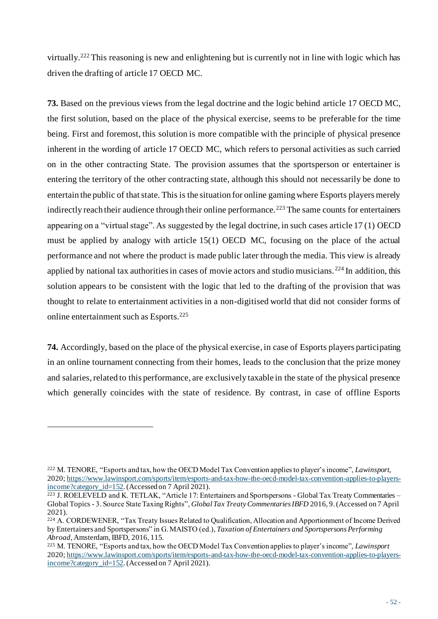virtually.<sup>222</sup> This reasoning is new and enlightening but is currently not in line with logic which has driven the drafting of article 17 OECD MC.

**73.** Based on the previous views from the legal doctrine and the logic behind article 17 OECD MC, the first solution, based on the place of the physical exercise, seems to be preferable for the time being. First and foremost, this solution is more compatible with the principle of physical presence inherent in the wording of article 17 OECD MC, which refers to personal activities as such carried on in the other contracting State. The provision assumes that the sportsperson or entertainer is entering the territory of the other contracting state, although this should not necessarily be done to entertain the public of that state. This is the situation for online gaming where Esports players merely indirectly reach their audience through their online performance.<sup>223</sup> The same counts for entertainers appearing on a "virtual stage". As suggested by the legal doctrine, in such cases article 17 (1) OECD must be applied by analogy with article 15(1) OECD MC, focusing on the place of the actual performance and not where the product is made public later through the media. This view is already applied by national tax authorities in cases of movie actors and studio musicians.<sup>224</sup> In addition, this solution appears to be consistent with the logic that led to the drafting of the provision that was thought to relate to entertainment activities in a non-digitised world that did not consider forms of online entertainment such as Esports.<sup>225</sup>

**74.** Accordingly, based on the place of the physical exercise, in case of Esports players participating in an online tournament connecting from their homes, leads to the conclusion that the prize money and salaries, related to this performance, are exclusively taxable in the state of the physical presence which generally coincides with the state of residence. By contrast, in case of offline Esports

<sup>222</sup> M. TENORE, "Esports and tax, how the OECD Model Tax Convention applies to player's income", *Lawinsport*, 2020; [https://www.lawinsport.com/sports/item/esports-and-tax-how-the-oecd-model-tax-convention-applies-to-players](https://www.lawinsport.com/sports/item/esports-and-tax-how-the-oecd-model-tax-convention-applies-to-players-income?category_id=152)[income?category\\_id=152.](https://www.lawinsport.com/sports/item/esports-and-tax-how-the-oecd-model-tax-convention-applies-to-players-income?category_id=152)(Accessed on 7 April 2021).

<sup>223</sup> J. ROELEVELD and K. TETLAK, "Article 17: Entertainers and Sportspersons - Global Tax Treaty Commentaries – Global Topics - 3. Source State Taxing Rights", *Global Tax Treaty Commentaries IBFD* 2016, 9. (Accessed on 7 April 2021).

<sup>&</sup>lt;sup>224</sup> A. CORDEWENER, "Tax Treaty Issues Related to Qualification, Allocation and Apportionment of Income Derived by Entertainers and Sportspersons" in G. MAISTO (ed.), *Taxation of Entertainers and Sportspersons Performing Abroad*, Amsterdam, IBFD, 2016, 115.

<sup>225</sup> M. TENORE, "Esports and tax, how the OECD Model Tax Convention applies to player's income", *Lawinsport* 2020; [https://www.lawinsport.com/sports/item/esports-and-tax-how-the-oecd-model-tax-convention-applies-to-players](https://www.lawinsport.com/sports/item/esports-and-tax-how-the-oecd-model-tax-convention-applies-to-players-income?category_id=152)[income?category\\_id=152.](https://www.lawinsport.com/sports/item/esports-and-tax-how-the-oecd-model-tax-convention-applies-to-players-income?category_id=152)(Accessed on 7 April 2021).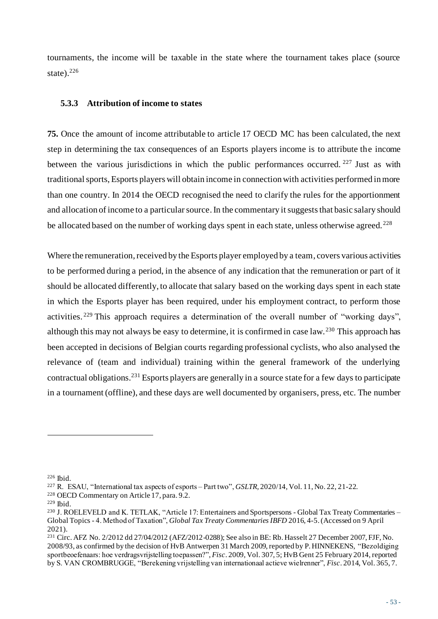tournaments, the income will be taxable in the state where the tournament takes place (source state). $226$ 

#### **5.3.3 Attribution of income to states**

**75.** Once the amount of income attributable to article 17 OECD MC has been calculated, the next step in determining the tax consequences of an Esports players income is to attribute the income between the various jurisdictions in which the public performances occurred. <sup>227</sup> Just as with traditional sports, Esports players will obtain income in connection with activities performed in more than one country. In 2014 the OECD recognised the need to clarify the rules for the apportionment and allocation of income to a particular source. In the commentary it suggests that basic salary should be allocated based on the number of working days spent in each state, unless otherwise agreed.<sup>228</sup>

Where the remuneration, received by the Esports player employed by a team, covers various activities to be performed during a period, in the absence of any indication that the remuneration or part of it should be allocated differently, to allocate that salary based on the working days spent in each state in which the Esports player has been required, under his employment contract, to perform those activities.<sup>229</sup> This approach requires a determination of the overall number of "working days", although this may not always be easy to determine, it is confirmed in case law.<sup>230</sup> This approach has been accepted in decisions of Belgian courts regarding professional cyclists, who also analysed the relevance of (team and individual) training within the general framework of the underlying contractual obligations.<sup>231</sup> Esports players are generally in a source state for a few days to participate in a tournament (offline), and these days are well documented by organisers, press, etc. The number

<sup>228</sup> OECD Commentary on Article 17, para. 9.2.

<sup>226</sup> Ibid.

<sup>227</sup> R. ESAU, "International tax aspects of esports – Part two", *GSLTR,* 2020/14, Vol. 11, No. 22, 21-22.

<sup>229</sup> Ibid.

<sup>230</sup> J. ROELEVELD and K. TETLAK, "Article 17: Entertainers and Sportspersons - Global Tax Treaty Commentaries – Global Topics - 4. Method of Taxation", *Global Tax Treaty Commentaries IBFD* 2016, 4-5. (Accessed on 9 April 2021).

<sup>231</sup> Circ. AFZ No. 2/2012 dd 27/04/2012 (AFZ/2012-0288); See also in BE: Rb. Hasselt 27 December 2007, FJF, No. 2008/93, as confirmed by the decision of HvB Antwerpen 31 March 2009, reported by P. HINNEKENS, "Bezoldiging sportbeoefenaars: hoe verdragsvrijstelling toepassen?", *Fisc*. 2009, Vol. 307, 5; HvB Gent 25 February 2014, reported by S. VAN CROMBRUGGE, "Berekening vrijstelling van internationaal actieve wielrenner", *Fisc*. 2014, Vol. 365, 7.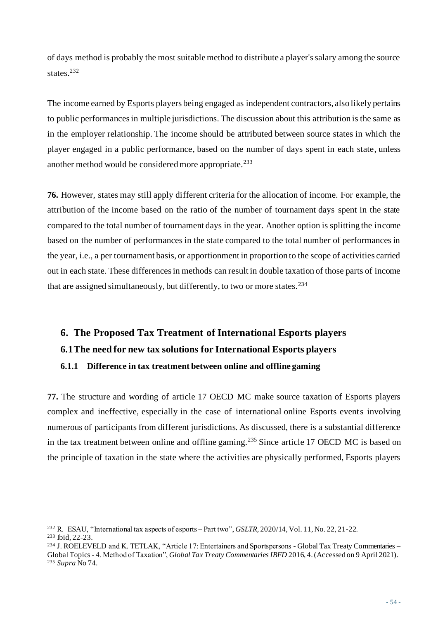of days method is probably the most suitable method to distribute a player's salary among the source states.<sup>232</sup>

The income earned by Esports players being engaged as independent contractors, also likely pertains to public performances in multiple jurisdictions. The discussion about this attribution is the same as in the employer relationship. The income should be attributed between source states in which the player engaged in a public performance, based on the number of days spent in each state, unless another method would be considered more appropriate.<sup>233</sup>

**76.** However, states may still apply different criteria for the allocation of income. For example, the attribution of the income based on the ratio of the number of tournament days spent in the state compared to the total number of tournament days in the year. Another option is splitting the income based on the number of performances in the state compared to the total number of performances in the year, i.e., a per tournament basis, or apportionment in proportion to the scope of activities carried out in each state. These differences in methods can result in double taxation of those parts of income that are assigned simultaneously, but differently, to two or more states.<sup>234</sup>

# **6. The Proposed Tax Treatment of International Esports players 6.1The need for new tax solutions for International Esports players 6.1.1 Difference in tax treatment between online and offline gaming**

**77.** The structure and wording of article 17 OECD MC make source taxation of Esports players complex and ineffective, especially in the case of international online Esports events involving numerous of participants from different jurisdictions. As discussed, there is a substantial difference in the tax treatment between online and offline gaming.<sup>235</sup> Since article 17 OECD MC is based on the principle of taxation in the state where the activities are physically performed, Esports players

<sup>232</sup> R. ESAU, "International tax aspects of esports – Part two", *GSLTR,* 2020/14, Vol. 11, No. 22, 21-22. <sup>233</sup> Ibid, 22-23.

<sup>234</sup> J. ROELEVELD and K. TETLAK, "Article 17: Entertainers and Sportspersons - Global Tax Treaty Commentaries – Global Topics - 4. Method of Taxation", *Global Tax Treaty Commentaries IBFD* 2016, 4. (Accessed on 9 April 2021). <sup>235</sup> *Supra* No 74.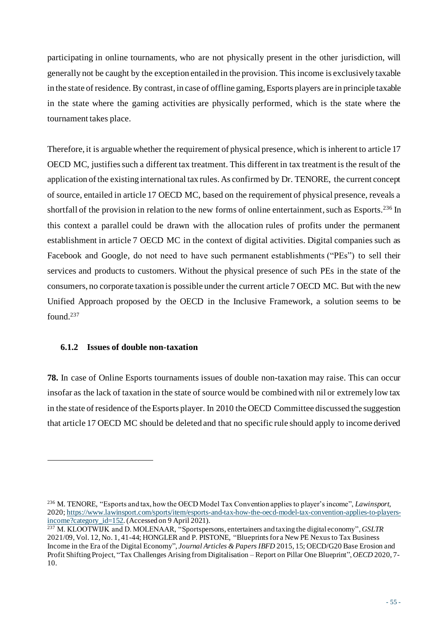participating in online tournaments, who are not physically present in the other jurisdiction, will generally not be caught by the exception entailed in the provision. This income is exclusively taxable in the state of residence. By contrast, in case of offline gaming, Esports players are in principle taxable in the state where the gaming activities are physically performed, which is the state where the tournament takes place.

Therefore, it is arguable whether the requirement of physical presence, which is inherent to article 17 OECD MC, justifies such a different tax treatment. This different in tax treatment is the result of the application of the existing international tax rules. As confirmed by Dr. TENORE, the current concept of source, entailed in article 17 OECD MC, based on the requirement of physical presence, reveals a shortfall of the provision in relation to the new forms of online entertainment, such as Esports.<sup>236</sup> In this context a parallel could be drawn with the allocation rules of profits under the permanent establishment in article 7 OECD MC in the context of digital activities. Digital companies such as Facebook and Google, do not need to have such permanent establishments ("PEs") to sell their services and products to customers. Without the physical presence of such PEs in the state of the consumers, no corporate taxation is possible under the current article 7 OECD MC. But with the new Unified Approach proposed by the OECD in the Inclusive Framework, a solution seems to be found.<sup>237</sup>

#### **6.1.2 Issues of double non-taxation**

**78.** In case of Online Esports tournaments issues of double non-taxation may raise. This can occur insofar as the lack of taxation in the state of source would be combined with nil or extremely low tax in the state of residence of the Esports player. In 2010 the OECD Committee discussed the suggestion that article 17 OECD MC should be deleted and that no specific rule should apply to income derived

<sup>236</sup> M. TENORE, "Esports and tax, how the OECD Model Tax Convention applies to player's income", *Lawinsport*, 2020; [https://www.lawinsport.com/sports/item/esports-and-tax-how-the-oecd-model-tax-convention-applies-to-players](https://www.lawinsport.com/sports/item/esports-and-tax-how-the-oecd-model-tax-convention-applies-to-players-income?category_id=152)[income?category\\_id=152.](https://www.lawinsport.com/sports/item/esports-and-tax-how-the-oecd-model-tax-convention-applies-to-players-income?category_id=152) (Accessed on 9 April 2021).

<sup>237</sup> M. KLOOTWIJK and D. MOLENAAR, "Sportspersons, entertainers and taxing the digital economy", *GSLTR* 2021/09, Vol. 12, No. 1, 41-44; HONGLER and P. PISTONE, "Blueprints for a New PE Nexus to Tax Business Income in the Era of the Digital Economy", *Journal Articles & Papers IBFD* 2015, 15; OECD/G20 Base Erosion and Profit Shifting Project, "Tax Challenges Arising from Digitalisation – Report on Pillar One Blueprint", *OECD* 2020, 7- 10.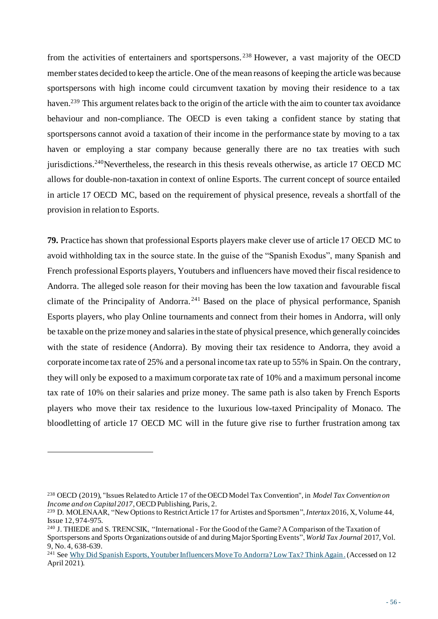from the activities of entertainers and sportspersons. <sup>238</sup> However, a vast majority of the OECD member states decided to keep the article. One of the mean reasons of keeping the article was because sportspersons with high income could circumvent taxation by moving their residence to a tax haven.<sup>239</sup> This argument relates back to the origin of the article with the aim to counter tax avoidance behaviour and non-compliance. The OECD is even taking a confident stance by stating that sportspersons cannot avoid a taxation of their income in the performance state by moving to a tax haven or employing a star company because generally there are no tax treaties with such jurisdictions.<sup>240</sup>Nevertheless, the research in this thesis reveals otherwise, as article 17 OECD MC allows for double-non-taxation in context of online Esports. The current concept of source entailed in article 17 OECD MC, based on the requirement of physical presence, reveals a shortfall of the provision in relation to Esports.

**79.** Practice has shown that professional Esports players make clever use of article 17 OECD MC to avoid withholding tax in the source state. In the guise of the "Spanish Exodus", many Spanish and French professional Esports players, Youtubers and influencers have moved their fiscal residence to Andorra. The alleged sole reason for their moving has been the low taxation and favourable fiscal climate of the Principality of Andorra. <sup>241</sup> Based on the place of physical performance, Spanish Esports players, who play Online tournaments and connect from their homes in Andorra, will only be taxable on the prize money and salaries in the state of physical presence, which generally coincides with the state of residence (Andorra). By moving their tax residence to Andorra, they avoid a corporate income tax rate of 25% and a personal income tax rate up to 55% in Spain. On the contrary, they will only be exposed to a maximum corporate tax rate of 10% and a maximum personal income tax rate of 10% on their salaries and prize money. The same path is also taken by French Esports players who move their tax residence to the luxurious low-taxed Principality of Monaco. The bloodletting of article 17 OECD MC will in the future give rise to further frustration among tax

<sup>238</sup> OECD (2019), "Issues Related to Article 17 of the OECD Model Tax Convention", in *Model Tax Convention on Income and on Capital 2017*, OECD Publishing, Paris, 2.

<sup>239</sup> D. MOLENAAR, "New Options to Restrict Article 17 for Artistes and Sportsmen", *Intertax* 2016, X, Volume 44, Issue 12, 974-975.

<sup>240</sup> J. THIEDE and S. TRENCSIK, "International - For the Good of the Game? A Comparison of the Taxation of Sportspersons and Sports Organizations outside of and during Major Sporting Events", *World Tax Journal* 2017, Vol. 9, No. 4, 638-639.

<sup>241</sup> See [Why Did Spanish Esports, Youtuber Influencers Move To Andorra? Low Tax? Think Again](https://www.lowtax.net/Articles/Why-did-Spanish-esports-Youtuber-influencers-move-to-Andorra-Low-tax-Think-again-595938.html).(Accessed on 12 April 2021).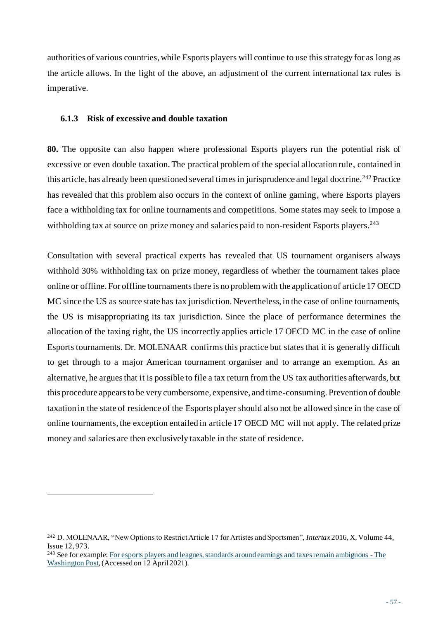authorities of various countries, while Esports players will continue to use this strategy for as long as the article allows. In the light of the above, an adjustment of the current international tax rules is imperative.

### **6.1.3 Risk of excessive and double taxation**

**80.** The opposite can also happen where professional Esports players run the potential risk of excessive or even double taxation. The practical problem of the special allocation rule, contained in this article, has already been questioned several times in jurisprudence and legal doctrine.<sup>242</sup> Practice has revealed that this problem also occurs in the context of online gaming, where Esports players face a withholding tax for online tournaments and competitions. Some states may seek to impose a withholding tax at source on prize money and salaries paid to non-resident Esports players.<sup>243</sup>

Consultation with several practical experts has revealed that US tournament organisers always withhold 30% withholding tax on prize money, regardless of whether the tournament takes place online or offline. For offline tournaments there is no problem with the application of article 17 OECD MC since the US as source state has tax jurisdiction. Nevertheless, in the case of online tournaments, the US is misappropriating its tax jurisdiction. Since the place of performance determines the allocation of the taxing right, the US incorrectly applies article 17 OECD MC in the case of online Esports tournaments. Dr. MOLENAAR confirms this practice but states that it is generally difficult to get through to a major American tournament organiser and to arrange an exemption. As an alternative, he argues that it is possible to file a tax return from the US tax authorities afterwards, but this procedure appears to be very cumbersome, expensive, and time-consuming. Prevention of double taxation in the state of residence of the Esports player should also not be allowed since in the case of online tournaments, the exception entailed in article 17 OECD MC will not apply. The related prize money and salaries are then exclusively taxable in the state of residence.

<sup>242</sup> D. MOLENAAR, "New Options to Restrict Article 17 for Artistes and Sportsmen", *Intertax* 2016, X, Volume 44, Issue 12, 973.

<sup>&</sup>lt;sup>243</sup> See for exampl[e: For esports players and leagues, standards around earnings and taxes remain ambiguous -](https://www.washingtonpost.com/video-games/esports/2020/01/15/esports-players-tax-man-cometh/) The [Washington Post,](https://www.washingtonpost.com/video-games/esports/2020/01/15/esports-players-tax-man-cometh/)(Accessed on 12 April 2021).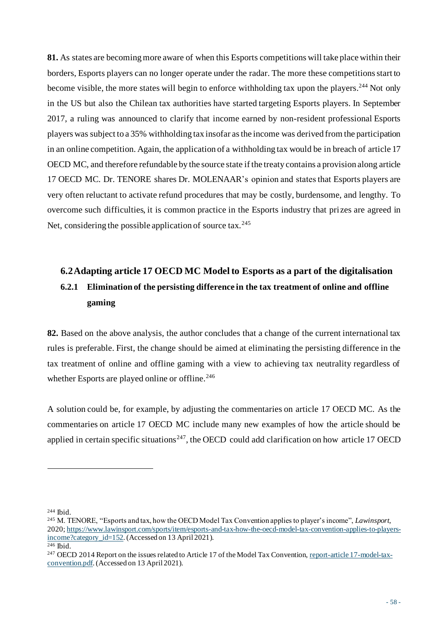**81.** As states are becoming more aware of when this Esports competitions will take place within their borders, Esports players can no longer operate under the radar. The more these competitions start to become visible, the more states will begin to enforce withholding tax upon the players.<sup>244</sup> Not only in the US but also the Chilean tax authorities have started targeting Esports players. In September 2017, a ruling was announced to clarify that income earned by non-resident professional Esports players was subject to a 35% withholding tax insofar as the income was derived from the participation in an online competition. Again, the application of a withholding tax would be in breach of article 17 OECD MC, and therefore refundable by the source state if the treaty contains a provision along article 17 OECD MC. Dr. TENORE shares Dr. MOLENAAR's opinion and states that Esports players are very often reluctant to activate refund procedures that may be costly, burdensome, and lengthy. To overcome such difficulties, it is common practice in the Esports industry that prizes are agreed in Net, considering the possible application of source tax.  $245$ 

# **6.2Adapting article 17 OECD MC Model to Esports as a part of the digitalisation 6.2.1 Elimination of the persisting difference in the tax treatment of online and offline gaming**

**82.** Based on the above analysis, the author concludes that a change of the current international tax rules is preferable. First, the change should be aimed at eliminating the persisting difference in the tax treatment of online and offline gaming with a view to achieving tax neutrality regardless of whether Esports are played online or offline.<sup>246</sup>

A solution could be, for example, by adjusting the commentaries on article 17 OECD MC. As the commentaries on article 17 OECD MC include many new examples of how the article should be applied in certain specific situations<sup>247</sup>, the OECD could add clarification on how article 17 OECD

 $244$  Ibid.

<sup>245</sup> M. TENORE, "Esports and tax, how the OECD Model Tax Convention applies to player's income", *Lawinsport*, 2020; [https://www.lawinsport.com/sports/item/esports-and-tax-how-the-oecd-model-tax-convention-applies-to-players](https://www.lawinsport.com/sports/item/esports-and-tax-how-the-oecd-model-tax-convention-applies-to-players-income?category_id=152)[income?category\\_id=152.](https://www.lawinsport.com/sports/item/esports-and-tax-how-the-oecd-model-tax-convention-applies-to-players-income?category_id=152)(Accessed on 13 April 2021).

<sup>246</sup> Ibid.

<sup>247</sup> OECD 2014 Report on the issues related to Article 17 of the Model Tax Conventio[n, report-article 17-model-tax](file:///C:/Users/vdb/Desktop/Master%20na%20Master%20Tax%20Law/Thesis%20Esports/Bronnen/report-article%2017-model-tax-convention.pdf)[convention.pdf](file:///C:/Users/vdb/Desktop/Master%20na%20Master%20Tax%20Law/Thesis%20Esports/Bronnen/report-article%2017-model-tax-convention.pdf). (Accessed on 13 April 2021).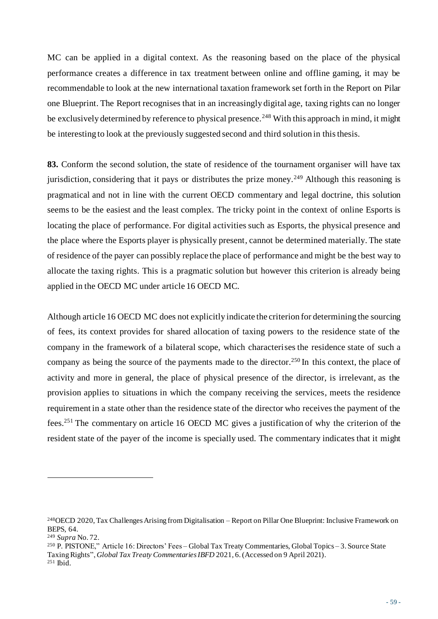MC can be applied in a digital context. As the reasoning based on the place of the physical performance creates a difference in tax treatment between online and offline gaming, it may be recommendable to look at the new international taxation framework set forth in the Report on Pilar one Blueprint. The Report recognises that in an increasingly digital age, taxing rights can no longer be exclusively determined by reference to physical presence.<sup>248</sup> With this approach in mind, it might be interesting to look at the previously suggested second and third solution in this thesis.

**83.** Conform the second solution, the state of residence of the tournament organiser will have tax jurisdiction, considering that it pays or distributes the prize money.<sup>249</sup> Although this reasoning is pragmatical and not in line with the current OECD commentary and legal doctrine, this solution seems to be the easiest and the least complex. The tricky point in the context of online Esports is locating the place of performance. For digital activities such as Esports, the physical presence and the place where the Esports player is physically present, cannot be determined materially. The state of residence of the payer can possibly replace the place of performance and might be the best way to allocate the taxing rights. This is a pragmatic solution but however this criterion is already being applied in the OECD MC under article 16 OECD MC.

Although article 16 OECD MC does not explicitly indicate the criterion for determining the sourcing of fees, its context provides for shared allocation of taxing powers to the residence state of the company in the framework of a bilateral scope, which characterises the residence state of such a company as being the source of the payments made to the director.<sup>250</sup> In this context, the place of activity and more in general, the place of physical presence of the director, is irrelevant, as the provision applies to situations in which the company receiving the services, meets the residence requirement in a state other than the residence state of the director who receives the payment of the fees.<sup>251</sup> The commentary on article 16 OECD MC gives a justification of why the criterion of the resident state of the payer of the income is specially used. The commentary indicates that it might

<sup>250</sup> P. PISTONE," Article 16: Directors' Fees – Global Tax Treaty Commentaries, Global Topics – 3. Source State Taxing Rights", *Global Tax Treaty Commentaries IBFD* 2021, 6. (Accessed on 9 April 2021).  $251$  Ibid.

<sup>248</sup>OECD 2020, Tax Challenges Arising from Digitalisation – Report on Pillar One Blueprint: Inclusive Framework on BEPS, 64.

<sup>249</sup> *Supra* No. 72.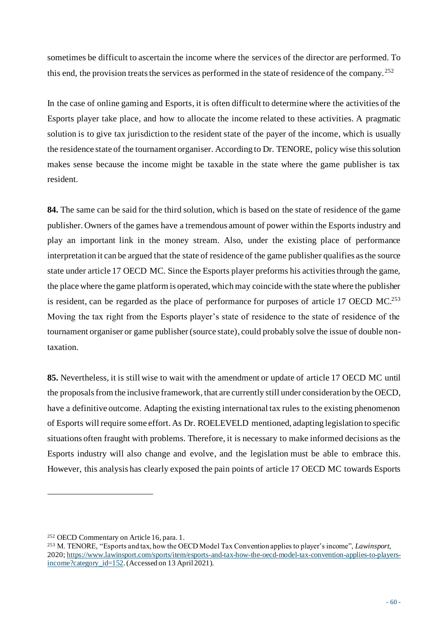sometimes be difficult to ascertain the income where the services of the director are performed. To this end, the provision treats the services as performed in the state of residence of the company. <sup>252</sup>

In the case of online gaming and Esports, it is often difficult to determine where the activities of the Esports player take place, and how to allocate the income related to these activities. A pragmatic solution is to give tax jurisdiction to the resident state of the payer of the income, which is usually the residence state of the tournament organiser. According to Dr. TENORE, policy wise this solution makes sense because the income might be taxable in the state where the game publisher is tax resident.

**84.** The same can be said for the third solution, which is based on the state of residence of the game publisher. Owners of the games have a tremendous amount of power within the Esports industry and play an important link in the money stream. Also, under the existing place of performance interpretation it can be argued that the state of residence of the game publisher qualifies as the source state under article 17 OECD MC. Since the Esports player preforms his activities through the game, the place where the game platform is operated, which may coincide with the state where the publisher is resident, can be regarded as the place of performance for purposes of article 17 OECD MC.<sup>253</sup> Moving the tax right from the Esports player's state of residence to the state of residence of the tournament organiser or game publisher (source state), could probably solve the issue of double nontaxation.

**85.** Nevertheless, it is still wise to wait with the amendment or update of article 17 OECD MC until the proposals from the inclusive framework, that are currently still under consideration by the OECD, have a definitive outcome. Adapting the existing international tax rules to the existing phenomenon of Esports will require some effort. As Dr. ROELEVELD mentioned, adapting legislation to specific situations often fraught with problems. Therefore, it is necessary to make informed decisions as the Esports industry will also change and evolve, and the legislation must be able to embrace this. However, this analysis has clearly exposed the pain points of article 17 OECD MC towards Esports

<sup>252</sup> OECD Commentary on Article 16, para. 1.

<sup>253</sup> M. TENORE, "Esports and tax, how the OECD Model Tax Convention applies to player's income", *Lawinsport*, 2020; [https://www.lawinsport.com/sports/item/esports-and-tax-how-the-oecd-model-tax-convention-applies-to-players](https://www.lawinsport.com/sports/item/esports-and-tax-how-the-oecd-model-tax-convention-applies-to-players-income?category_id=152)[income?category\\_id=152.](https://www.lawinsport.com/sports/item/esports-and-tax-how-the-oecd-model-tax-convention-applies-to-players-income?category_id=152)(Accessed on 13 April 2021).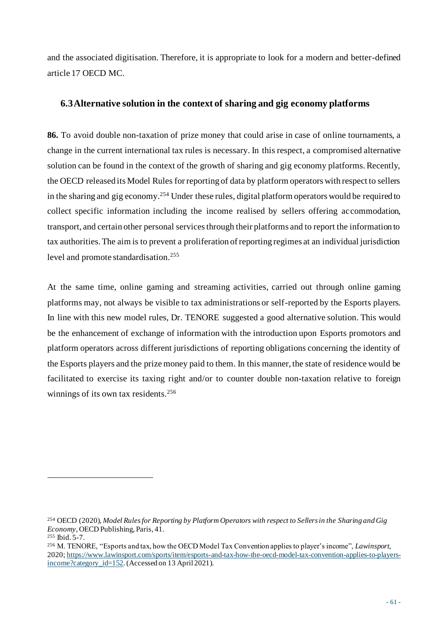and the associated digitisation. Therefore, it is appropriate to look for a modern and better-defined article 17 OECD MC.

## **6.3Alternative solution in the context of sharing and gig economy platforms**

**86.** To avoid double non-taxation of prize money that could arise in case of online tournaments, a change in the current international tax rules is necessary. In this respect, a compromised alternative solution can be found in the context of the growth of sharing and gig economy platforms. Recently, the OECD released its Model Rules for reporting of data by platform operators with respect to sellers in the sharing and gig economy.<sup>254</sup> Under these rules, digital platform operators would be required to collect specific information including the income realised by sellers offering accommodation, transport, and certain other personal services through their platforms and to report the information to tax authorities. The aim is to prevent a proliferation of reporting regimes at an individual jurisdiction level and promote standardisation. 255

At the same time, online gaming and streaming activities, carried out through online gaming platforms may, not always be visible to tax administrations or self-reported by the Esports players. In line with this new model rules, Dr. TENORE suggested a good alternative solution. This would be the enhancement of exchange of information with the introduction upon Esports promotors and platform operators across different jurisdictions of reporting obligations concerning the identity of the Esports players and the prize money paid to them. In this manner, the state of residence would be facilitated to exercise its taxing right and/or to counter double non-taxation relative to foreign winnings of its own tax residents.<sup>256</sup>

<sup>254</sup> OECD (2020), *Model Rules for Reporting by Platform Operators with respect to Sellers in the Sharing and Gig Economy*, OECD Publishing, Paris, 41.

<sup>255</sup> Ibid. 5-7.

<sup>256</sup> M. TENORE, "Esports and tax, how the OECD Model Tax Convention applies to player's income", *Lawinsport*, 2020; [https://www.lawinsport.com/sports/item/esports-and-tax-how-the-oecd-model-tax-convention-applies-to-players](https://www.lawinsport.com/sports/item/esports-and-tax-how-the-oecd-model-tax-convention-applies-to-players-income?category_id=152)[income?category\\_id=152.](https://www.lawinsport.com/sports/item/esports-and-tax-how-the-oecd-model-tax-convention-applies-to-players-income?category_id=152)(Accessed on 13 April 2021).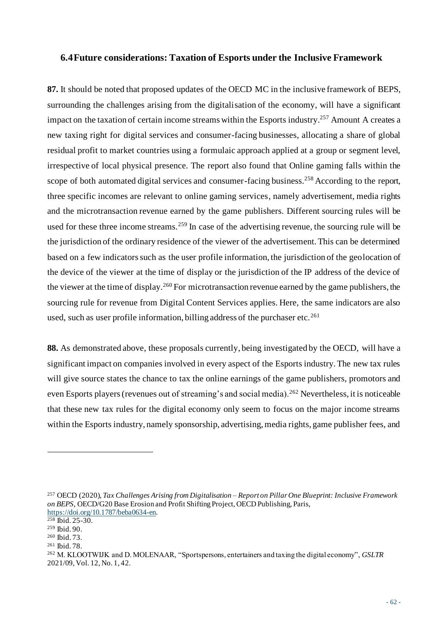#### **6.4Future considerations: Taxation of Esports under the Inclusive Framework**

**87.** It should be noted that proposed updates of the OECD MC in the inclusive framework of BEPS, surrounding the challenges arising from the digitalisation of the economy, will have a significant impact on the taxation of certain income streams within the Esports industry.<sup>257</sup> Amount A creates a new taxing right for digital services and consumer-facing businesses, allocating a share of global residual profit to market countries using a formulaic approach applied at a group or segment level, irrespective of local physical presence. The report also found that Online gaming falls within the scope of both automated digital services and consumer-facing business.<sup>258</sup> According to the report, three specific incomes are relevant to online gaming services, namely advertisement, media rights and the microtransaction revenue earned by the game publishers. Different sourcing rules will be used for these three income streams.<sup>259</sup> In case of the advertising revenue, the sourcing rule will be the jurisdiction of the ordinary residence of the viewer of the advertisement. This can be determined based on a few indicators such as the user profile information, the jurisdiction of the geolocation of the device of the viewer at the time of display or the jurisdiction of the IP address of the device of the viewer at the time of display.<sup>260</sup> For microtransaction revenue earned by the game publishers, the sourcing rule for revenue from Digital Content Services applies. Here, the same indicators are also used, such as user profile information, billing address of the purchaser etc.<sup>261</sup>

**88.** As demonstrated above, these proposals currently, being investigated by the OECD, will have a significant impact on companies involved in every aspect of the Esports industry. The new tax rules will give source states the chance to tax the online earnings of the game publishers, promotors and even Esports players (revenues out of streaming's and social media).<sup>262</sup> Nevertheless, it is noticeable that these new tax rules for the digital economy only seem to focus on the major income streams within the Esports industry, namely sponsorship, advertising, media rights, game publisher fees, and

<sup>257</sup> OECD (2020), *Tax Challenges Arising from Digitalisation – Report on Pillar One Blueprint: Inclusive Framework on BEPS*, OECD/G20 Base Erosion and Profit Shifting Project, OECD Publishing, Paris, <https://doi.org/10.1787/beba0634-en>.

 $258$  Ibid.  $25-30$ .

<sup>259</sup> Ibid. 90.

<sup>260</sup> Ibid. 73.

<sup>261</sup> Ibid. 78.

<sup>262</sup> M. KLOOTWIJK and D. MOLENAAR, "Sportspersons, entertainers and taxing the digital economy", *GSLTR*  2021/09, Vol. 12, No. 1, 42.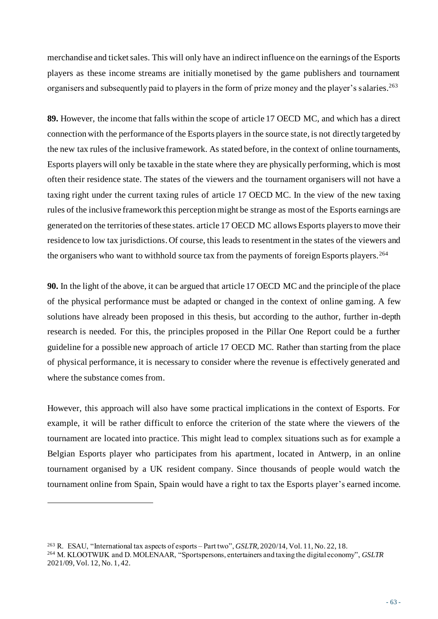merchandise and ticket sales. This will only have an indirect influence on the earnings of the Esports players as these income streams are initially monetised by the game publishers and tournament organisers and subsequently paid to players in the form of prize money and the player's salaries. 263

**89.** However, the income that falls within the scope of article 17 OECD MC, and which has a direct connection with the performance of the Esports players in the source state, is not directly targeted by the new tax rules of the inclusive framework. As stated before, in the context of online tournaments, Esports players will only be taxable in the state where they are physically performing, which is most often their residence state. The states of the viewers and the tournament organisers will not have a taxing right under the current taxing rules of article 17 OECD MC. In the view of the new taxing rules of the inclusive framework this perception might be strange as most of the Esports earnings are generated on the territories of these states. article 17 OECD MC allows Esports players to move their residence to low tax jurisdictions. Of course, this leads to resentment in the states of the viewers and the organisers who want to withhold source tax from the payments of foreign Esports players.<sup>264</sup>

**90.** In the light of the above, it can be argued that article 17 OECD MC and the principle of the place of the physical performance must be adapted or changed in the context of online gaming. A few solutions have already been proposed in this thesis, but according to the author, further in-depth research is needed. For this, the principles proposed in the Pillar One Report could be a further guideline for a possible new approach of article 17 OECD MC. Rather than starting from the place of physical performance, it is necessary to consider where the revenue is effectively generated and where the substance comes from.

However, this approach will also have some practical implications in the context of Esports. For example, it will be rather difficult to enforce the criterion of the state where the viewers of the tournament are located into practice. This might lead to complex situations such as for example a Belgian Esports player who participates from his apartment, located in Antwerp, in an online tournament organised by a UK resident company. Since thousands of people would watch the tournament online from Spain, Spain would have a right to tax the Esports player's earned income.

<sup>263</sup> R. ESAU, "International tax aspects of esports – Part two", *GSLTR,* 2020/14, Vol. 11, No. 22, 18. <sup>264</sup> M. KLOOTWIJK and D. MOLENAAR, "Sportspersons, entertainers and taxing the digital economy", *GSLTR*  2021/09, Vol. 12, No. 1, 42.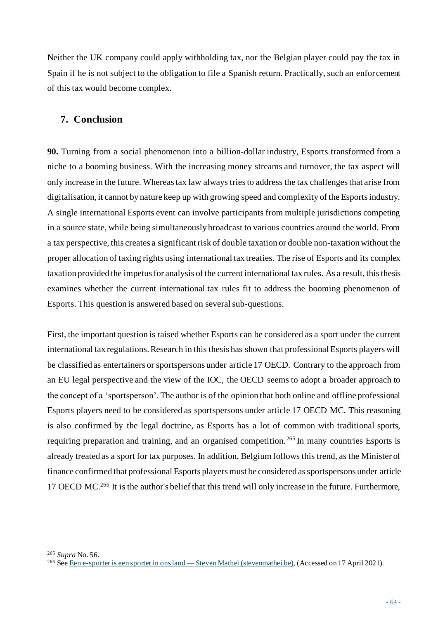Neither the UK company could apply withholding tax, nor the Belgian player could pay the tax in Spain if he is not subject to the obligation to file a Spanish return. Practically, such an enforcement of this tax would become complex.

## **7. Conclusion**

**90.** Turning from a social phenomenon into a billion-dollar industry, Esports transformed from a niche to a booming business. With the increasing money streams and turnover, the tax aspect will only increase in the future. Whereas tax law always tries to address the tax challenges that arise from digitalisation, it cannot by nature keep up with growing speed and complexity of the Esports industry. A single international Esports event can involve participants from multiple jurisdictions competing in a source state, while being simultaneously broadcast to various countries around the world. From a tax perspective, this creates a significant risk of double taxation or double non-taxation without the proper allocation of taxing rights using international tax treaties. The rise of Esports and its complex taxation provided the impetus for analysis of the current international tax rules. As a result, this thesis examines whether the current international tax rules fit to address the booming phenomenon of Esports. This question is answered based on several sub-questions.

First, the important question is raised whether Esports can be considered as a sport under the current international tax regulations. Research in this thesis has shown that professional Esports players will be classified as entertainers or sportspersons under article 17 OECD. Contrary to the approach from an EU legal perspective and the view of the IOC, the OECD seems to adopt a broader approach to the concept of a 'sportsperson'. The author is of the opinion that both online and offline professional Esports players need to be considered as sportspersons under article 17 OECD MC. This reasoning is also confirmed by the legal doctrine, as Esports has a lot of common with traditional sports, requiring preparation and training, and an organised competition.<sup>265</sup> In many countries Esports is already treated as a sport for tax purposes. In addition, Belgium follows this trend, as the Minister of finance confirmed that professional Esports players must be considered as sportspersons under article 17 OECD MC.<sup>266</sup> It is the author's belief that this trend will only increase in the future. Furthermore,

<sup>265</sup> *Supra* No. 56.

<sup>266</sup> Se[e Een e-sporter is een sporter in ons land —](https://www.stevenmathei.be/blog/2021/2/3/een-e-sporter-is-een-sporter-in-ons-land) Steven Matheï (stevenmathei.be),(Accessed on 17 April 2021).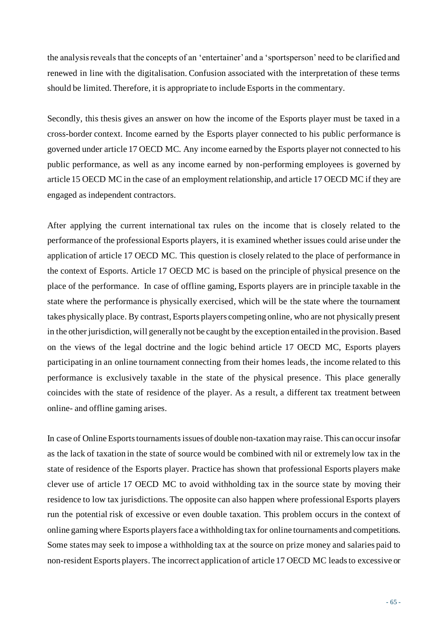the analysis reveals that the concepts of an 'entertainer' and a 'sportsperson' need to be clarified and renewed in line with the digitalisation. Confusion associated with the interpretation of these terms should be limited. Therefore, it is appropriate to include Esports in the commentary.

Secondly, this thesis gives an answer on how the income of the Esports player must be taxed in a cross-border context. Income earned by the Esports player connected to his public performance is governed under article 17 OECD MC. Any income earned by the Esports player not connected to his public performance, as well as any income earned by non-performing employees is governed by article 15 OECD MC in the case of an employment relationship, and article 17 OECD MC if they are engaged as independent contractors.

After applying the current international tax rules on the income that is closely related to the performance of the professional Esports players, it is examined whether issues could arise under the application of article 17 OECD MC. This question is closely related to the place of performance in the context of Esports. Article 17 OECD MC is based on the principle of physical presence on the place of the performance. In case of offline gaming, Esports players are in principle taxable in the state where the performance is physically exercised, which will be the state where the tournament takes physically place. By contrast,Esports players competing online, who are not physically present in the other jurisdiction, will generally not be caught by the exception entailed in the provision. Based on the views of the legal doctrine and the logic behind article 17 OECD MC, Esports players participating in an online tournament connecting from their homes leads, the income related to this performance is exclusively taxable in the state of the physical presence. This place generally coincides with the state of residence of the player. As a result, a different tax treatment between online- and offline gaming arises.

In case of Online Esports tournamentsissues of double non-taxation may raise. This can occur insofar as the lack of taxation in the state of source would be combined with nil or extremely low tax in the state of residence of the Esports player. Practice has shown that professional Esports players make clever use of article 17 OECD MC to avoid withholding tax in the source state by moving their residence to low tax jurisdictions. The opposite can also happen where professional Esports players run the potential risk of excessive or even double taxation. This problem occurs in the context of online gaming where Esports players face a withholding tax for online tournaments and competitions. Some states may seek to impose a withholding tax at the source on prize money and salaries paid to non-resident Esports players. The incorrect application of article 17 OECD MC leads to excessive or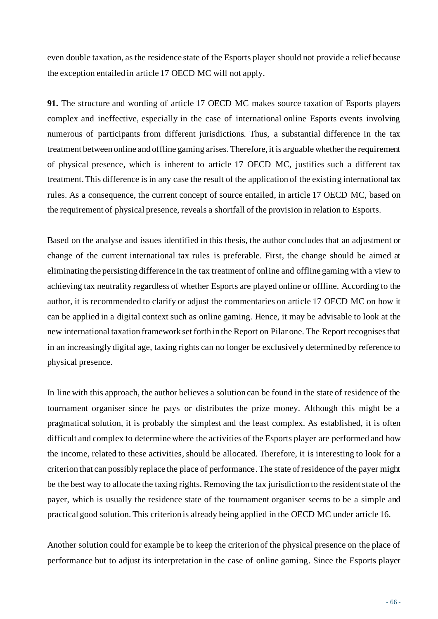even double taxation, as the residence state of the Esports player should not provide a relief because the exception entailed in article 17 OECD MC will not apply.

**91.** The structure and wording of article 17 OECD MC makes source taxation of Esports players complex and ineffective, especially in the case of international online Esports events involving numerous of participants from different jurisdictions. Thus, a substantial difference in the tax treatment between online and offline gaming arises. Therefore, it is arguable whether the requirement of physical presence, which is inherent to article 17 OECD MC, justifies such a different tax treatment. This difference is in any case the result of the application of the existing international tax rules. As a consequence, the current concept of source entailed, in article 17 OECD MC, based on the requirement of physical presence, reveals a shortfall of the provision in relation to Esports.

Based on the analyse and issues identified in this thesis, the author concludes that an adjustment or change of the current international tax rules is preferable. First, the change should be aimed at eliminating the persisting difference in the tax treatment of online and offline gaming with a view to achieving tax neutrality regardless of whether Esports are played online or offline. According to the author, it is recommended to clarify or adjust the commentaries on article 17 OECD MC on how it can be applied in a digital context such as online gaming. Hence, it may be advisable to look at the new international taxation framework set forth in the Report on Pilar one. The Report recognises that in an increasingly digital age, taxing rights can no longer be exclusively determined by reference to physical presence.

In line with this approach, the author believes a solution can be found in the state of residence of the tournament organiser since he pays or distributes the prize money. Although this might be a pragmatical solution, it is probably the simplest and the least complex. As established, it is often difficult and complex to determine where the activities of the Esports player are performed and how the income, related to these activities, should be allocated. Therefore, it is interesting to look for a criterion that can possibly replace the place of performance.The state of residence of the payer might be the best way to allocate the taxing rights. Removing the tax jurisdiction to the resident state of the payer, which is usually the residence state of the tournament organiser seems to be a simple and practical good solution. This criterion is already being applied in the OECD MC under article 16.

Another solution could for example be to keep the criterion of the physical presence on the place of performance but to adjust its interpretation in the case of online gaming. Since the Esports player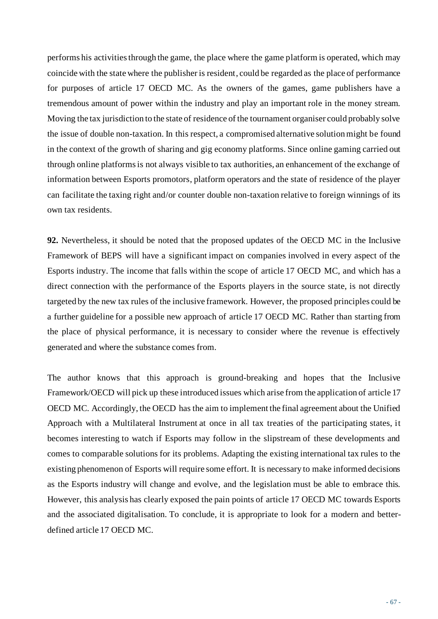performs his activities through the game, the place where the game platform is operated, which may coincide with the state where the publisher is resident, could be regarded as the place of performance for purposes of article 17 OECD MC. As the owners of the games, game publishers have a tremendous amount of power within the industry and play an important role in the money stream. Moving the tax jurisdiction to the state of residence of the tournament organiser could probably solve the issue of double non-taxation. In this respect, a compromised alternative solution might be found in the context of the growth of sharing and gig economy platforms. Since online gaming carried out through online platforms is not always visible to tax authorities, an enhancement of the exchange of information between Esports promotors, platform operators and the state of residence of the player can facilitate the taxing right and/or counter double non-taxation relative to foreign winnings of its own tax residents.

**92.** Nevertheless, it should be noted that the proposed updates of the OECD MC in the Inclusive Framework of BEPS will have a significant impact on companies involved in every aspect of the Esports industry. The income that falls within the scope of article 17 OECD MC, and which has a direct connection with the performance of the Esports players in the source state, is not directly targeted by the new tax rules of the inclusive framework. However, the proposed principles could be a further guideline for a possible new approach of article 17 OECD MC. Rather than starting from the place of physical performance, it is necessary to consider where the revenue is effectively generated and where the substance comes from.

The author knows that this approach is ground-breaking and hopes that the Inclusive Framework/OECD will pick up these introduced issues which arise from the application of article 17 OECD MC. Accordingly, the OECD has the aim to implement the final agreement about the Unified Approach with a Multilateral Instrument at once in all tax treaties of the participating states, it becomes interesting to watch if Esports may follow in the slipstream of these developments and comes to comparable solutions for its problems. Adapting the existing international tax rules to the existing phenomenon of Esports will require some effort. It is necessary to make informed decisions as the Esports industry will change and evolve, and the legislation must be able to embrace this. However, this analysis has clearly exposed the pain points of article 17 OECD MC towards Esports and the associated digitalisation. To conclude, it is appropriate to look for a modern and betterdefined article 17 OECD MC.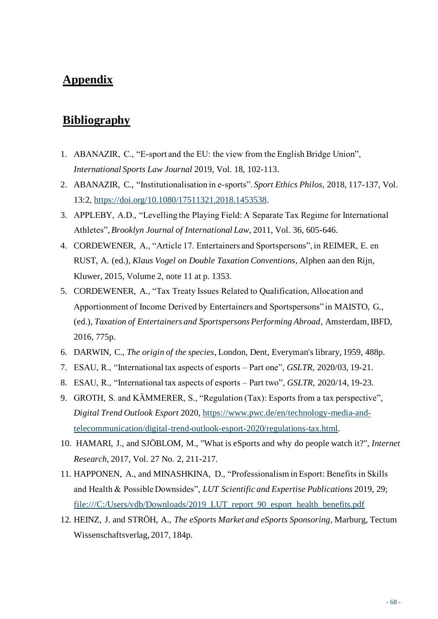## **Appendix**

## **Bibliography**

- 1. ABANAZIR, C., "E-sport and the EU: the view from the English Bridge Union", *International Sports Law Journal* 2019, Vol. 18, 102-113.
- 2. ABANAZIR, C., "Institutionalisation in e-sports". *Sport Ethics Philos,* 2018, 117-137, Vol. 13:2, [https://doi.org/10.1080/17511321.2018.1453538.](https://doi.org/10.1080/17511321.2018.1453538)
- 3. APPLEBY, A.D., "Levelling the Playing Field: A Separate Tax Regime for International Athletes", *Brooklyn Journal of International Law*, 2011, Vol. 36, 605-646.
- 4. CORDEWENER, A., "Article 17. Entertainers and Sportspersons", in REIMER, E. en RUST, A. (ed.), *Klaus Vogel on Double Taxation Conventions,* Alphen aan den Rijn, Kluwer, 2015, Volume 2, note 11 at p. 1353.
- 5. CORDEWENER, A., "Tax Treaty Issues Related to Qualification, Allocation and Apportionment of Income Derived by Entertainers and Sportspersons" in MAISTO, G., (ed.), *Taxation of Entertainers and Sportspersons Performing Abroad*, Amsterdam, IBFD, 2016, 775p.
- 6. DARWIN, C., *The origin of the species*, London, Dent, Everyman's library, 1959, 488p.
- 7. ESAU, R., "International tax aspects of esports Part one", *GSLTR,* 2020/03, 19-21.
- 8. ESAU, R., "International tax aspects of esports Part two", *GSLTR,* 2020/14, 19-23.
- 9. GROTH, S. and KÄMMERER, S., "Regulation (Tax): Esports from a tax perspective", *Digital Trend Outlook Esport* 2020, [https://www.pwc.de/en/technology-media-and](https://www.pwc.de/en/technology-media-and-telecommunication/digital-trend-outlook-esport-2020/regulations-tax.html)[telecommunication/digital-trend-outlook-esport-2020/regulations-tax.html](https://www.pwc.de/en/technology-media-and-telecommunication/digital-trend-outlook-esport-2020/regulations-tax.html).
- 10. HAMARI, J., and SJÖBLOM, M., "What is eSports and why do people watch it?", *Internet Research*, 2017, Vol. 27 No. 2, 211-217.
- 11. HAPPONEN, A., and MINASHKINA, D., "Professionalism in Esport: Benefits in Skills and Health & Possible Downsides", *LUT Scientific and Expertise Publications* 2019, 29; [file:///C:/Users/vdb/Downloads/2019\\_LUT\\_report\\_90\\_esport\\_health\\_benefits.pdf](file:///C:/Users/vdb/Downloads/2019_LUT_report_90_esport_health_benefits.pdf)
- 12. HEINZ, J. and STRÖH, A., *The eSports Market and eSports Sponsoring*, Marburg, Tectum Wissenschaftsverlag, 2017, 184p.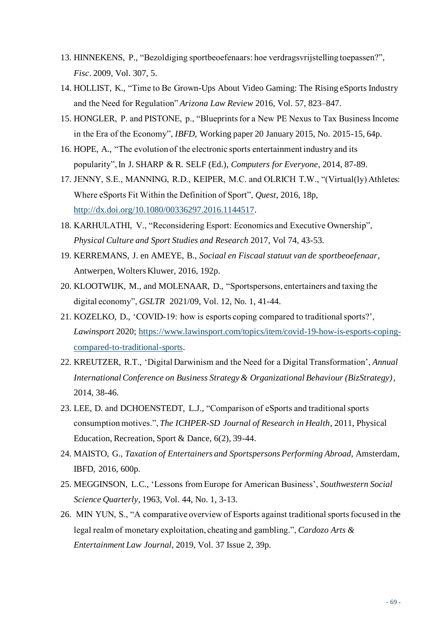- 13. HINNEKENS, P., "Bezoldiging sportbeoefenaars: hoe verdragsvrijstelling toepassen?", *Fisc*. 2009, Vol. 307, 5.
- 14. HOLLIST, K., "Time to Be Grown-Ups About Video Gaming: The Rising eSports Industry and the Need for Regulation" *Arizona Law Review* 2016, Vol. 57, 823–847.
- 15. HONGLER, P. and PISTONE, p., "Blueprints for a New PE Nexus to Tax Business Income in the Era of the Economy", *IBFD*, Working paper 20 January 2015, No. 2015-15, 64p.
- 16. HOPE, A., "The evolution of the electronic sports entertainment industry and its popularity", In J. SHARP & R. SELF (Ed.), *Computers for Everyone*, 2014, 87-89.
- 17. JENNY, S.E., MANNING, R.D., KEIPER, M.C. and OLRICH T.W., "(Virtual(ly) Athletes: Where eSports Fit Within the Definition of Sport", *Quest*, 2016, 18p, [http://dx.doi.org/10.1080/00336297.2016.1144517.](http://dx.doi.org/10.1080/00336297.2016.1144517)
- 18. KARHULATHI, V., "Reconsidering Esport: Economics and Executive Ownership", *Physical Culture and Sport Studies and Research* 2017, Vol 74, 43-53.
- 19. KERREMANS, J. en AMEYE, B., *Sociaal en Fiscaal statuut van de sportbeoefenaar*, Antwerpen, Wolters Kluwer, 2016, 192p.
- 20. KLOOTWIJK, M., and MOLENAAR, D., "Sportspersons, entertainers and taxing the digital economy", *GSLTR* 2021/09, Vol. 12, No. 1, 41-44.
- 21. KOZELKO, D., 'COVID-19: how is esports coping compared to traditional sports?', *Lawinsport* 2020; [https://www.lawinsport.com/topics/item/covid-19-how-is-esports-coping](https://www.lawinsport.com/topics/item/covid-19-how-is-esports-coping-compared-to-traditional-sports)[compared-to-traditional-sports.](https://www.lawinsport.com/topics/item/covid-19-how-is-esports-coping-compared-to-traditional-sports)
- 22. KREUTZER, R.T., 'Digital Darwinism and the Need for a Digital Transformation', *Annual International Conference on Business Strategy & Organizational Behaviour (BizStrategy)*, 2014, 38-46.
- 23. LEE, D. and DCHOENSTEDT, L.J., "Comparison of eSports and traditional sports consumption motives.", *The ICHPER-SD Journal of Research in Health*, 2011, Physical Education, Recreation, Sport & Dance, 6(2), 39-44.
- 24. MAISTO, G., *Taxation of Entertainers and Sportspersons Performing Abroad,* Amsterdam, IBFD, 2016, 600p.
- 25. MEGGINSON, L.C., 'Lessons from Europe for American Business', *Southwestern Social Science Quarterly*, 1963, Vol. 44, No. 1, 3-13.
- 26. MIN YUN, S., "A comparative overview of Esports against traditional sports focused in the legal realm of monetary exploitation, cheating and gambling.", *Cardozo Arts & Entertainment Law Journal,* 2019, Vol. 37 Issue 2, 39p.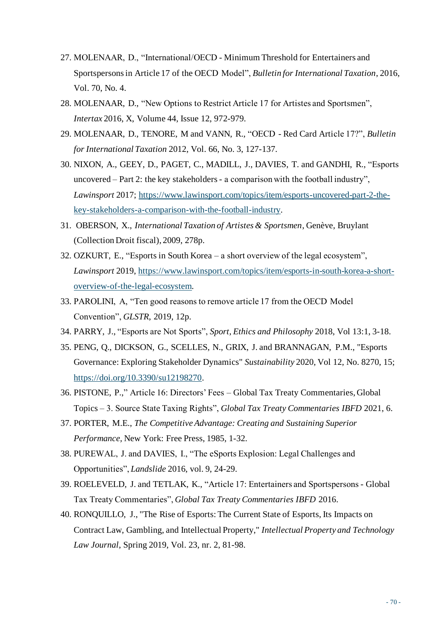- 27. MOLENAAR, D., "International/OECD Minimum Threshold for Entertainers and Sportspersons in Article 17 of the OECD Model", *Bulletin for International Taxation*, 2016, Vol. 70, No. 4.
- 28. MOLENAAR, D., "New Options to Restrict Article 17 for Artistes and Sportsmen", *Intertax* 2016, X, Volume 44, Issue 12, 972-979.
- 29. MOLENAAR, D., TENORE, M and VANN, R., "OECD Red Card Article 17?", *Bulletin for International Taxation* 2012, Vol. 66, No. 3, 127-137.
- 30. NIXON, A., GEEY, D., PAGET, C., MADILL, J., DAVIES, T. and GANDHI, R., "Esports uncovered – Part 2: the key stakeholders - a comparison with the football industry", *Lawinsport* 2017; [https://www.lawinsport.com/topics/item/esports-uncovered-part-2-the](https://www.lawinsport.com/topics/item/esports-uncovered-part-2-the-key-stakeholders-a-comparison-with-the-football-industry)[key-stakeholders-a-comparison-with-the-football-industry](https://www.lawinsport.com/topics/item/esports-uncovered-part-2-the-key-stakeholders-a-comparison-with-the-football-industry).
- 31. OBERSON, X., *International Taxation of Artistes & Sportsmen*, Genève, Bruylant (Collection Droit fiscal), 2009, 278p.
- 32. OZKURT, E., "Esports in South Korea a short overview of the legal ecosystem", *Lawinsport* 2019, [https://www.lawinsport.com/topics/item/esports-in-south-korea-a-short](https://www.lawinsport.com/topics/item/esports-in-south-korea-a-short-overview-of-the-legal-ecosystem)[overview-of-the-legal-ecosystem.](https://www.lawinsport.com/topics/item/esports-in-south-korea-a-short-overview-of-the-legal-ecosystem)
- 33. PAROLINI, A, "Ten good reasons to remove article 17 from the OECD Model Convention", *GLSTR*, 2019, 12p.
- 34. PARRY, J., "Esports are Not Sports", *Sport, Ethics and Philosophy* 2018, Vol 13:1, 3-18.
- 35. PENG, Q., DICKSON, G., SCELLES, N., GRIX, J. and BRANNAGAN, P.M., "Esports Governance: Exploring Stakeholder Dynamics" *Sustainability* 2020, Vol 12, No. 8270, 15; <https://doi.org/10.3390/su12198270>.
- 36. PISTONE, P.," Article 16: Directors' Fees Global Tax Treaty Commentaries, Global Topics – 3. Source State Taxing Rights", *Global Tax Treaty Commentaries IBFD* 2021, 6.
- 37. PORTER, M.E., *The Competitive Advantage: Creating and Sustaining Superior Performance,* New York: Free Press, 1985, 1-32.
- 38. PUREWAL, J. and DAVIES, I., "The eSports Explosion: Legal Challenges and Opportunities", *Landslide* 2016, vol. 9, 24-29.
- 39. ROELEVELD, J. and TETLAK, K., "Article 17: Entertainers and Sportspersons Global Tax Treaty Commentaries", *Global Tax Treaty Commentaries IBFD* 2016.
- 40. RONQUILLO, J., "The Rise of Esports: The Current State of Esports, Its Impacts on Contract Law, Gambling, and Intellectual Property," *Intellectual Property and Technology Law Journal*, Spring 2019, Vol. 23, nr. 2, 81-98.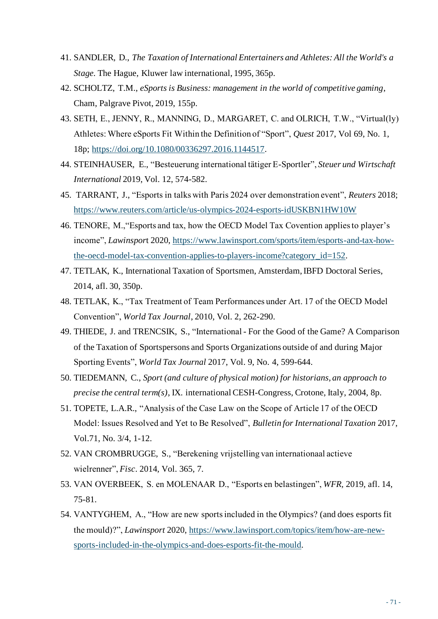- 41. SANDLER, D., *The Taxation of International Entertainers and Athletes: All the World's a Stage.* The Hague, Kluwer law international, 1995, 365p.
- 42. SCHOLTZ, T.M., *eSports is Business: management in the world of competitive gaming*, Cham, Palgrave Pivot, 2019, 155p.
- 43. SETH, E., JENNY, R., MANNING, D., MARGARET, C. and OLRICH, T.W., "Virtual(ly) Athletes: Where eSports Fit Within the Definition of "Sport", *Quest* 2017, Vol 69, No. 1, 18p; [https://doi.org/10.1080/00336297.2016.1144517.](https://doi.org/10.1080/00336297.2016.1144517)
- 44. STEINHAUSER, E., "Besteuerung international tätiger E-Sportler", *Steuer und Wirtschaft International* 2019, Vol. 12, 574-582.
- 45. TARRANT, J., "Esports in talks with Paris 2024 over demonstration event", *Reuters* 2018; <https://www.reuters.com/article/us-olympics-2024-esports-idUSKBN1HW10W>
- 46. TENORE, M.,"Esports and tax, how the OECD Model Tax Covention applies to player's income", *Lawinspor*t 2020, [https://www.lawinsport.com/sports/item/esports-and-tax-how](https://www.lawinsport.com/sports/item/esports-and-tax-how-the-oecd-model-tax-convention-applies-to-players-income?category_id=152)[the-oecd-model-tax-convention-applies-to-players-income?category\\_id=152](https://www.lawinsport.com/sports/item/esports-and-tax-how-the-oecd-model-tax-convention-applies-to-players-income?category_id=152).
- 47. TETLAK, K., International Taxation of Sportsmen, Amsterdam, IBFD Doctoral Series, 2014, afl. 30, 350p.
- 48. TETLAK, K., "Tax Treatment of Team Performances under Art. 17 of the OECD Model Convention", *World Tax Journal*, 2010, Vol. 2, 262-290.
- 49. THIEDE, J. and TRENCSIK, S., "International For the Good of the Game? A Comparison of the Taxation of Sportspersons and Sports Organizations outside of and during Major Sporting Events", *World Tax Journal* 2017, Vol. 9, No. 4, 599-644.
- 50. TIEDEMANN, C., *Sport (and culture of physical motion) for historians, an approach to precise the central term(s)*, IX. international CESH-Congress, Crotone, Italy, 2004, 8p.
- 51. TOPETE, L.A.R., "Analysis of the Case Law on the Scope of Article 17 of the OECD Model: Issues Resolved and Yet to Be Resolved", *Bulletin for International Taxation* 2017, Vol.71, No. 3/4, 1-12.
- 52. VAN CROMBRUGGE, S., "Berekening vrijstelling van internationaal actieve wielrenner", *Fisc*. 2014, Vol. 365, 7.
- 53. VAN OVERBEEK, S. en MOLENAAR D., "Esports en belastingen", *WFR,* 2019, afl. 14, 75-81.
- 54. VANTYGHEM, A., "How are new sports included in the Olympics? (and does esports fit the mould)?", *Lawinsport* 2020[, https://www.lawinsport.com/topics/item/how-are-new](https://www.lawinsport.com/topics/item/how-are-new-sports-included-in-the-olympics-and-does-esports-fit-the-mould)[sports-included-in-the-olympics-and-does-esports-fit-the-mould](https://www.lawinsport.com/topics/item/how-are-new-sports-included-in-the-olympics-and-does-esports-fit-the-mould).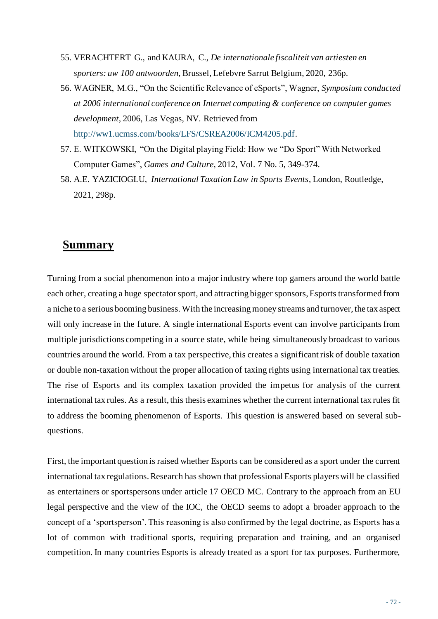- 55. VERACHTERT G., and KAURA, C., *De internationale fiscaliteit van artiesten en sporters: uw 100 antwoorden*, Brussel, Lefebvre Sarrut Belgium, 2020, 236p.
- 56. WAGNER, M.G., "On the Scientific Relevance of eSports", Wagner, *Symposium conducted at 2006 international conference on Internet computing & conference on computer games development*, 2006, Las Vegas, NV. Retrieved from [http://ww1.ucmss.com/books/LFS/CSREA2006/ICM4205.pdf.](http://ww1.ucmss.com/books/LFS/CSREA2006/ICM4205.pdf)
- 57. E. WITKOWSKI, "On the Digital playing Field: How we "Do Sport" With Networked Computer Games", *Games and Culture,* 2012, Vol. 7 No. 5, 349-374.
- 58. A.E. YAZICIOGLU, *International Taxation Law in Sports Events*, London, Routledge, 2021, 298p.

## **Summary**

Turning from a social phenomenon into a major industry where top gamers around the world battle each other, creating a huge spectator sport, and attracting bigger sponsors, Esports transformed from a niche to a serious booming business. With the increasing money streams and turnover, the tax aspect will only increase in the future. A single international Esports event can involve participants from multiple jurisdictions competing in a source state, while being simultaneously broadcast to various countries around the world. From a tax perspective, this creates a significant risk of double taxation or double non-taxation without the proper allocation of taxing rights using international tax treaties. The rise of Esports and its complex taxation provided the impetus for analysis of the current international tax rules. As a result, this thesis examines whether the current international tax rules fit to address the booming phenomenon of Esports. This question is answered based on several subquestions.

First, the important question is raised whether Esports can be considered as a sport under the current international tax regulations. Research has shown that professional Esports players will be classified as entertainers or sportspersons under article 17 OECD MC. Contrary to the approach from an EU legal perspective and the view of the IOC, the OECD seems to adopt a broader approach to the concept of a 'sportsperson'. This reasoning is also confirmed by the legal doctrine, as Esports has a lot of common with traditional sports, requiring preparation and training, and an organised competition. In many countries Esports is already treated as a sport for tax purposes. Furthermore,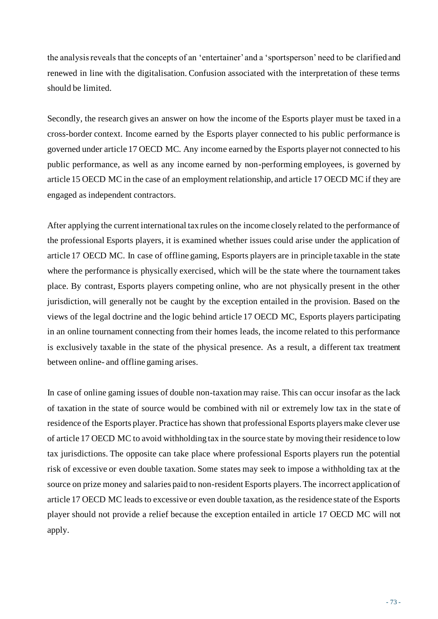the analysis reveals that the concepts of an 'entertainer' and a 'sportsperson' need to be clarified and renewed in line with the digitalisation. Confusion associated with the interpretation of these terms should be limited.

Secondly, the research gives an answer on how the income of the Esports player must be taxed in a cross-border context. Income earned by the Esports player connected to his public performance is governed under article 17 OECD MC. Any income earned by the Esports player not connected to his public performance, as well as any income earned by non-performing employees, is governed by article 15 OECD MC in the case of an employment relationship, and article 17 OECD MC if they are engaged as independent contractors.

After applying the current international tax rules on the income closely related to the performance of the professional Esports players, it is examined whether issues could arise under the application of article 17 OECD MC. In case of offline gaming, Esports players are in principle taxable in the state where the performance is physically exercised, which will be the state where the tournament takes place. By contrast, Esports players competing online, who are not physically present in the other jurisdiction, will generally not be caught by the exception entailed in the provision. Based on the views of the legal doctrine and the logic behind article 17 OECD MC, Esports players participating in an online tournament connecting from their homes leads, the income related to this performance is exclusively taxable in the state of the physical presence. As a result, a different tax treatment between online- and offline gaming arises.

In case of online gaming issues of double non-taxation may raise. This can occur insofar as the lack of taxation in the state of source would be combined with nil or extremely low tax in the state of residence of the Esports player. Practice has shown that professional Esports players make clever use of article 17 OECD MC to avoid withholding tax in the source state by moving their residence to low tax jurisdictions. The opposite can take place where professional Esports players run the potential risk of excessive or even double taxation. Some states may seek to impose a withholding tax at the source on prize money and salaries paid to non-resident Esports players. The incorrect application of article 17 OECD MC leads to excessive or even double taxation, as the residence state of the Esports player should not provide a relief because the exception entailed in article 17 OECD MC will not apply.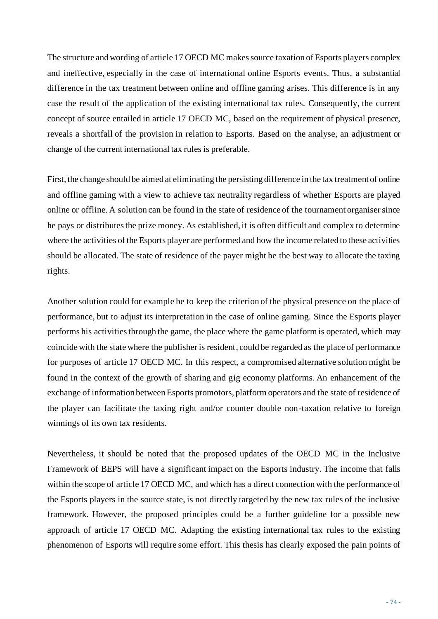The structure and wording of article 17 OECD MC makes source taxation of Esports players complex and ineffective, especially in the case of international online Esports events. Thus, a substantial difference in the tax treatment between online and offline gaming arises. This difference is in any case the result of the application of the existing international tax rules. Consequently, the current concept of source entailed in article 17 OECD MC, based on the requirement of physical presence, reveals a shortfall of the provision in relation to Esports. Based on the analyse, an adjustment or change of the current international tax rules is preferable.

First, the change should be aimed at eliminating the persisting difference in the tax treatment of online and offline gaming with a view to achieve tax neutrality regardless of whether Esports are played online or offline. A solution can be found in the state of residence of the tournament organiser since he pays or distributes the prize money. As established, it is often difficult and complex to determine where the activities of the Esports player are performed and how the income related to these activities should be allocated. The state of residence of the payer might be the best way to allocate the taxing rights.

Another solution could for example be to keep the criterion of the physical presence on the place of performance, but to adjust its interpretation in the case of online gaming. Since the Esports player performs his activities through the game, the place where the game platform is operated, which may coincide with the state where the publisher is resident, could be regarded as the place of performance for purposes of article 17 OECD MC. In this respect, a compromised alternative solution might be found in the context of the growth of sharing and gig economy platforms. An enhancement of the exchange of information between Esports promotors, platform operators and the state of residence of the player can facilitate the taxing right and/or counter double non-taxation relative to foreign winnings of its own tax residents.

Nevertheless, it should be noted that the proposed updates of the OECD MC in the Inclusive Framework of BEPS will have a significant impact on the Esports industry. The income that falls within the scope of article 17 OECD MC, and which has a direct connection with the performance of the Esports players in the source state, is not directly targeted by the new tax rules of the inclusive framework. However, the proposed principles could be a further guideline for a possible new approach of article 17 OECD MC. Adapting the existing international tax rules to the existing phenomenon of Esports will require some effort. This thesis has clearly exposed the pain points of